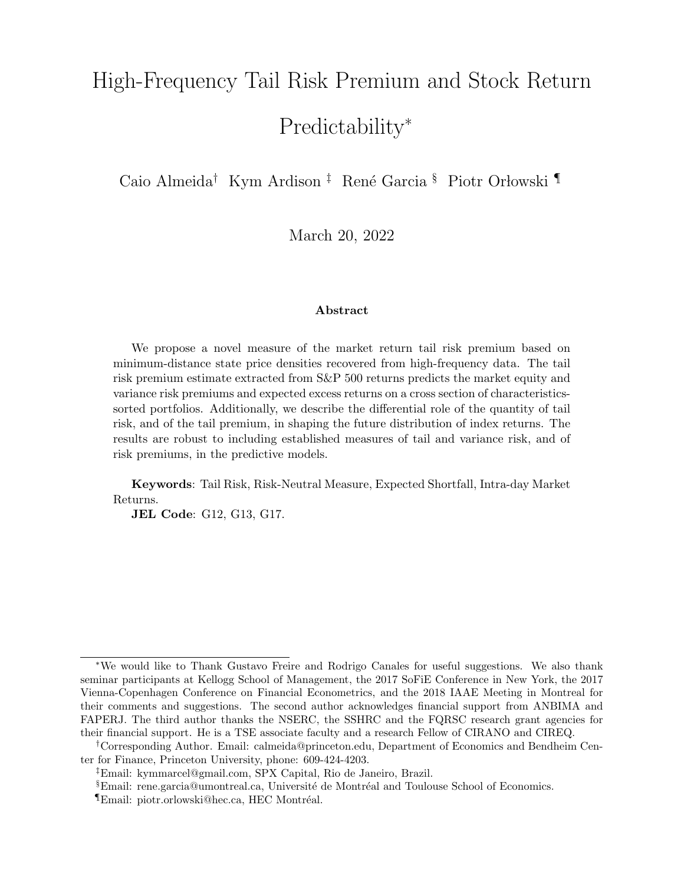# High-Frequency Tail Risk Premium and Stock Return Predictability<sup>∗</sup>

Caio Almeida<sup>†</sup> Kym Ardison <sup>‡</sup> René Garcia <sup>§</sup> Piotr Orłowski <sup>¶</sup>

March 20, 2022

#### Abstract

We propose a novel measure of the market return tail risk premium based on minimum-distance state price densities recovered from high-frequency data. The tail risk premium estimate extracted from S&P 500 returns predicts the market equity and variance risk premiums and expected excess returns on a cross section of characteristicssorted portfolios. Additionally, we describe the differential role of the quantity of tail risk, and of the tail premium, in shaping the future distribution of index returns. The results are robust to including established measures of tail and variance risk, and of risk premiums, in the predictive models.

Keywords: Tail Risk, Risk-Neutral Measure, Expected Shortfall, Intra-day Market Returns.

JEL Code: G12, G13, G17.

<sup>∗</sup>We would like to Thank Gustavo Freire and Rodrigo Canales for useful suggestions. We also thank seminar participants at Kellogg School of Management, the 2017 SoFiE Conference in New York, the 2017 Vienna-Copenhagen Conference on Financial Econometrics, and the 2018 IAAE Meeting in Montreal for their comments and suggestions. The second author acknowledges financial support from ANBIMA and FAPERJ. The third author thanks the NSERC, the SSHRC and the FQRSC research grant agencies for their financial support. He is a TSE associate faculty and a research Fellow of CIRANO and CIREQ.

<sup>†</sup>Corresponding Author. Email: calmeida@princeton.edu, Department of Economics and Bendheim Center for Finance, Princeton University, phone: 609-424-4203.

<sup>‡</sup>Email: kymmarcel@gmail.com, SPX Capital, Rio de Janeiro, Brazil.

<sup>&</sup>lt;sup>§</sup>Email: rene.garcia@umontreal.ca, Université de Montréal and Toulouse School of Economics.

 $\P$ Email: piotr.orlowski@hec.ca, HEC Montréal.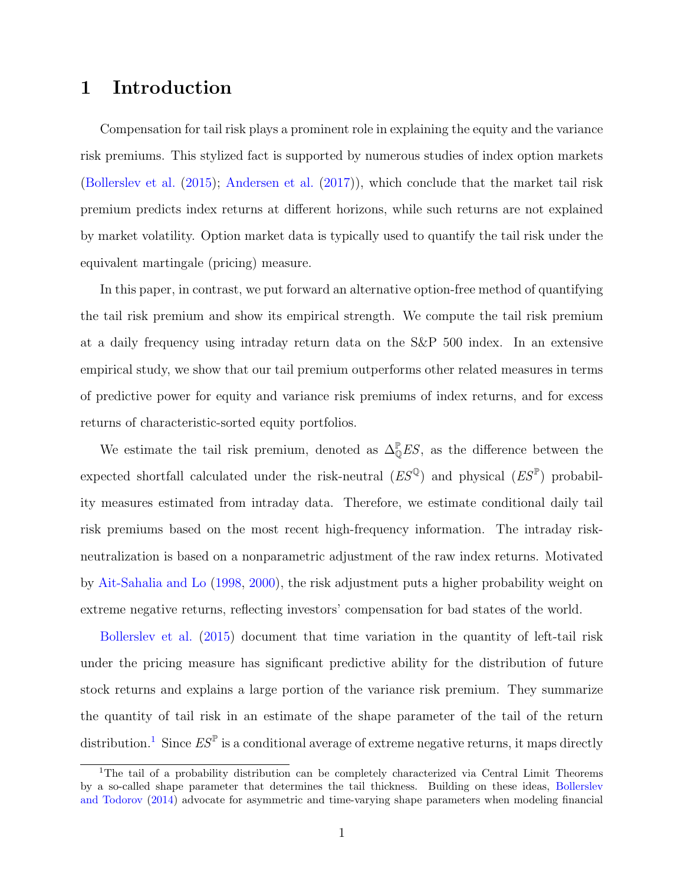### 1 Introduction

Compensation for tail risk plays a prominent role in explaining the equity and the variance risk premiums. This stylized fact is supported by numerous studies of index option markets [\(Bollerslev et al.](#page-29-0) [\(2015\)](#page-29-0); [Andersen et al.](#page-28-0) [\(2017\)](#page-28-0)), which conclude that the market tail risk premium predicts index returns at different horizons, while such returns are not explained by market volatility. Option market data is typically used to quantify the tail risk under the equivalent martingale (pricing) measure.

In this paper, in contrast, we put forward an alternative option-free method of quantifying the tail risk premium and show its empirical strength. We compute the tail risk premium at a daily frequency using intraday return data on the S&P 500 index. In an extensive empirical study, we show that our tail premium outperforms other related measures in terms of predictive power for equity and variance risk premiums of index returns, and for excess returns of characteristic-sorted equity portfolios.

We estimate the tail risk premium, denoted as  $\Delta_{\mathbb{Q}}^{\mathbb{P}} E S$ , as the difference between the expected shortfall calculated under the risk-neutral  $(ES^{\mathbb{Q}})$  and physical  $(ES^{\mathbb{P}})$  probability measures estimated from intraday data. Therefore, we estimate conditional daily tail risk premiums based on the most recent high-frequency information. The intraday riskneutralization is based on a nonparametric adjustment of the raw index returns. Motivated by [Ait-Sahalia and Lo](#page-28-1) [\(1998,](#page-28-1) [2000\)](#page-28-2), the risk adjustment puts a higher probability weight on extreme negative returns, reflecting investors' compensation for bad states of the world.

[Bollerslev et al.](#page-29-0) [\(2015\)](#page-29-0) document that time variation in the quantity of left-tail risk under the pricing measure has significant predictive ability for the distribution of future stock returns and explains a large portion of the variance risk premium. They summarize the quantity of tail risk in an estimate of the shape parameter of the tail of the return distribution.<sup>[1](#page-1-0)</sup> Since  $ES^{\mathbb{P}}$  is a conditional average of extreme negative returns, it maps directly

<span id="page-1-0"></span><sup>&</sup>lt;sup>1</sup>The tail of a probability distribution can be completely characterized via Central Limit Theorems by a so-called shape parameter that determines the tail thickness. Building on these ideas, [Bollerslev](#page-29-1) [and Todorov](#page-29-1) [\(2014\)](#page-29-1) advocate for asymmetric and time-varying shape parameters when modeling financial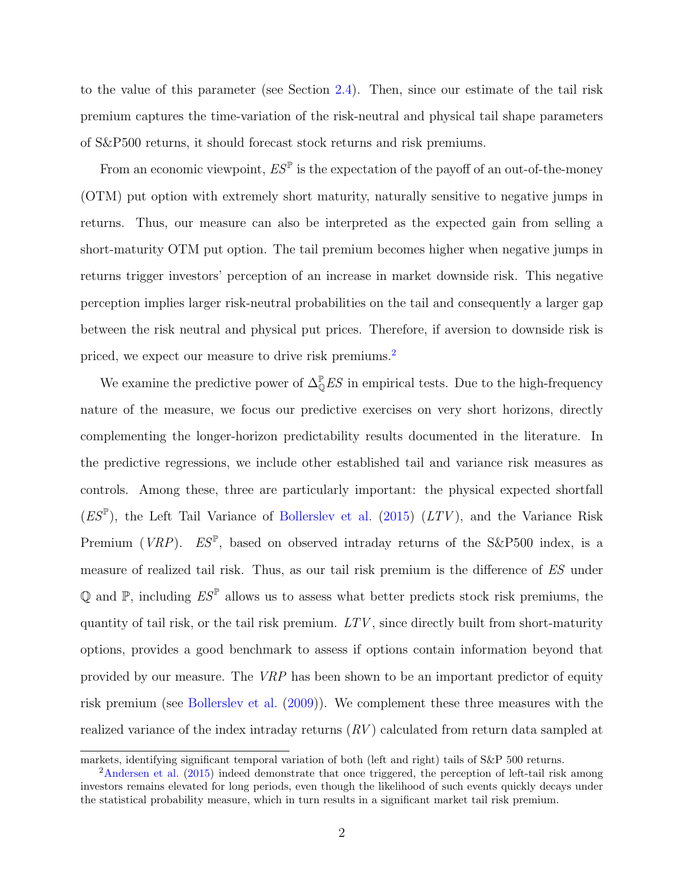to the value of this parameter (see Section [2.4\)](#page-13-0). Then, since our estimate of the tail risk premium captures the time-variation of the risk-neutral and physical tail shape parameters of S&P500 returns, it should forecast stock returns and risk premiums.

From an economic viewpoint,  $ES^{\mathbb{P}}$  is the expectation of the payoff of an out-of-the-money (OTM) put option with extremely short maturity, naturally sensitive to negative jumps in returns. Thus, our measure can also be interpreted as the expected gain from selling a short-maturity OTM put option. The tail premium becomes higher when negative jumps in returns trigger investors' perception of an increase in market downside risk. This negative perception implies larger risk-neutral probabilities on the tail and consequently a larger gap between the risk neutral and physical put prices. Therefore, if aversion to downside risk is priced, we expect our measure to drive risk premiums.[2](#page-2-0)

We examine the predictive power of  $\Delta_{\mathbb{Q}}^{\mathbb{P}} E S$  in empirical tests. Due to the high-frequency nature of the measure, we focus our predictive exercises on very short horizons, directly complementing the longer-horizon predictability results documented in the literature. In the predictive regressions, we include other established tail and variance risk measures as controls. Among these, three are particularly important: the physical expected shortfall  $(ES^{\mathbb{P}})$ , the Left Tail Variance of [Bollerslev et al.](#page-29-0) [\(2015\)](#page-29-0)  $(LTV)$ , and the Variance Risk Premium (VRP).  $ES^{\mathbb{P}}$ , based on observed intraday returns of the S&P500 index, is a measure of realized tail risk. Thus, as our tail risk premium is the difference of ES under Q and  $\mathbb{P}$ , including  $ES^{\mathbb{P}}$  allows us to assess what better predicts stock risk premiums, the quantity of tail risk, or the tail risk premium. LTV, since directly built from short-maturity options, provides a good benchmark to assess if options contain information beyond that provided by our measure. The VRP has been shown to be an important predictor of equity risk premium (see [Bollerslev et al.](#page-29-2) [\(2009\)](#page-29-2)). We complement these three measures with the realized variance of the index intraday returns  $(RV)$  calculated from return data sampled at

markets, identifying significant temporal variation of both (left and right) tails of S&P 500 returns.

<span id="page-2-0"></span><sup>2</sup>[Andersen et al.](#page-28-3) [\(2015\)](#page-28-3) indeed demonstrate that once triggered, the perception of left-tail risk among investors remains elevated for long periods, even though the likelihood of such events quickly decays under the statistical probability measure, which in turn results in a significant market tail risk premium.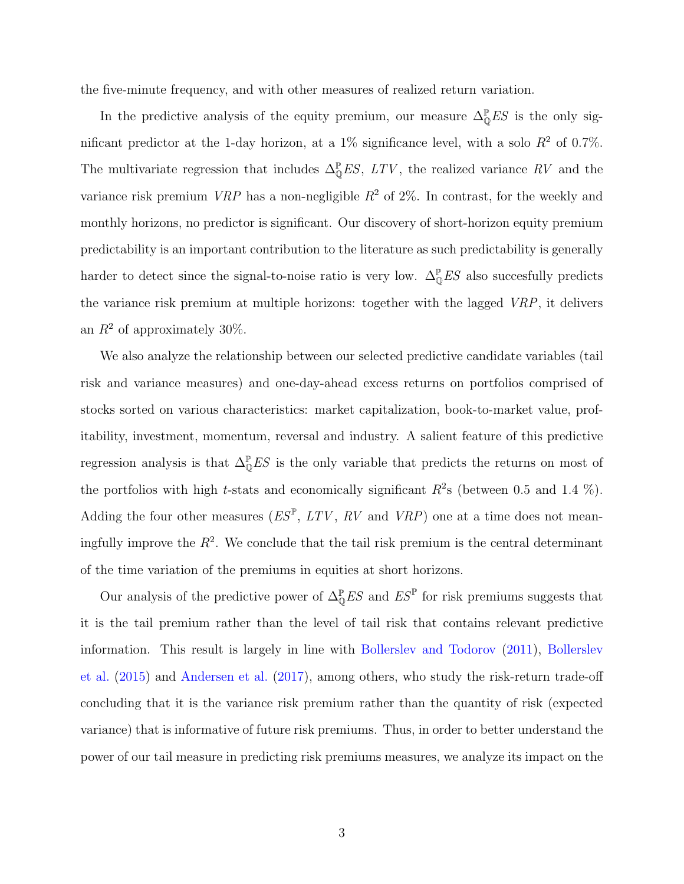the five-minute frequency, and with other measures of realized return variation.

In the predictive analysis of the equity premium, our measure  $\Delta_{\mathbb{Q}}^{\mathbb{P}} E S$  is the only significant predictor at the 1-day horizon, at a  $1\%$  significance level, with a solo  $R^2$  of 0.7%. The multivariate regression that includes  $\Delta_{\mathbb{Q}}^{\mathbb{P}} E S$ ,  $LTV$ , the realized variance RV and the variance risk premium *VRP* has a non-negligible  $R^2$  of 2\%. In contrast, for the weekly and monthly horizons, no predictor is significant. Our discovery of short-horizon equity premium predictability is an important contribution to the literature as such predictability is generally harder to detect since the signal-to-noise ratio is very low.  $\Delta_{\mathbb{Q}}^{\mathbb{P}} E S$  also succesfully predicts the variance risk premium at multiple horizons: together with the lagged VRP, it delivers an  $R^2$  of approximately 30%.

We also analyze the relationship between our selected predictive candidate variables (tail risk and variance measures) and one-day-ahead excess returns on portfolios comprised of stocks sorted on various characteristics: market capitalization, book-to-market value, profitability, investment, momentum, reversal and industry. A salient feature of this predictive regression analysis is that  $\Delta_{\mathbb{Q}}^{\mathbb{P}} E S$  is the only variable that predicts the returns on most of the portfolios with high t-stats and economically significant  $R^2$ s (between 0.5 and 1.4 %). Adding the four other measures  $(ES^{\mathbb{P}}, LTV, RV \text{ and } VRP)$  one at a time does not meaningfully improve the  $R^2$ . We conclude that the tail risk premium is the central determinant of the time variation of the premiums in equities at short horizons.

Our analysis of the predictive power of  $\Delta_{\mathbb{Q}}^{\mathbb{P}} E S$  and  $E S^{\mathbb{P}}$  for risk premiums suggests that it is the tail premium rather than the level of tail risk that contains relevant predictive information. This result is largely in line with [Bollerslev and Todorov](#page-29-3) [\(2011\)](#page-29-3), [Bollerslev](#page-29-0) [et al.](#page-29-0) [\(2015\)](#page-29-0) and [Andersen et al.](#page-28-0) [\(2017\)](#page-28-0), among others, who study the risk-return trade-off concluding that it is the variance risk premium rather than the quantity of risk (expected variance) that is informative of future risk premiums. Thus, in order to better understand the power of our tail measure in predicting risk premiums measures, we analyze its impact on the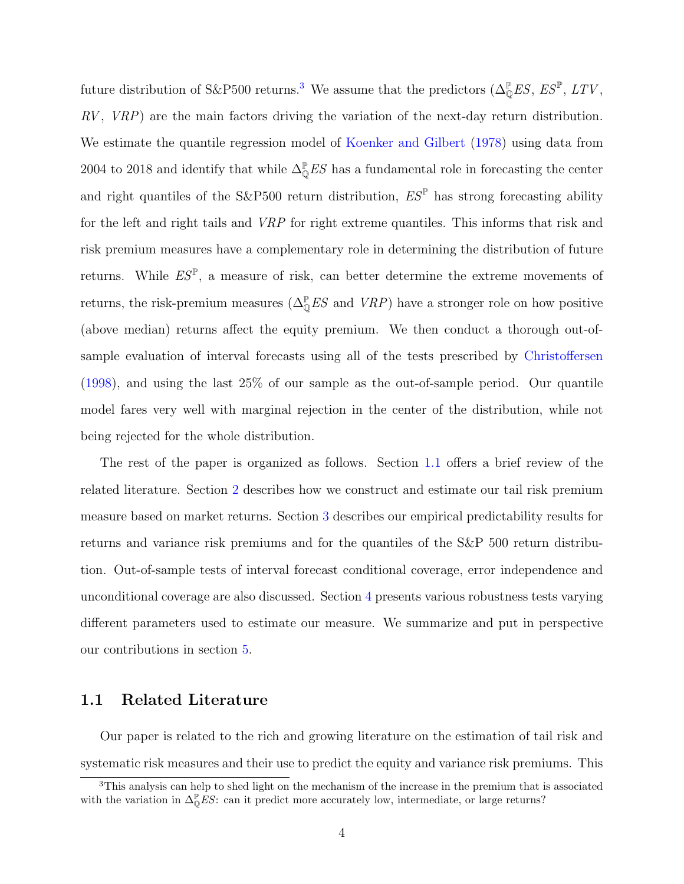future distribution of S&P500 returns.<sup>[3](#page-4-0)</sup> We assume that the predictors  $(\Delta_{\mathbb{Q}}^{\mathbb{P}}ES, ES^{\mathbb{P}}, LTV,$  $RV$ ,  $VRP$ ) are the main factors driving the variation of the next-day return distribution. We estimate the quantile regression model of [Koenker and Gilbert](#page-30-0) [\(1978\)](#page-30-0) using data from 2004 to 2018 and identify that while  $\Delta_{\mathbb{Q}}^{\mathbb{P}} ES$  has a fundamental role in forecasting the center and right quantiles of the S&P500 return distribution,  $ES^{\mathbb{P}}$  has strong forecasting ability for the left and right tails and VRP for right extreme quantiles. This informs that risk and risk premium measures have a complementary role in determining the distribution of future returns. While  $ES^{\mathbb{P}}$ , a measure of risk, can better determine the extreme movements of returns, the risk-premium measures ( $\Delta_{\mathbb{Q}}^{\mathbb{P}} ES$  and  $VRP$ ) have a stronger role on how positive (above median) returns affect the equity premium. We then conduct a thorough out-ofsample evaluation of interval forecasts using all of the tests prescribed by [Christoffersen](#page-29-4) [\(1998\)](#page-29-4), and using the last 25% of our sample as the out-of-sample period. Our quantile model fares very well with marginal rejection in the center of the distribution, while not being rejected for the whole distribution.

The rest of the paper is organized as follows. Section [1.1](#page-4-1) offers a brief review of the related literature. Section [2](#page-7-0) describes how we construct and estimate our tail risk premium measure based on market returns. Section [3](#page-14-0) describes our empirical predictability results for returns and variance risk premiums and for the quantiles of the S&P 500 return distribution. Out-of-sample tests of interval forecast conditional coverage, error independence and unconditional coverage are also discussed. Section [4](#page-23-0) presents various robustness tests varying different parameters used to estimate our measure. We summarize and put in perspective our contributions in section [5.](#page-27-0)

### <span id="page-4-1"></span>1.1 Related Literature

Our paper is related to the rich and growing literature on the estimation of tail risk and systematic risk measures and their use to predict the equity and variance risk premiums. This

<span id="page-4-0"></span><sup>3</sup>This analysis can help to shed light on the mechanism of the increase in the premium that is associated with the variation in  $\Delta_{\mathbb{Q}}^{\mathbb{P}} ES$ : can it predict more accurately low, intermediate, or large returns?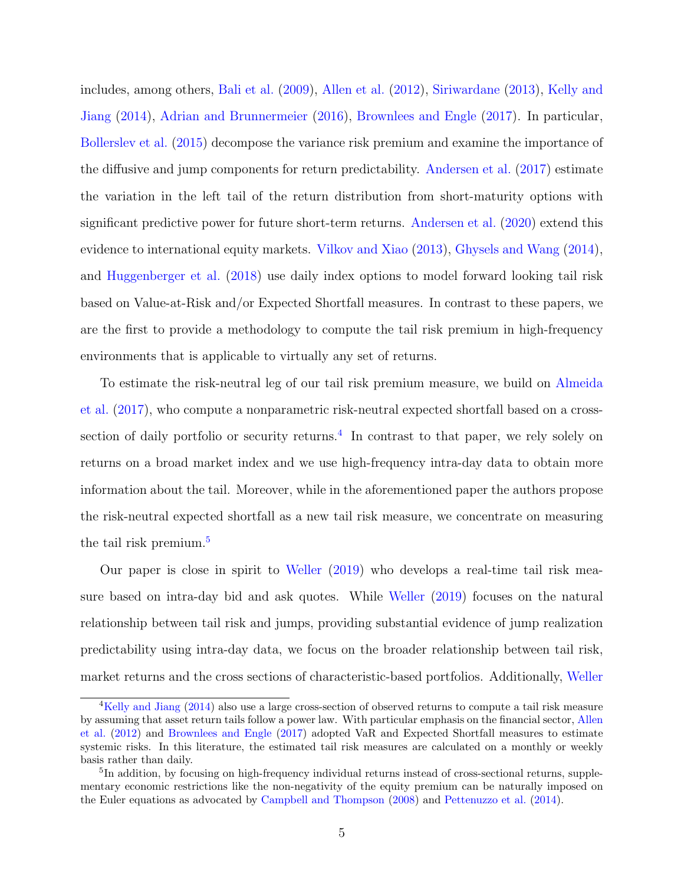includes, among others, [Bali et al.](#page-29-5) [\(2009\)](#page-29-5), [Allen et al.](#page-28-4) [\(2012\)](#page-28-4), [Siriwardane](#page-30-1) [\(2013\)](#page-30-1), [Kelly and](#page-30-2) [Jiang](#page-30-2) [\(2014\)](#page-30-2), [Adrian and Brunnermeier](#page-28-5) [\(2016\)](#page-28-5), [Brownlees and Engle](#page-29-6) [\(2017\)](#page-29-6). In particular, [Bollerslev et al.](#page-29-0) [\(2015\)](#page-29-0) decompose the variance risk premium and examine the importance of the diffusive and jump components for return predictability. [Andersen et al.](#page-28-0) [\(2017\)](#page-28-0) estimate the variation in the left tail of the return distribution from short-maturity options with significant predictive power for future short-term returns. [Andersen et al.](#page-28-6) [\(2020\)](#page-28-6) extend this evidence to international equity markets. [Vilkov and Xiao](#page-30-3) [\(2013\)](#page-30-3), [Ghysels and Wang](#page-29-7) [\(2014\)](#page-29-7), and [Huggenberger et al.](#page-30-4) [\(2018\)](#page-30-4) use daily index options to model forward looking tail risk based on Value-at-Risk and/or Expected Shortfall measures. In contrast to these papers, we are the first to provide a methodology to compute the tail risk premium in high-frequency environments that is applicable to virtually any set of returns.

To estimate the risk-neutral leg of our tail risk premium measure, we build on [Almeida](#page-28-7) [et al.](#page-28-7) [\(2017\)](#page-28-7), who compute a nonparametric risk-neutral expected shortfall based on a cross-section of daily portfolio or security returns.<sup>[4](#page-5-0)</sup> In contrast to that paper, we rely solely on returns on a broad market index and we use high-frequency intra-day data to obtain more information about the tail. Moreover, while in the aforementioned paper the authors propose the risk-neutral expected shortfall as a new tail risk measure, we concentrate on measuring the tail risk premium.<sup>[5](#page-5-1)</sup>

Our paper is close in spirit to [Weller](#page-30-5) [\(2019\)](#page-30-5) who develops a real-time tail risk measure based on intra-day bid and ask quotes. While [Weller](#page-30-5) [\(2019\)](#page-30-5) focuses on the natural relationship between tail risk and jumps, providing substantial evidence of jump realization predictability using intra-day data, we focus on the broader relationship between tail risk, market returns and the cross sections of characteristic-based portfolios. Additionally, [Weller](#page-30-5)

<span id="page-5-0"></span><sup>&</sup>lt;sup>4</sup>[Kelly and Jiang](#page-30-2) [\(2014\)](#page-30-2) also use a large cross-section of observed returns to compute a tail risk measure by assuming that asset return tails follow a power law. With particular emphasis on the financial sector, [Allen](#page-28-4) [et al.](#page-28-4) [\(2012\)](#page-28-4) and [Brownlees and Engle](#page-29-6) [\(2017\)](#page-29-6) adopted VaR and Expected Shortfall measures to estimate systemic risks. In this literature, the estimated tail risk measures are calculated on a monthly or weekly basis rather than daily.

<span id="page-5-1"></span><sup>&</sup>lt;sup>5</sup>In addition, by focusing on high-frequency individual returns instead of cross-sectional returns, supplementary economic restrictions like the non-negativity of the equity premium can be naturally imposed on the Euler equations as advocated by [Campbell and Thompson](#page-29-8) [\(2008\)](#page-29-8) and [Pettenuzzo et al.](#page-30-6) [\(2014\)](#page-30-6).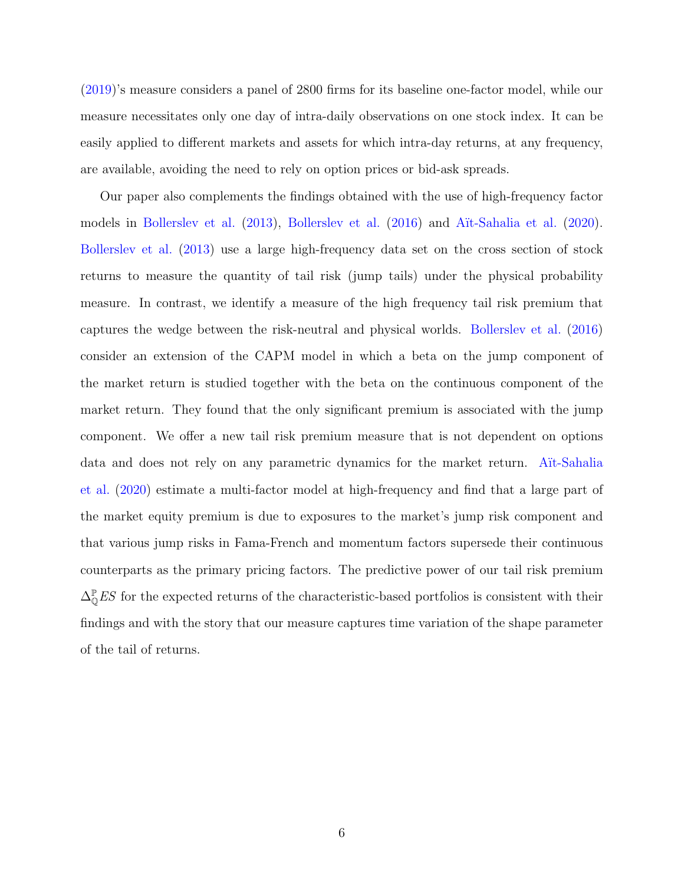[\(2019\)](#page-30-5)'s measure considers a panel of 2800 firms for its baseline one-factor model, while our measure necessitates only one day of intra-daily observations on one stock index. It can be easily applied to different markets and assets for which intra-day returns, at any frequency, are available, avoiding the need to rely on option prices or bid-ask spreads.

Our paper also complements the findings obtained with the use of high-frequency factor models in [Bollerslev et al.](#page-29-10) [\(2013\)](#page-29-9), Bollerslev et al. [\(2016\)](#page-29-10) and Aït-Sahalia et al. [\(2020\)](#page-28-8). [Bollerslev et al.](#page-29-9) [\(2013\)](#page-29-9) use a large high-frequency data set on the cross section of stock returns to measure the quantity of tail risk (jump tails) under the physical probability measure. In contrast, we identify a measure of the high frequency tail risk premium that captures the wedge between the risk-neutral and physical worlds. [Bollerslev et al.](#page-29-10) [\(2016\)](#page-29-10) consider an extension of the CAPM model in which a beta on the jump component of the market return is studied together with the beta on the continuous component of the market return. They found that the only significant premium is associated with the jump component. We offer a new tail risk premium measure that is not dependent on options data and does not rely on any parametric dynamics for the market return. A<sub>I</sub>t-Sahalia [et al.](#page-28-8) [\(2020\)](#page-28-8) estimate a multi-factor model at high-frequency and find that a large part of the market equity premium is due to exposures to the market's jump risk component and that various jump risks in Fama-French and momentum factors supersede their continuous counterparts as the primary pricing factors. The predictive power of our tail risk premium  $\Delta_{\mathbb{Q}}^{\mathbb{P}} E S$  for the expected returns of the characteristic-based portfolios is consistent with their findings and with the story that our measure captures time variation of the shape parameter of the tail of returns.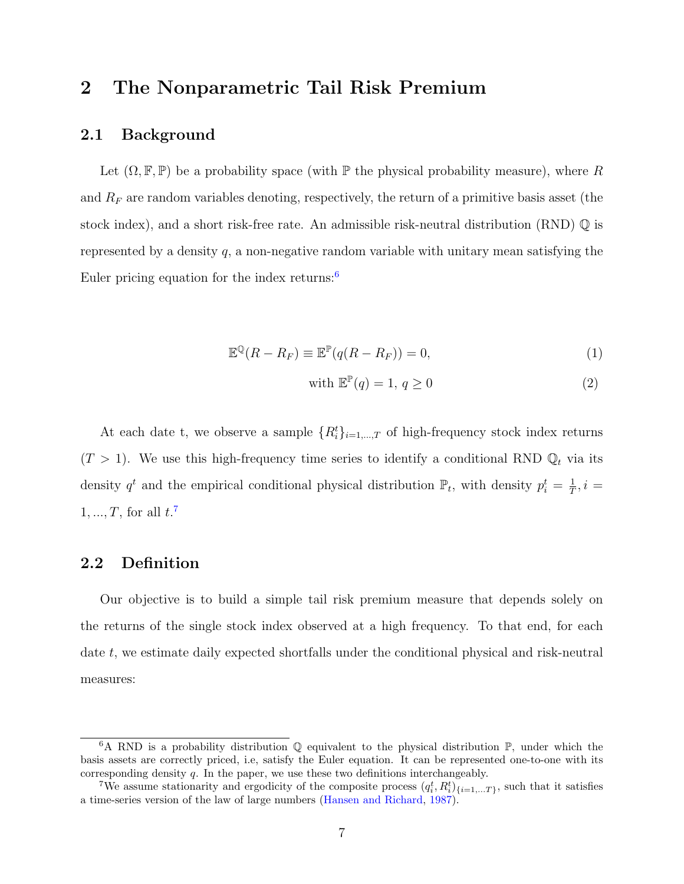### <span id="page-7-0"></span>2 The Nonparametric Tail Risk Premium

### 2.1 Background

Let  $(\Omega, \mathbb{F}, \mathbb{P})$  be a probability space (with  $\mathbb{P}$  the physical probability measure), where R and  $R_F$  are random variables denoting, respectively, the return of a primitive basis asset (the stock index), and a short risk-free rate. An admissible risk-neutral distribution (RND) Q is represented by a density  $q$ , a non-negative random variable with unitary mean satisfying the Euler pricing equation for the index returns:<sup>[6](#page-7-1)</sup>

$$
\mathbb{E}^{\mathbb{Q}}(R - R_F) \equiv \mathbb{E}^{\mathbb{P}}(q(R - R_F)) = 0,
$$
\n(1)

with 
$$
\mathbb{E}^{\mathbb{P}}(q) = 1, q \ge 0
$$
 (2)

At each date t, we observe a sample  $\{R_i^t\}_{i=1,\dots,T}$  of high-frequency stock index returns  $(T > 1)$ . We use this high-frequency time series to identify a conditional RND  $\mathbb{Q}_t$  via its density  $q^t$  and the empirical conditional physical distribution  $\mathbb{P}_t$ , with density  $p_i^t = \frac{1}{T}$  $\frac{1}{T}$ ,  $i =$  $1, ..., T$ , for all  $t$ .<sup>[7](#page-7-2)</sup>

### 2.2 Definition

Our objective is to build a simple tail risk premium measure that depends solely on the returns of the single stock index observed at a high frequency. To that end, for each date t, we estimate daily expected shortfalls under the conditional physical and risk-neutral measures:

<span id="page-7-1"></span><sup>&</sup>lt;sup>6</sup>A RND is a probability distribution  $\mathbb{Q}$  equivalent to the physical distribution  $\mathbb{P}$ , under which the basis assets are correctly priced, i.e, satisfy the Euler equation. It can be represented one-to-one with its corresponding density q. In the paper, we use these two definitions interchangeably.

<span id="page-7-2"></span><sup>&</sup>lt;sup>7</sup>We assume stationarity and ergodicity of the composite process  $(q_i^t, R_i^t)_{\{i=1,...T\}}$ , such that it satisfies a time-series version of the law of large numbers [\(Hansen and Richard,](#page-30-7) [1987\)](#page-30-7).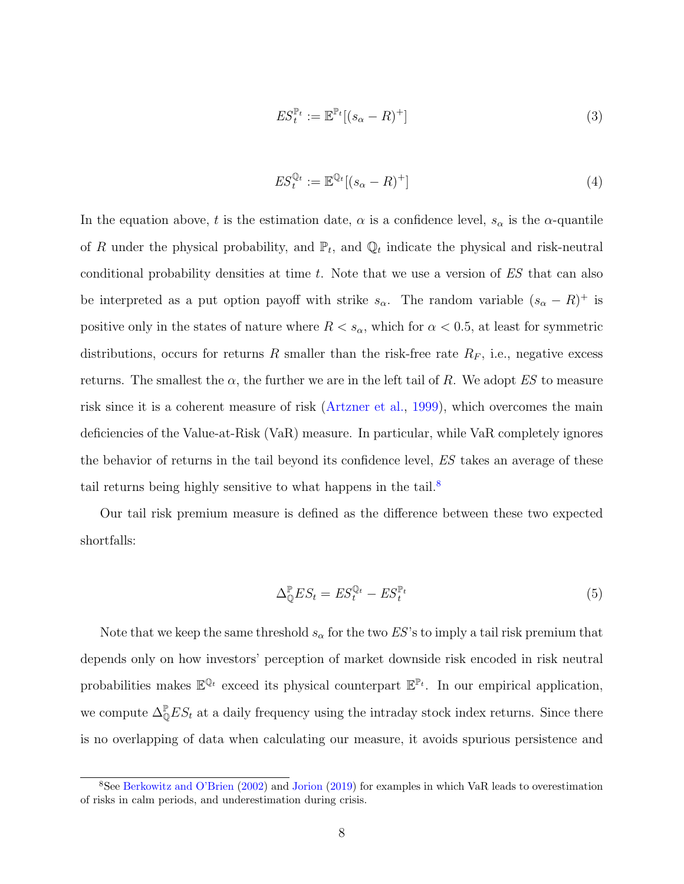<span id="page-8-1"></span>
$$
ES_t^{\mathbb{P}_t} := \mathbb{E}^{\mathbb{P}_t}[(s_\alpha - R)^+] \tag{3}
$$

<span id="page-8-2"></span>
$$
ES_t^{\mathbb{Q}_t} := \mathbb{E}^{\mathbb{Q}_t}[(s_\alpha - R)^+]
$$
\n(4)

In the equation above, t is the estimation date,  $\alpha$  is a confidence level,  $s_{\alpha}$  is the  $\alpha$ -quantile of R under the physical probability, and  $\mathbb{P}_t$ , and  $\mathbb{Q}_t$  indicate the physical and risk-neutral conditional probability densities at time t. Note that we use a version of ES that can also be interpreted as a put option payoff with strike  $s_{\alpha}$ . The random variable  $(s_{\alpha} - R)^{+}$  is positive only in the states of nature where  $R < s_{\alpha}$ , which for  $\alpha < 0.5$ , at least for symmetric distributions, occurs for returns R smaller than the risk-free rate  $R_F$ , i.e., negative excess returns. The smallest the  $\alpha$ , the further we are in the left tail of R. We adopt ES to measure risk since it is a coherent measure of risk [\(Artzner et al.,](#page-28-9) [1999\)](#page-28-9), which overcomes the main deficiencies of the Value-at-Risk (VaR) measure. In particular, while VaR completely ignores the behavior of returns in the tail beyond its confidence level, ES takes an average of these tail returns being highly sensitive to what happens in the tail.<sup>[8](#page-8-0)</sup>

Our tail risk premium measure is defined as the difference between these two expected shortfalls:

$$
\Delta_{\mathbb{Q}}^{\mathbb{P}} ES_t = ES_t^{\mathbb{Q}_t} - ES_t^{\mathbb{P}_t} \tag{5}
$$

Note that we keep the same threshold  $s_{\alpha}$  for the two ES's to imply a tail risk premium that depends only on how investors' perception of market downside risk encoded in risk neutral probabilities makes  $\mathbb{E}^{\mathbb{Q}_t}$  exceed its physical counterpart  $\mathbb{E}^{\mathbb{P}_t}$ . In our empirical application, we compute  $\Delta_{\mathbb{Q}}^{\mathbb{P}} E S_t$  at a daily frequency using the intraday stock index returns. Since there is no overlapping of data when calculating our measure, it avoids spurious persistence and

<span id="page-8-0"></span><sup>8</sup>See [Berkowitz and O'Brien](#page-29-11) [\(2002\)](#page-29-11) and [Jorion](#page-30-8) [\(2019\)](#page-30-8) for examples in which VaR leads to overestimation of risks in calm periods, and underestimation during crisis.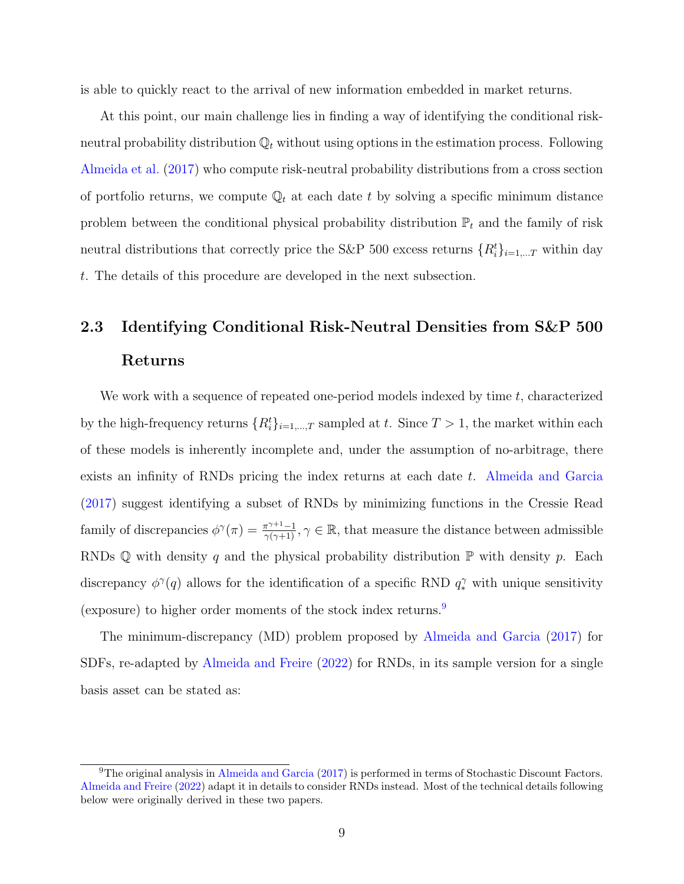is able to quickly react to the arrival of new information embedded in market returns.

At this point, our main challenge lies in finding a way of identifying the conditional riskneutral probability distribution  $\mathbb{Q}_t$  without using options in the estimation process. Following [Almeida et al.](#page-28-7) [\(2017\)](#page-28-7) who compute risk-neutral probability distributions from a cross section of portfolio returns, we compute  $\mathbb{Q}_t$  at each date t by solving a specific minimum distance problem between the conditional physical probability distribution  $\mathbb{P}_t$  and the family of risk neutral distributions that correctly price the S&P 500 excess returns  $\{R_i^t\}_{i=1,\dots T}$  within day t. The details of this procedure are developed in the next subsection.

## <span id="page-9-1"></span>2.3 Identifying Conditional Risk-Neutral Densities from S&P 500 Returns

We work with a sequence of repeated one-period models indexed by time  $t$ , characterized by the high-frequency returns  $\{R_i^t\}_{i=1,\dots,T}$  sampled at t. Since  $T > 1$ , the market within each of these models is inherently incomplete and, under the assumption of no-arbitrage, there exists an infinity of RNDs pricing the index returns at each date t. [Almeida and Garcia](#page-28-10) [\(2017\)](#page-28-10) suggest identifying a subset of RNDs by minimizing functions in the Cressie Read family of discrepancies  $\phi^{\gamma}(\pi) = \frac{\pi^{\gamma+1}-1}{\gamma(\gamma+1)}, \gamma \in \mathbb{R}$ , that measure the distance between admissible RNDs Q with density q and the physical probability distribution  $\mathbb P$  with density p. Each discrepancy  $\phi^{\gamma}(q)$  allows for the identification of a specific RND  $q_{*}^{\gamma}$  with unique sensitivity (exposure) to higher order moments of the stock index returns.[9](#page-9-0)

The minimum-discrepancy (MD) problem proposed by [Almeida and Garcia](#page-28-10) [\(2017\)](#page-28-10) for SDFs, re-adapted by [Almeida and Freire](#page-28-11) [\(2022\)](#page-28-11) for RNDs, in its sample version for a single basis asset can be stated as:

<span id="page-9-0"></span><sup>&</sup>lt;sup>9</sup>The original analysis in [Almeida and Garcia](#page-28-10) [\(2017\)](#page-28-10) is performed in terms of Stochastic Discount Factors. [Almeida and Freire](#page-28-11) [\(2022\)](#page-28-11) adapt it in details to consider RNDs instead. Most of the technical details following below were originally derived in these two papers.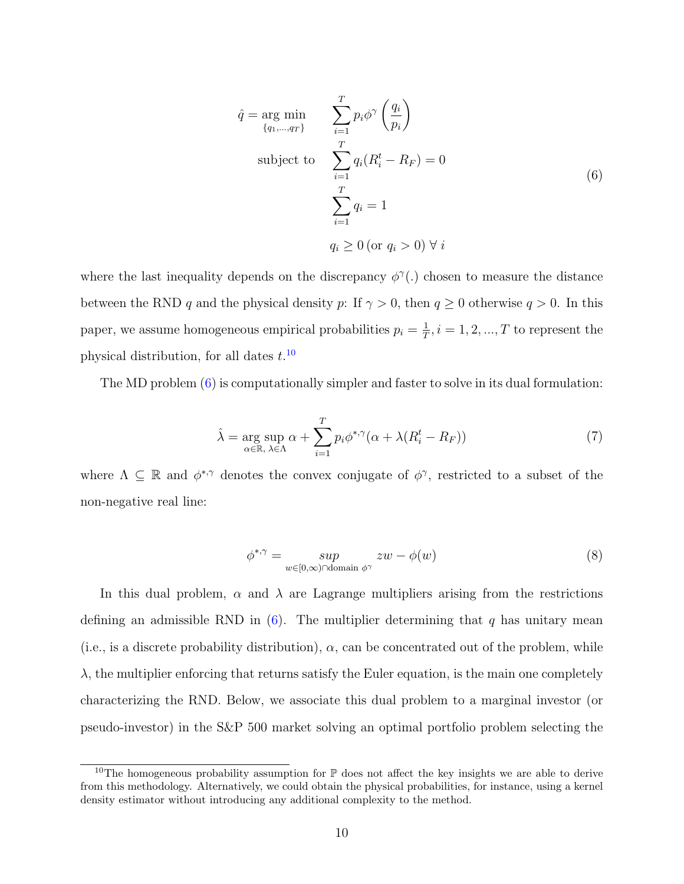<span id="page-10-1"></span>
$$
\hat{q} = \underset{\{q_1, \dots, q_T\}}{\text{arg min}} \qquad \sum_{i=1}^{T} p_i \phi^{\gamma} \left(\frac{q_i}{p_i}\right)
$$
\n
$$
\text{subject to} \qquad \sum_{i=1}^{T} q_i (R_i^t - R_F) = 0
$$
\n
$$
\sum_{i=1}^{T} q_i = 1
$$
\n
$$
q_i \ge 0 \text{ (or } q_i > 0) \forall i
$$
\n(6)

where the last inequality depends on the discrepancy  $\phi^{\gamma}$ . chosen to measure the distance between the RND q and the physical density p: If  $\gamma > 0$ , then  $q \ge 0$  otherwise  $q > 0$ . In this paper, we assume homogeneous empirical probabilities  $p_i = \frac{1}{l}$  $\frac{1}{T}$ ,  $i = 1, 2, ..., T$  to represent the physical distribution, for all dates  $t^{10}$  $t^{10}$  $t^{10}$ .

The MD problem [\(6\)](#page-10-1) is computationally simpler and faster to solve in its dual formulation:

$$
\hat{\lambda} = \underset{\alpha \in \mathbb{R}, \ \lambda \in \Lambda}{\arg \sup} \alpha + \sum_{i=1}^{T} p_i \phi^{*,\gamma} (\alpha + \lambda (R_i^t - R_F)) \tag{7}
$$

where  $\Lambda \subseteq \mathbb{R}$  and  $\phi^{*,\gamma}$  denotes the convex conjugate of  $\phi^{\gamma}$ , restricted to a subset of the non-negative real line:

$$
\phi^{*,\gamma} = \sup_{w \in [0,\infty) \cap \text{domain } \phi^{\gamma}} zw - \phi(w) \tag{8}
$$

In this dual problem,  $\alpha$  and  $\lambda$  are Lagrange multipliers arising from the restrictions defining an admissible RND in  $(6)$ . The multiplier determining that q has unitary mean (i.e., is a discrete probability distribution),  $\alpha$ , can be concentrated out of the problem, while  $\lambda$ , the multiplier enforcing that returns satisfy the Euler equation, is the main one completely characterizing the RND. Below, we associate this dual problem to a marginal investor (or pseudo-investor) in the S&P 500 market solving an optimal portfolio problem selecting the

<span id="page-10-0"></span><sup>&</sup>lt;sup>10</sup>The homogeneous probability assumption for  $\mathbb P$  does not affect the key insights we are able to derive from this methodology. Alternatively, we could obtain the physical probabilities, for instance, using a kernel density estimator without introducing any additional complexity to the method.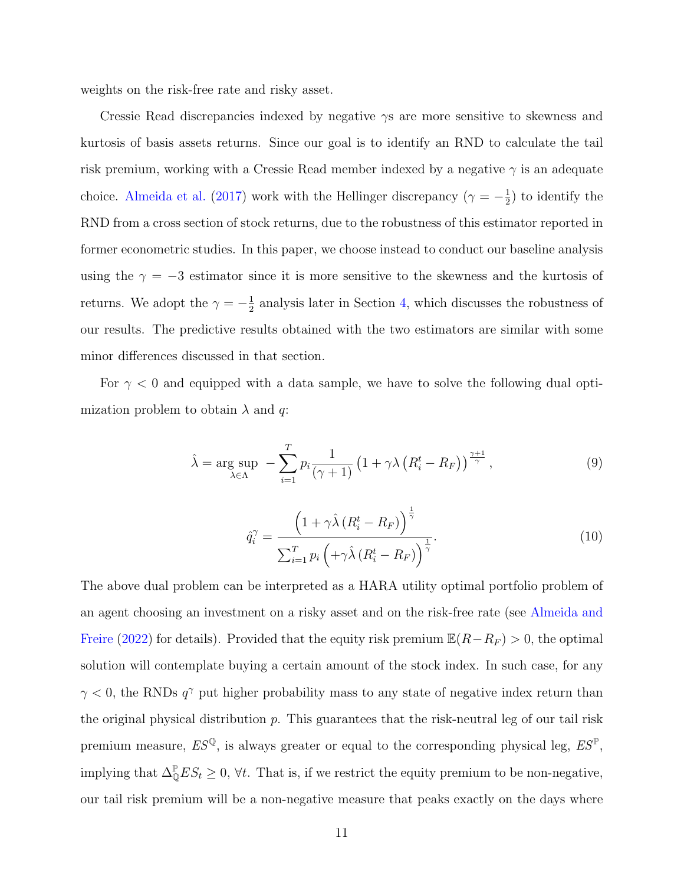weights on the risk-free rate and risky asset.

Cressie Read discrepancies indexed by negative  $\gamma s$  are more sensitive to skewness and kurtosis of basis assets returns. Since our goal is to identify an RND to calculate the tail risk premium, working with a Cressie Read member indexed by a negative  $\gamma$  is an adequate choice. [Almeida et al.](#page-28-7) [\(2017\)](#page-28-7) work with the Hellinger discrepancy ( $\gamma = -\frac{1}{2}$  $(\frac{1}{2})$  to identify the RND from a cross section of stock returns, due to the robustness of this estimator reported in former econometric studies. In this paper, we choose instead to conduct our baseline analysis using the  $\gamma = -3$  estimator since it is more sensitive to the skewness and the kurtosis of returns. We adopt the  $\gamma = -\frac{1}{2}$  $\frac{1}{2}$  analysis later in Section [4,](#page-23-0) which discusses the robustness of our results. The predictive results obtained with the two estimators are similar with some minor differences discussed in that section.

For  $\gamma$  < 0 and equipped with a data sample, we have to solve the following dual optimization problem to obtain  $\lambda$  and q:

$$
\hat{\lambda} = \underset{\lambda \in \Lambda}{\arg \sup} \ -\sum_{i=1}^{T} p_i \frac{1}{(\gamma+1)} \left(1 + \gamma \lambda \left(R_i^t - R_F\right)\right)^{\frac{\gamma+1}{\gamma}},\tag{9}
$$

$$
\hat{q}_i^{\gamma} = \frac{\left(1 + \gamma \hat{\lambda} \left(R_i^t - R_F\right)\right)^{\frac{1}{\gamma}}}{\sum_{i=1}^T p_i \left(+\gamma \hat{\lambda} \left(R_i^t - R_F\right)\right)^{\frac{1}{\gamma}}}.
$$
\n(10)

The above dual problem can be interpreted as a HARA utility optimal portfolio problem of an agent choosing an investment on a risky asset and on the risk-free rate (see [Almeida and](#page-28-11) [Freire](#page-28-11) [\(2022\)](#page-28-11) for details). Provided that the equity risk premium  $\mathbb{E}(R-R_F) > 0$ , the optimal solution will contemplate buying a certain amount of the stock index. In such case, for any  $\gamma$  < 0, the RNDs  $q^{\gamma}$  put higher probability mass to any state of negative index return than the original physical distribution  $p$ . This guarantees that the risk-neutral leg of our tail risk premium measure,  $ES^{\mathbb{Q}}$ , is always greater or equal to the corresponding physical leg,  $ES^{\mathbb{P}}$ , implying that  $\Delta_{\mathbb{Q}}^{\mathbb{P}} E S_t \geq 0$ ,  $\forall t$ . That is, if we restrict the equity premium to be non-negative, our tail risk premium will be a non-negative measure that peaks exactly on the days where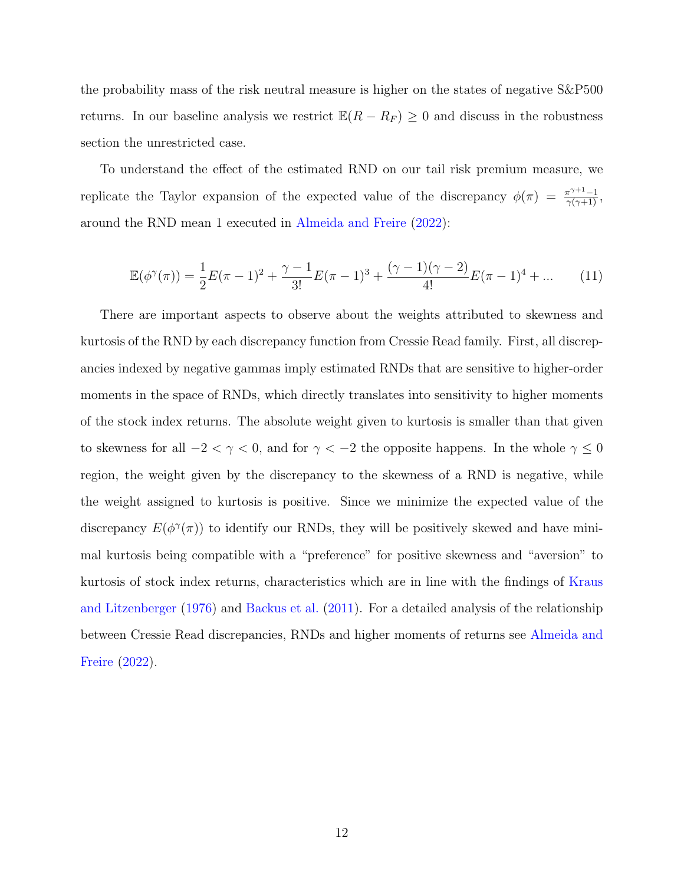the probability mass of the risk neutral measure is higher on the states of negative S&P500 returns. In our baseline analysis we restrict  $\mathbb{E}(R - R_F) \geq 0$  and discuss in the robustness section the unrestricted case.

To understand the effect of the estimated RND on our tail risk premium measure, we replicate the Taylor expansion of the expected value of the discrepancy  $\phi(\pi) = \frac{\pi^{\gamma+1}-1}{\gamma(\gamma+1)}$ , around the RND mean 1 executed in [Almeida and Freire](#page-28-11) [\(2022\)](#page-28-11):

$$
\mathbb{E}(\phi^{\gamma}(\pi)) = \frac{1}{2}E(\pi - 1)^{2} + \frac{\gamma - 1}{3!}E(\pi - 1)^{3} + \frac{(\gamma - 1)(\gamma - 2)}{4!}E(\pi - 1)^{4} + \dots \qquad (11)
$$

There are important aspects to observe about the weights attributed to skewness and kurtosis of the RND by each discrepancy function from Cressie Read family. First, all discrepancies indexed by negative gammas imply estimated RNDs that are sensitive to higher-order moments in the space of RNDs, which directly translates into sensitivity to higher moments of the stock index returns. The absolute weight given to kurtosis is smaller than that given to skewness for all  $-2<\gamma<0,$  and for  $\gamma<-2$  the opposite happens. In the whole  $\gamma\leq 0$ region, the weight given by the discrepancy to the skewness of a RND is negative, while the weight assigned to kurtosis is positive. Since we minimize the expected value of the discrepancy  $E(\phi^{\gamma}(\pi))$  to identify our RNDs, they will be positively skewed and have minimal kurtosis being compatible with a "preference" for positive skewness and "aversion" to kurtosis of stock index returns, characteristics which are in line with the findings of [Kraus](#page-30-9) [and Litzenberger](#page-30-9) [\(1976\)](#page-30-9) and [Backus et al.](#page-28-12) [\(2011\)](#page-28-12). For a detailed analysis of the relationship between Cressie Read discrepancies, RNDs and higher moments of returns see [Almeida and](#page-28-11) [Freire](#page-28-11) [\(2022\)](#page-28-11).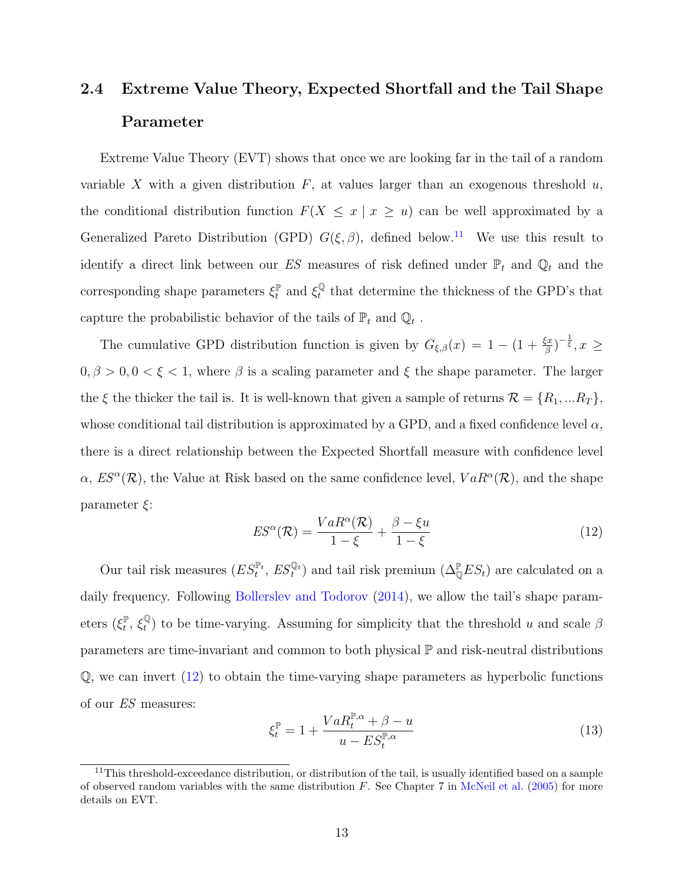## <span id="page-13-0"></span>2.4 Extreme Value Theory, Expected Shortfall and the Tail Shape Parameter

Extreme Value Theory (EVT) shows that once we are looking far in the tail of a random variable X with a given distribution  $F$ , at values larger than an exogenous threshold  $u$ , the conditional distribution function  $F(X \leq x | x \geq u)$  can be well approximated by a Generalized Pareto Distribution (GPD)  $G(\xi, \beta)$ , defined below.<sup>[11](#page-13-1)</sup> We use this result to identify a direct link between our  $ES$  measures of risk defined under  $\mathbb{P}_t$  and  $\mathbb{Q}_t$  and the corresponding shape parameters  $\xi_t^{\mathbb{P}}$  $\mathbf{f}_t^{\mathbb{P}}$  and  $\mathbf{f}_t^{\mathbb{Q}}$  $t_t^{\mathbb{Q}}$  that determine the thickness of the GPD's that capture the probabilistic behavior of the tails of  $\mathbb{P}_t$  and  $\mathbb{Q}_t$ .

The cumulative GPD distribution function is given by  $G_{\xi,\beta}(x) = 1 - (1 + \frac{\xi x}{\beta})^{-\frac{1}{\xi}}, x \geq$  $0, \beta > 0, 0 < \xi < 1$ , where  $\beta$  is a scaling parameter and  $\xi$  the shape parameter. The larger the  $\xi$  the thicker the tail is. It is well-known that given a sample of returns  $\mathcal{R} = \{R_1, ... R_T\}$ , whose conditional tail distribution is approximated by a GPD, and a fixed confidence level  $\alpha$ , there is a direct relationship between the Expected Shortfall measure with confidence level  $\alpha$ ,  $ES^{\alpha}(\mathcal{R})$ , the Value at Risk based on the same confidence level,  $VaR^{\alpha}(\mathcal{R})$ , and the shape parameter  $\xi$ :

<span id="page-13-2"></span>
$$
ES^{\alpha}(\mathcal{R}) = \frac{VaR^{\alpha}(\mathcal{R})}{1-\xi} + \frac{\beta - \xi u}{1-\xi}
$$
\n(12)

Our tail risk measures  $(ES_t^{\mathbb{P}_t}, ES_t^{\mathbb{Q}_t})$  and tail risk premium  $(\Delta_{\mathbb{Q}}^{\mathbb{P}} ES_t)$  are calculated on a daily frequency. Following [Bollerslev and Todorov](#page-29-1)  $(2014)$ , we allow the tail's shape parameters  $(\xi_t^{\mathbb{P}})$  $t^{\mathbb{P}}, \, \xi_t^{\mathbb{Q}}$  $_{t}^{\mathbb{Q}}$ ) to be time-varying. Assuming for simplicity that the threshold u and scale  $\beta$ parameters are time-invariant and common to both physical P and risk-neutral distributions  $\mathbb Q$ , we can invert  $(12)$  to obtain the time-varying shape parameters as hyperbolic functions of our ES measures:

$$
\xi_t^{\mathbb{P}} = 1 + \frac{VaR_t^{\mathbb{P},\alpha} + \beta - u}{u - ES_t^{\mathbb{P},\alpha}}
$$
\n(13)

<span id="page-13-1"></span><sup>&</sup>lt;sup>11</sup>This threshold-exceedance distribution, or distribution of the tail, is usually identified based on a sample of observed random variables with the same distribution  $F$ . See Chapter 7 in [McNeil et al.](#page-30-10) [\(2005\)](#page-30-10) for more details on EVT.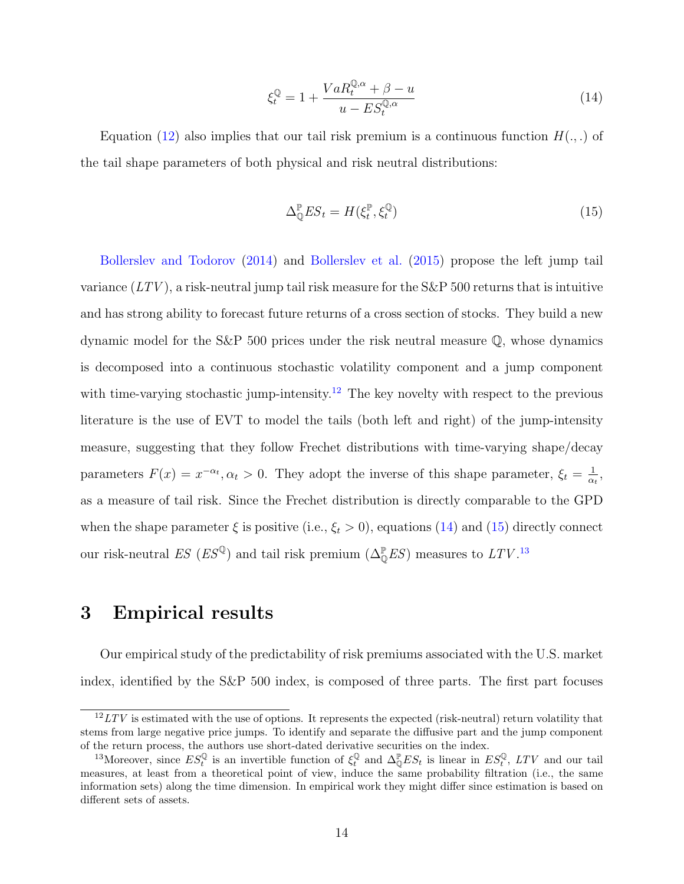<span id="page-14-2"></span>
$$
\xi_t^{\mathbb{Q}} = 1 + \frac{VaR_t^{\mathbb{Q},\alpha} + \beta - u}{u - ES_t^{\mathbb{Q},\alpha}}
$$
\n(14)

Equation [\(12\)](#page-13-2) also implies that our tail risk premium is a continuous function  $H(.,.)$  of the tail shape parameters of both physical and risk neutral distributions:

<span id="page-14-3"></span>
$$
\Delta_{\mathbb{Q}}^{\mathbb{P}} E S_t = H(\xi_t^{\mathbb{P}}, \xi_t^{\mathbb{Q}})
$$
\n(15)

[Bollerslev and Todorov](#page-29-1) [\(2014\)](#page-29-1) and [Bollerslev et al.](#page-29-0) [\(2015\)](#page-29-0) propose the left jump tail variance  $(LTV)$ , a risk-neutral jump tail risk measure for the S&P 500 returns that is intuitive and has strong ability to forecast future returns of a cross section of stocks. They build a new dynamic model for the S&P 500 prices under the risk neutral measure Q, whose dynamics is decomposed into a continuous stochastic volatility component and a jump component with time-varying stochastic jump-intensity.<sup>[12](#page-14-1)</sup> The key novelty with respect to the previous literature is the use of EVT to model the tails (both left and right) of the jump-intensity measure, suggesting that they follow Frechet distributions with time-varying shape/decay parameters  $F(x) = x^{-\alpha_t}, \alpha_t > 0$ . They adopt the inverse of this shape parameter,  $\xi_t = \frac{1}{\alpha_t}$  $\frac{1}{\alpha_t}$ , as a measure of tail risk. Since the Frechet distribution is directly comparable to the GPD when the shape parameter  $\xi$  is positive (i.e.,  $\xi_t > 0$ ), equations [\(14\)](#page-14-2) and [\(15\)](#page-14-3) directly connect our risk-neutral  $ES (ES^{\mathbb{Q}})$  and tail risk premium  $(\Delta_{\mathbb{Q}}^{\mathbb{P}} ES)$  measures to  $LTV$ .<sup>[13](#page-14-4)</sup>

### <span id="page-14-0"></span>3 Empirical results

Our empirical study of the predictability of risk premiums associated with the U.S. market index, identified by the S&P 500 index, is composed of three parts. The first part focuses

<span id="page-14-1"></span> $12$  LTV is estimated with the use of options. It represents the expected (risk-neutral) return volatility that stems from large negative price jumps. To identify and separate the diffusive part and the jump component of the return process, the authors use short-dated derivative securities on the index.

<span id="page-14-4"></span><sup>&</sup>lt;sup>13</sup>Moreover, since  $ES_t^{\mathbb{Q}}$  is an invertible function of  $\xi_t^{\mathbb{Q}}$  and  $\Delta_{\mathbb{Q}}^{\mathbb{P}} ES_t$  is linear in  $ES_t^{\mathbb{Q}}$ , LTV and our tail measures, at least from a theoretical point of view, induce the same probability filtration (i.e., the same information sets) along the time dimension. In empirical work they might differ since estimation is based on different sets of assets.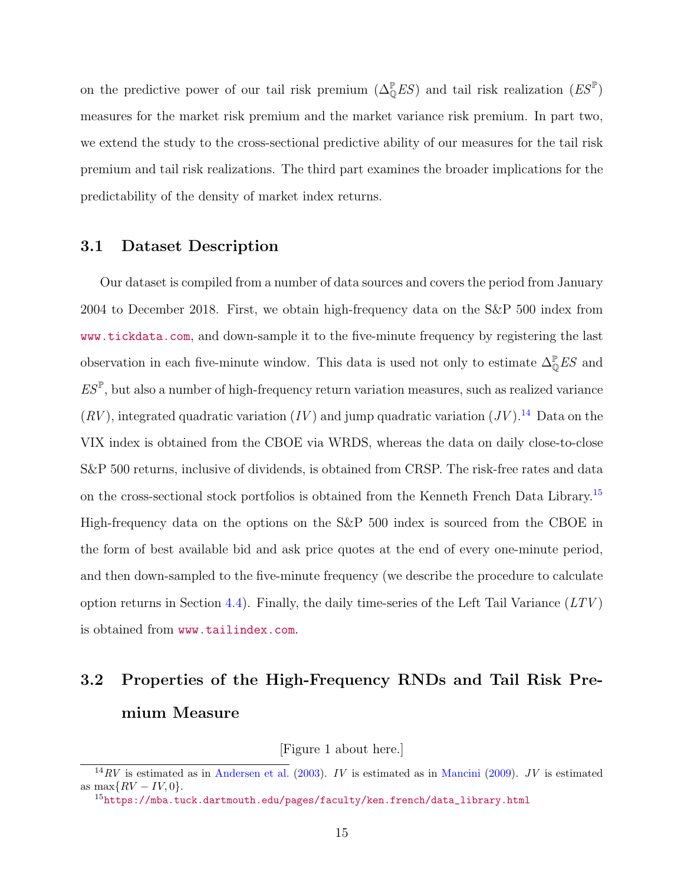on the predictive power of our tail risk premium  $(\Delta_{\mathbb{Q}}^{\mathbb{P}} E S)$  and tail risk realization  $(E S^{\mathbb{P}})$ measures for the market risk premium and the market variance risk premium. In part two, we extend the study to the cross-sectional predictive ability of our measures for the tail risk premium and tail risk realizations. The third part examines the broader implications for the predictability of the density of market index returns.

### 3.1 Dataset Description

Our dataset is compiled from a number of data sources and covers the period from January 2004 to December 2018. First, we obtain high-frequency data on the S&P 500 index from <www.tickdata.com>, and down-sample it to the five-minute frequency by registering the last observation in each five-minute window. This data is used not only to estimate  $\Delta_{\mathbb{Q}}^{\mathbb{P}} E S$  and  $ES^{\mathbb{P}}$ , but also a number of high-frequency return variation measures, such as realized variance  $(RV)$ , integrated quadratic variation  $(IV)$  and jump quadratic variation  $(JV)$ .<sup>[14](#page-15-0)</sup> Data on the VIX index is obtained from the CBOE via WRDS, whereas the data on daily close-to-close S&P 500 returns, inclusive of dividends, is obtained from CRSP. The risk-free rates and data on the cross-sectional stock portfolios is obtained from the Kenneth French Data Library.<sup>[15](#page-15-1)</sup> High-frequency data on the options on the S&P 500 index is sourced from the CBOE in the form of best available bid and ask price quotes at the end of every one-minute period, and then down-sampled to the five-minute frequency (we describe the procedure to calculate option returns in Section [4.4\)](#page-26-0). Finally, the daily time-series of the Left Tail Variance  $(LTV)$ is obtained from <www.tailindex.com>.

## 3.2 Properties of the High-Frequency RNDs and Tail Risk Premium Measure

[Figure 1 about here.]

<span id="page-15-0"></span> $14RV$  is estimated as in [Andersen et al.](#page-28-13) [\(2003\)](#page-28-13). IV is estimated as in [Mancini](#page-30-11) [\(2009\)](#page-30-11). JV is estimated as max $\{RV - IV, 0\}.$ 

<span id="page-15-1"></span> $^{15}$ [https://mba.tuck.dartmouth.edu/pages/faculty/ken.french/data\\_library.html](https://mba.tuck.dartmouth.edu/pages/faculty/ken.french/data_library.html)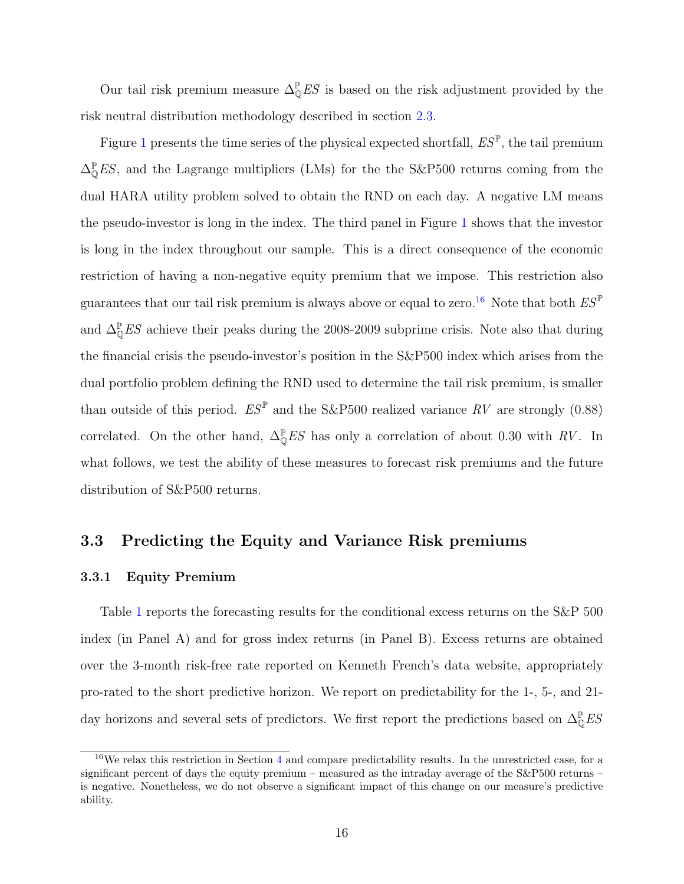Our tail risk premium measure  $\Delta_{\mathbb{Q}}^{\mathbb{P}} E S$  is based on the risk adjustment provided by the risk neutral distribution methodology described in section [2.3.](#page-9-1)

Figure [1](#page-31-0) presents the time series of the physical expected shortfall,  $ES^{\mathbb{P}}$ , the tail premium  $\Delta_{\mathbb{Q}}^{\mathbb{P}} E S$ , and the Lagrange multipliers (LMs) for the the S&P500 returns coming from the dual HARA utility problem solved to obtain the RND on each day. A negative LM means the pseudo-investor is long in the index. The third panel in Figure [1](#page-31-0) shows that the investor is long in the index throughout our sample. This is a direct consequence of the economic restriction of having a non-negative equity premium that we impose. This restriction also guarantees that our tail risk premium is always above or equal to zero.<sup>[16](#page-16-0)</sup> Note that both  $ES^{\mathbb{P}}$ and  $\Delta_{\mathbb{Q}}^{\mathbb{P}} ES$  achieve their peaks during the 2008-2009 subprime crisis. Note also that during the financial crisis the pseudo-investor's position in the S&P500 index which arises from the dual portfolio problem defining the RND used to determine the tail risk premium, is smaller than outside of this period.  $ES^{\mathbb{P}}$  and the S&P500 realized variance RV are strongly (0.88) correlated. On the other hand,  $\Delta_{\mathbb{Q}}^{\mathbb{P}} E S$  has only a correlation of about 0.30 with RV. In what follows, we test the ability of these measures to forecast risk premiums and the future distribution of S&P500 returns.

### 3.3 Predicting the Equity and Variance Risk premiums

### <span id="page-16-1"></span>3.3.1 Equity Premium

Table [1](#page-34-0) reports the forecasting results for the conditional excess returns on the S&P 500 index (in Panel A) and for gross index returns (in Panel B). Excess returns are obtained over the 3-month risk-free rate reported on Kenneth French's data website, appropriately pro-rated to the short predictive horizon. We report on predictability for the 1-, 5-, and 21 day horizons and several sets of predictors. We first report the predictions based on  $\Delta_0^{\mathbb{P}} E S$ 

<span id="page-16-0"></span> $16\text{We relax this restriction in Section 4 and compare predictability results. In the unrestricted case, for a$  $16\text{We relax this restriction in Section 4 and compare predictability results. In the unrestricted case, for a$  $16\text{We relax this restriction in Section 4 and compare predictability results. In the unrestricted case, for a$ significant percent of days the equity premium – measured as the intraday average of the S&P500 returns – is negative. Nonetheless, we do not observe a significant impact of this change on our measure's predictive ability.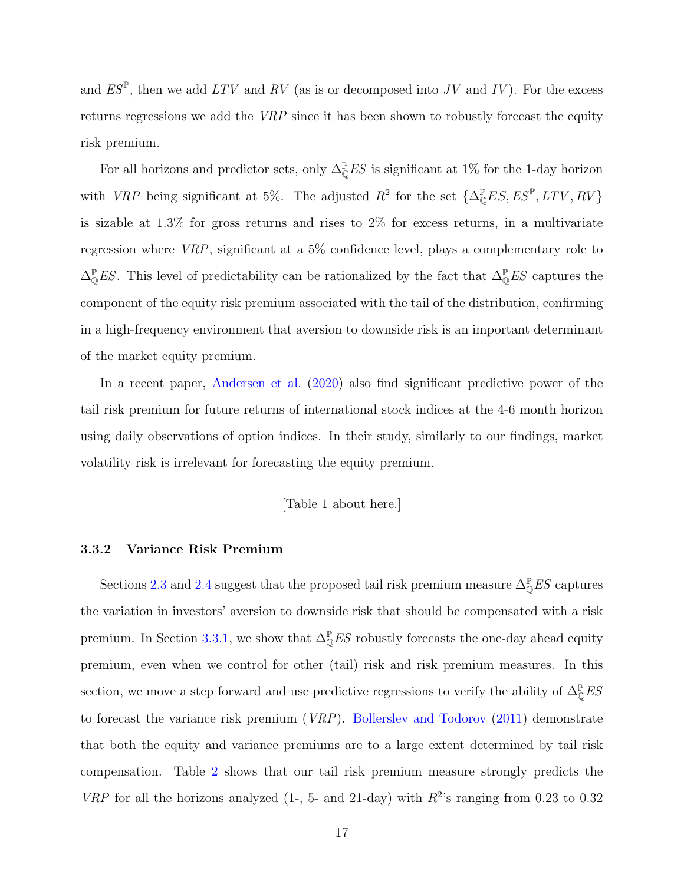and  $ES^{\mathbb{P}}$ , then we add  $LTV$  and RV (as is or decomposed into JV and IV). For the excess returns regressions we add the VRP since it has been shown to robustly forecast the equity risk premium.

For all horizons and predictor sets, only  $\Delta_{\mathbb{Q}}^{\mathbb{P}} E S$  is significant at 1% for the 1-day horizon with VRP being significant at 5%. The adjusted  $R^2$  for the set  $\{\Delta_{\mathbb{Q}}^{\mathbb{P}}ES, ES^{\mathbb{P}}, LTV, RV\}$ is sizable at 1.3% for gross returns and rises to 2% for excess returns, in a multivariate regression where VRP, significant at a 5% confidence level, plays a complementary role to  $\Delta_{\mathbb{Q}}^{\mathbb{P}} E S$ . This level of predictability can be rationalized by the fact that  $\Delta_{\mathbb{Q}}^{\mathbb{P}} E S$  captures the component of the equity risk premium associated with the tail of the distribution, confirming in a high-frequency environment that aversion to downside risk is an important determinant of the market equity premium.

In a recent paper, [Andersen et al.](#page-28-6) [\(2020\)](#page-28-6) also find significant predictive power of the tail risk premium for future returns of international stock indices at the 4-6 month horizon using daily observations of option indices. In their study, similarly to our findings, market volatility risk is irrelevant for forecasting the equity premium.

### [Table 1 about here.]

### 3.3.2 Variance Risk Premium

Sections [2.3](#page-9-1) and [2.4](#page-13-0) suggest that the proposed tail risk premium measure  $\Delta_{\mathbb{Q}}^{\mathbb{P}} E S$  captures the variation in investors' aversion to downside risk that should be compensated with a risk premium. In Section [3.3.1,](#page-16-1) we show that  $\Delta_{\mathbb{Q}}^{\mathbb{P}} ES$  robustly forecasts the one-day ahead equity premium, even when we control for other (tail) risk and risk premium measures. In this section, we move a step forward and use predictive regressions to verify the ability of  $\Delta_{\mathbb{Q}}^{\mathbb{P}} E S$ to forecast the variance risk premium (VRP). [Bollerslev and Todorov](#page-29-3) [\(2011\)](#page-29-3) demonstrate that both the equity and variance premiums are to a large extent determined by tail risk compensation. Table [2](#page-35-0) shows that our tail risk premium measure strongly predicts the VRP for all the horizons analyzed (1-, 5- and 21-day) with  $R^2$ 's ranging from 0.23 to 0.32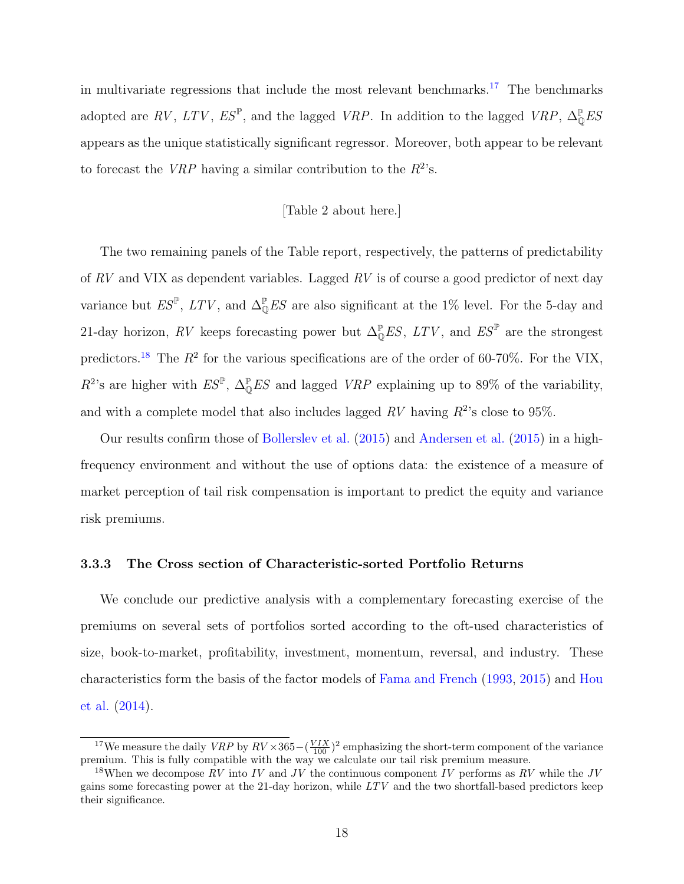in multivariate regressions that include the most relevant benchmarks.<sup>[17](#page-18-0)</sup> The benchmarks adopted are RV, LTV,  $ES^{\mathbb{P}}$ , and the lagged VRP. In addition to the lagged VRP,  $\Delta_{\mathbb{Q}}^{\mathbb{P}} ES$ appears as the unique statistically significant regressor. Moreover, both appear to be relevant to forecast the *VRP* having a similar contribution to the  $R^2$ 's.

### [Table 2 about here.]

The two remaining panels of the Table report, respectively, the patterns of predictability of  $RV$  and VIX as dependent variables. Lagged  $RV$  is of course a good predictor of next day variance but  $ES^{\mathbb{P}}$ ,  $LTV$ , and  $\Delta_{\mathbb{Q}}^{\mathbb{P}} ES$  are also significant at the 1% level. For the 5-day and 21-day horizon, RV keeps forecasting power but  $\Delta_{\mathbb{Q}}^{\mathbb{P}}ES$ ,  $LTV$ , and  $ES^{\mathbb{P}}$  are the strongest predictors.<sup>[18](#page-18-1)</sup> The  $R^2$  for the various specifications are of the order of 60-70%. For the VIX,  $R^2$ 's are higher with  $ES^{\mathbb{P}}, \Delta^{\mathbb{P}}_0 ES$  and lagged  $VRP$  explaining up to 89% of the variability, and with a complete model that also includes lagged  $RV$  having  $R^2$ 's close to 95%.

Our results confirm those of [Bollerslev et al.](#page-29-0) [\(2015\)](#page-29-0) and [Andersen et al.](#page-28-3) [\(2015\)](#page-28-3) in a highfrequency environment and without the use of options data: the existence of a measure of market perception of tail risk compensation is important to predict the equity and variance risk premiums.

### 3.3.3 The Cross section of Characteristic-sorted Portfolio Returns

We conclude our predictive analysis with a complementary forecasting exercise of the premiums on several sets of portfolios sorted according to the oft-used characteristics of size, book-to-market, profitability, investment, momentum, reversal, and industry. These characteristics form the basis of the factor models of [Fama and French](#page-29-12) [\(1993,](#page-29-12) [2015\)](#page-29-13) and [Hou](#page-30-12) [et al.](#page-30-12) [\(2014\)](#page-30-12).

<span id="page-18-0"></span><sup>&</sup>lt;sup>17</sup>We measure the daily  $VRP$  by  $RV \times 365 - (\frac{VIX}{100})^2$  emphasizing the short-term component of the variance premium. This is fully compatible with the way we calculate our tail risk premium measure.

<span id="page-18-1"></span><sup>&</sup>lt;sup>18</sup>When we decompose RV into IV and JV the continuous component IV performs as RV while the JV gains some forecasting power at the 21-day horizon, while LTV and the two shortfall-based predictors keep their significance.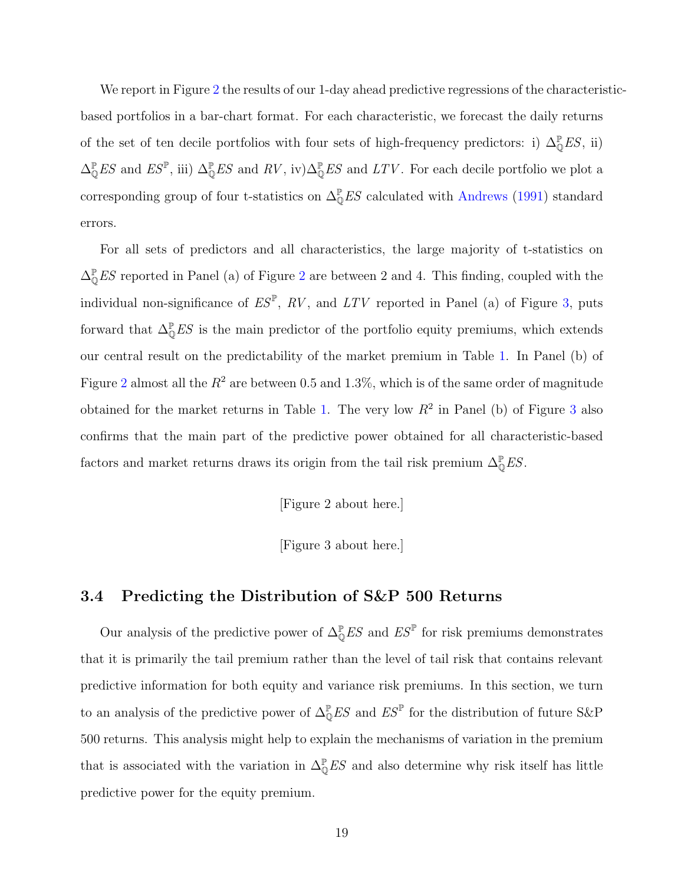We report in Figure [2](#page-32-0) the results of our 1-day ahead predictive regressions of the characteristicbased portfolios in a bar-chart format. For each characteristic, we forecast the daily returns of the set of ten decile portfolios with four sets of high-frequency predictors: i)  $\Delta_0^{\mathbb{P}} E S$ , ii)  $\Delta_{\mathbb{Q}}^{\mathbb{P}}ES$  and  $ES^{\mathbb{P}},$  iii)  $\Delta_{\mathbb{Q}}^{\mathbb{P}}ES$  and  $RV$ , iv) $\Delta_{\mathbb{Q}}^{\mathbb{P}}ES$  and  $LTV$ . For each decile portfolio we plot a corresponding group of four t-statistics on  $\Delta_{\mathbb{Q}}^{\mathbb{P}} E S$  calculated with [Andrews](#page-28-14) [\(1991\)](#page-28-14) standard errors.

For all sets of predictors and all characteristics, the large majority of t-statistics on  $\Delta_{\mathbb{Q}}^{\mathbb{P}} ES$  reported in Panel (a) of Figure [2](#page-32-0) are between 2 and 4. This finding, coupled with the individual non-significance of  $ES^{\mathbb{P}}$ ,  $RV$ , and  $LTV$  reported in Panel (a) of Figure [3,](#page-33-0) puts forward that  $\Delta_{\mathbb{Q}}^{\mathbb{P}} E S$  is the main predictor of the portfolio equity premiums, which extends our central result on the predictability of the market premium in Table [1.](#page-34-0) In Panel (b) of Figure [2](#page-32-0) almost all the  $R^2$  are between 0.5 and 1.3%, which is of the same order of magnitude obtained for the market returns in Table [1.](#page-34-0) The very low  $R^2$  in Panel (b) of Figure [3](#page-33-0) also confirms that the main part of the predictive power obtained for all characteristic-based factors and market returns draws its origin from the tail risk premium  $\Delta_0^{\mathbb{P}} E S$ .

[Figure 2 about here.]

[Figure 3 about here.]

### 3.4 Predicting the Distribution of S&P 500 Returns

Our analysis of the predictive power of  $\Delta_{\mathbb{Q}}^{\mathbb{P}} E S$  and  $E S^{\mathbb{P}}$  for risk premiums demonstrates that it is primarily the tail premium rather than the level of tail risk that contains relevant predictive information for both equity and variance risk premiums. In this section, we turn to an analysis of the predictive power of  $\Delta_{\mathbb{Q}}^{\mathbb{P}} E S$  and  $E S^{\mathbb{P}}$  for the distribution of future S&P 500 returns. This analysis might help to explain the mechanisms of variation in the premium that is associated with the variation in  $\Delta_{\mathbb{Q}}^{\mathbb{P}} E S$  and also determine why risk itself has little predictive power for the equity premium.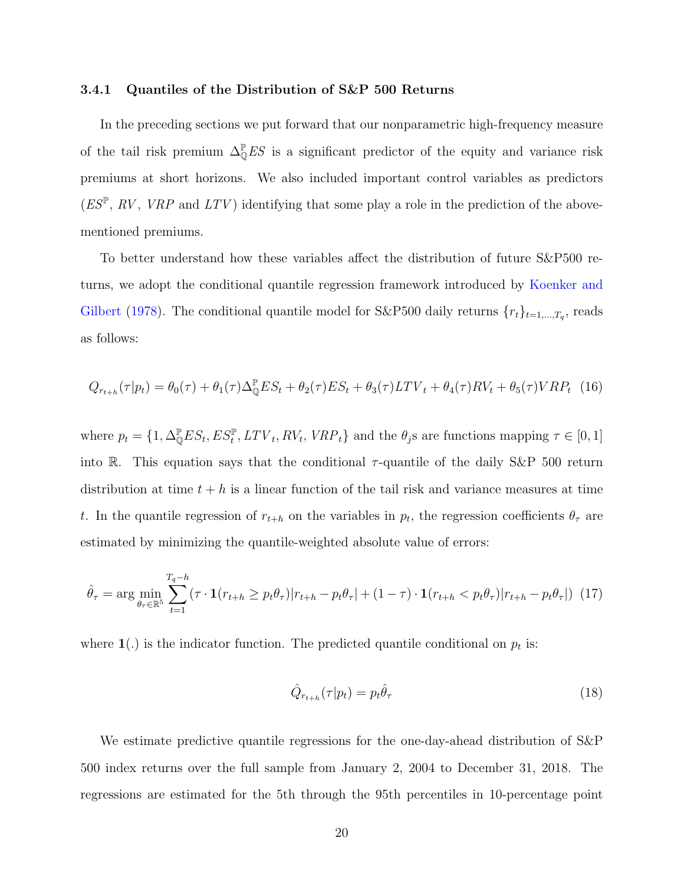#### 3.4.1 Quantiles of the Distribution of S&P 500 Returns

In the preceding sections we put forward that our nonparametric high-frequency measure of the tail risk premium  $\Delta_{\mathbb{Q}}^{\mathbb{P}} E S$  is a significant predictor of the equity and variance risk premiums at short horizons. We also included important control variables as predictors  $(ES^{\mathbb{P}}, RV, VRP \text{ and } LTV)$  identifying that some play a role in the prediction of the abovementioned premiums.

To better understand how these variables affect the distribution of future S&P500 returns, we adopt the conditional quantile regression framework introduced by [Koenker and](#page-30-0) [Gilbert](#page-30-0) [\(1978\)](#page-30-0). The conditional quantile model for S&P500 daily returns  $\{r_t\}_{t=1,\dots,T_q}$ , reads as follows:

$$
Q_{r_{t+h}}(\tau|p_t) = \theta_0(\tau) + \theta_1(\tau)\Delta_{\mathbb{Q}}^{\mathbb{P}} ES_t + \theta_2(\tau) ES_t + \theta_3(\tau) LTV_t + \theta_4(\tau) RV_t + \theta_5(\tau) VRP_t
$$
 (16)

where  $p_t = \{1, \Delta_{\mathbb{Q}}^{\mathbb{P}} ES_t, ES_t^{\mathbb{P}}, LTV_t, RV_t, VRP_t\}$  and the  $\theta_j$ s are functions mapping  $\tau \in [0, 1]$ into R. This equation says that the conditional  $\tau$ -quantile of the daily S&P 500 return distribution at time  $t + h$  is a linear function of the tail risk and variance measures at time t. In the quantile regression of  $r_{t+h}$  on the variables in  $p_t$ , the regression coefficients  $\theta_{\tau}$  are estimated by minimizing the quantile-weighted absolute value of errors:

$$
\hat{\theta}_{\tau} = \arg \min_{\theta_{\tau} \in \mathbb{R}^5} \sum_{t=1}^{T_q - h} (\tau \cdot \mathbf{1}(r_{t+h} \ge p_t \theta_{\tau}) | r_{t+h} - p_t \theta_{\tau} | + (1 - \tau) \cdot \mathbf{1}(r_{t+h} < p_t \theta_{\tau}) | r_{t+h} - p_t \theta_{\tau} |) \tag{17}
$$

where  $\mathbf{1}(.)$  is the indicator function. The predicted quantile conditional on  $p_t$  is:

$$
\hat{Q}_{r_{t+h}}(\tau|p_t) = p_t \hat{\theta}_\tau \tag{18}
$$

We estimate predictive quantile regressions for the one-day-ahead distribution of S&P 500 index returns over the full sample from January 2, 2004 to December 31, 2018. The regressions are estimated for the 5th through the 95th percentiles in 10-percentage point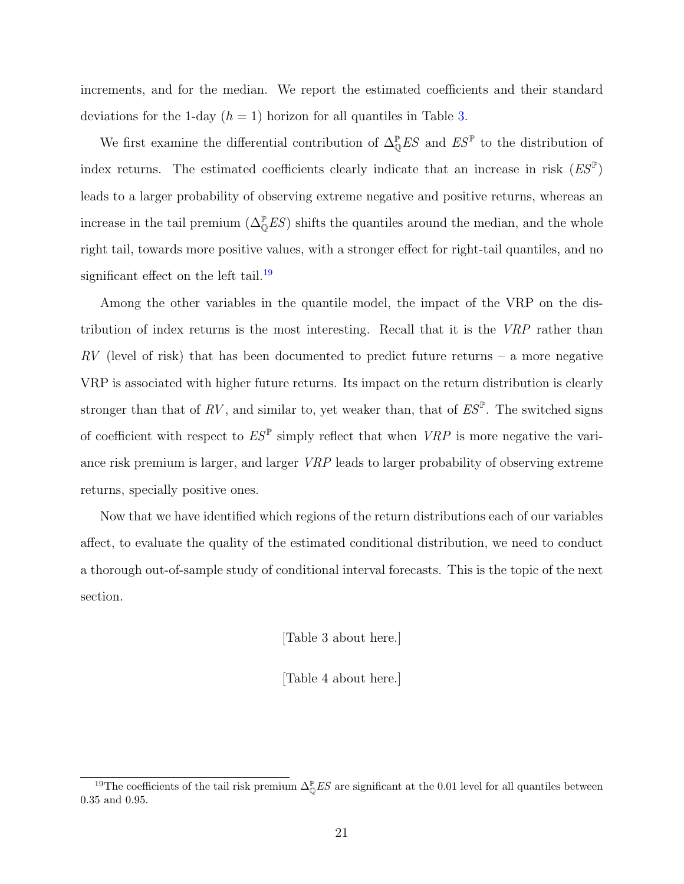increments, and for the median. We report the estimated coefficients and their standard deviations for the 1-day  $(h = 1)$  horizon for all quantiles in Table [3.](#page-36-0)

We first examine the differential contribution of  $\Delta_{\mathbb{Q}}^{\mathbb{P}}ES$  and  $ES^{\mathbb{P}}$  to the distribution of index returns. The estimated coefficients clearly indicate that an increase in risk  $(ES^{\mathbb{P}})$ leads to a larger probability of observing extreme negative and positive returns, whereas an increase in the tail premium  $(\Delta_{\mathbb{Q}}^{\mathbb{P}} E S)$  shifts the quantiles around the median, and the whole right tail, towards more positive values, with a stronger effect for right-tail quantiles, and no significant effect on the left tail.<sup>[19](#page-21-0)</sup>

Among the other variables in the quantile model, the impact of the VRP on the distribution of index returns is the most interesting. Recall that it is the VRP rather than  $RV$  (level of risk) that has been documented to predict future returns – a more negative VRP is associated with higher future returns. Its impact on the return distribution is clearly stronger than that of  $RV$ , and similar to, yet weaker than, that of  $ES^{\mathbb{P}}$ . The switched signs of coefficient with respect to  $ES^{\mathbb{P}}$  simply reflect that when  $VRP$  is more negative the variance risk premium is larger, and larger VRP leads to larger probability of observing extreme returns, specially positive ones.

Now that we have identified which regions of the return distributions each of our variables affect, to evaluate the quality of the estimated conditional distribution, we need to conduct a thorough out-of-sample study of conditional interval forecasts. This is the topic of the next section.

[Table 3 about here.]

[Table 4 about here.]

<span id="page-21-0"></span><sup>&</sup>lt;sup>19</sup>The coefficients of the tail risk premium  $\Delta_{\mathbb{Q}}^{\mathbb{P}} E S$  are significant at the 0.01 level for all quantiles between 0.35 and 0.95.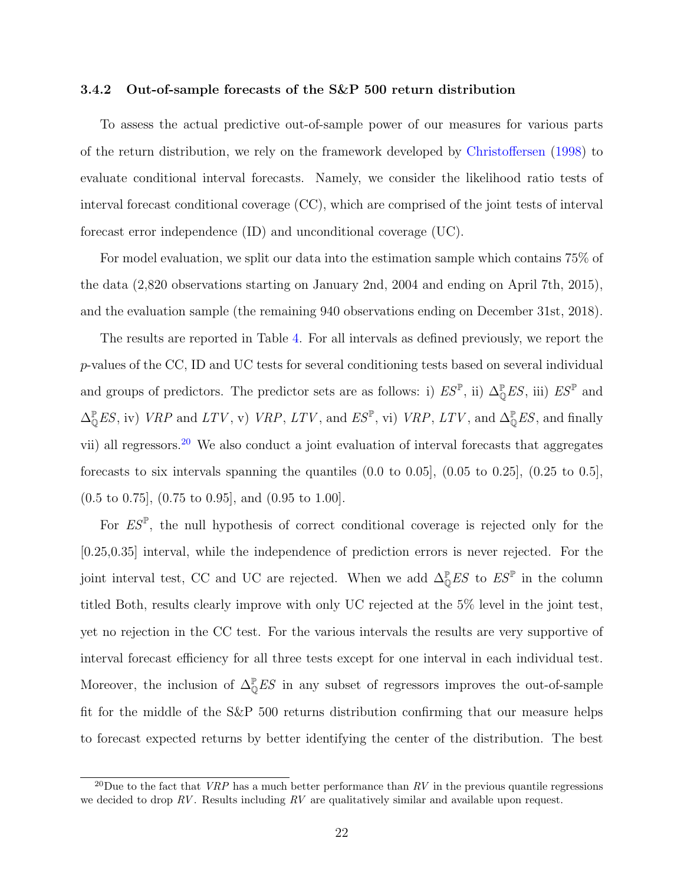#### 3.4.2 Out-of-sample forecasts of the S&P 500 return distribution

To assess the actual predictive out-of-sample power of our measures for various parts of the return distribution, we rely on the framework developed by [Christoffersen](#page-29-4) [\(1998\)](#page-29-4) to evaluate conditional interval forecasts. Namely, we consider the likelihood ratio tests of interval forecast conditional coverage (CC), which are comprised of the joint tests of interval forecast error independence (ID) and unconditional coverage (UC).

For model evaluation, we split our data into the estimation sample which contains 75% of the data (2,820 observations starting on January 2nd, 2004 and ending on April 7th, 2015), and the evaluation sample (the remaining 940 observations ending on December 31st, 2018).

The results are reported in Table [4.](#page-37-0) For all intervals as defined previously, we report the p-values of the CC, ID and UC tests for several conditioning tests based on several individual and groups of predictors. The predictor sets are as follows: i)  $ES^{\mathbb{P}}$ , ii)  $\Delta_{\mathbb{O}}^{\mathbb{P}} ES$ , iii)  $ES^{\mathbb{P}}$  and  $\Delta_{\mathbb{Q}}^{\mathbb{P}} ES$ , iv) VRP and LTV, v) VRP, LTV, and  $ES^{\mathbb{P}}$ , vi) VRP, LTV, and  $\Delta_{\mathbb{Q}}^{\mathbb{P}} ES$ , and finally vii) all regressors.[20](#page-22-0) We also conduct a joint evaluation of interval forecasts that aggregates forecasts to six intervals spanning the quantiles  $(0.0 \text{ to } 0.05]$ ,  $(0.05 \text{ to } 0.25]$ ,  $(0.25 \text{ to } 0.5]$ , (0.5 to 0.75], (0.75 to 0.95], and (0.95 to 1.00].

For  $ES^{\mathbb{P}}$ , the null hypothesis of correct conditional coverage is rejected only for the [0.25,0.35] interval, while the independence of prediction errors is never rejected. For the joint interval test, CC and UC are rejected. When we add  $\Delta_{\mathbb{Q}}^{\mathbb{P}} E S$  to  $E S^{\mathbb{P}}$  in the column titled Both, results clearly improve with only UC rejected at the 5% level in the joint test, yet no rejection in the CC test. For the various intervals the results are very supportive of interval forecast efficiency for all three tests except for one interval in each individual test. Moreover, the inclusion of  $\Delta_{\mathbb{Q}}^{\mathbb{P}} E S$  in any subset of regressors improves the out-of-sample fit for the middle of the S&P 500 returns distribution confirming that our measure helps to forecast expected returns by better identifying the center of the distribution. The best

<span id="page-22-0"></span><sup>&</sup>lt;sup>20</sup>Due to the fact that *VRP* has a much better performance than  $RV$  in the previous quantile regressions we decided to drop  $RV$ . Results including  $RV$  are qualitatively similar and available upon request.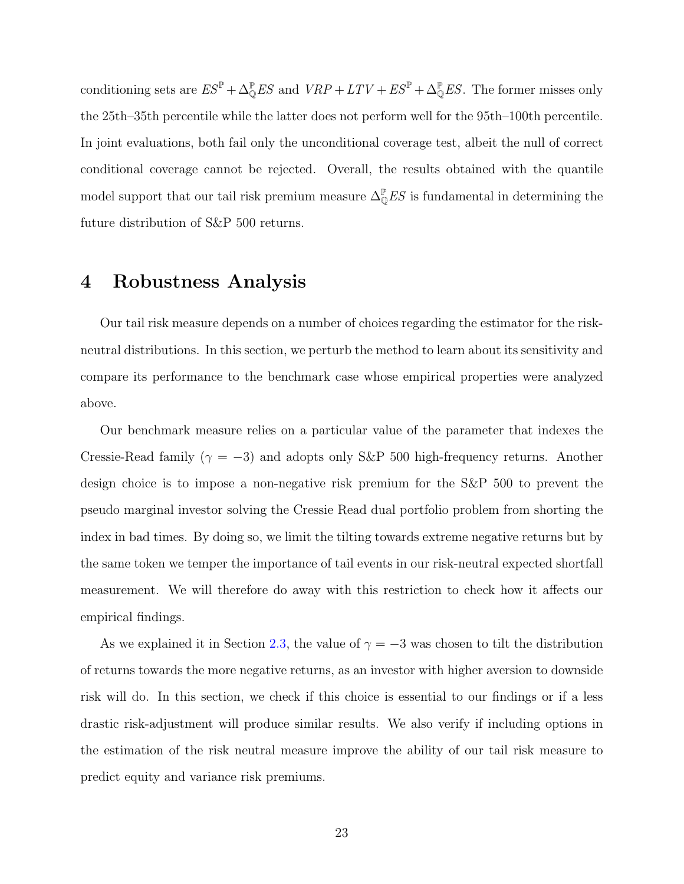conditioning sets are  $ES^{\mathbb{P}} + \Delta_{\mathbb{Q}}^{\mathbb{P}} ES$  and  $VRP + LTV + ES^{\mathbb{P}} + \Delta_{\mathbb{Q}}^{\mathbb{P}} ES$ . The former misses only the 25th–35th percentile while the latter does not perform well for the 95th–100th percentile. In joint evaluations, both fail only the unconditional coverage test, albeit the null of correct conditional coverage cannot be rejected. Overall, the results obtained with the quantile model support that our tail risk premium measure  $\Delta_{\mathbb{Q}}^{\mathbb{P}} E S$  is fundamental in determining the future distribution of S&P 500 returns.

### <span id="page-23-0"></span>4 Robustness Analysis

Our tail risk measure depends on a number of choices regarding the estimator for the riskneutral distributions. In this section, we perturb the method to learn about its sensitivity and compare its performance to the benchmark case whose empirical properties were analyzed above.

Our benchmark measure relies on a particular value of the parameter that indexes the Cressie-Read family ( $\gamma = -3$ ) and adopts only S&P 500 high-frequency returns. Another design choice is to impose a non-negative risk premium for the S&P 500 to prevent the pseudo marginal investor solving the Cressie Read dual portfolio problem from shorting the index in bad times. By doing so, we limit the tilting towards extreme negative returns but by the same token we temper the importance of tail events in our risk-neutral expected shortfall measurement. We will therefore do away with this restriction to check how it affects our empirical findings.

As we explained it in Section [2.3,](#page-9-1) the value of  $\gamma = -3$  was chosen to tilt the distribution of returns towards the more negative returns, as an investor with higher aversion to downside risk will do. In this section, we check if this choice is essential to our findings or if a less drastic risk-adjustment will produce similar results. We also verify if including options in the estimation of the risk neutral measure improve the ability of our tail risk measure to predict equity and variance risk premiums.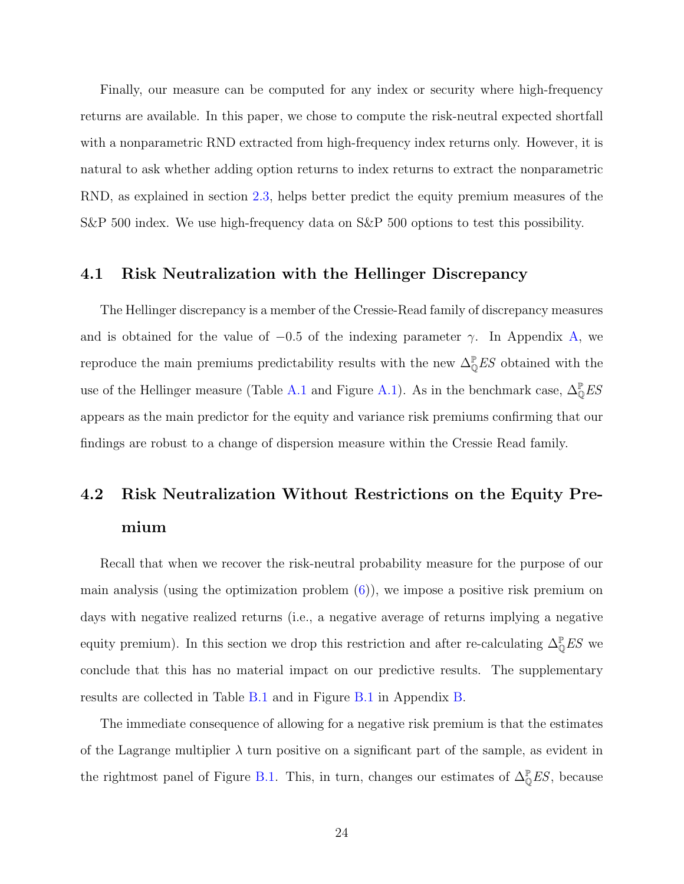Finally, our measure can be computed for any index or security where high-frequency returns are available. In this paper, we chose to compute the risk-neutral expected shortfall with a nonparametric RND extracted from high-frequency index returns only. However, it is natural to ask whether adding option returns to index returns to extract the nonparametric RND, as explained in section [2.3,](#page-9-1) helps better predict the equity premium measures of the S&P 500 index. We use high-frequency data on S&P 500 options to test this possibility.

### 4.1 Risk Neutralization with the Hellinger Discrepancy

The Hellinger discrepancy is a member of the Cressie-Read family of discrepancy measures and is obtained for the value of  $-0.5$  of the indexing parameter  $\gamma$ . In Appendix [A,](#page-39-0) we reproduce the main premiums predictability results with the new  $\Delta_{\mathbb{Q}}^{\mathbb{P}} E S$  obtained with the use of the Hellinger measure (Table [A.1](#page-40-0) and Figure [A.1\)](#page-39-1). As in the benchmark case,  $\Delta_{\mathbb{Q}}^{\mathbb{P}} E S$ appears as the main predictor for the equity and variance risk premiums confirming that our findings are robust to a change of dispersion measure within the Cressie Read family.

## 4.2 Risk Neutralization Without Restrictions on the Equity Premium

Recall that when we recover the risk-neutral probability measure for the purpose of our main analysis (using the optimization problem  $(6)$ ), we impose a positive risk premium on days with negative realized returns (i.e., a negative average of returns implying a negative equity premium). In this section we drop this restriction and after re-calculating  $\Delta_{\mathbb{Q}}^{\mathbb{P}} E S$  we conclude that this has no material impact on our predictive results. The supplementary results are collected in Table [B.1](#page-42-0) and in Figure [B.1](#page-41-0) in Appendix [B.](#page-41-1)

The immediate consequence of allowing for a negative risk premium is that the estimates of the Lagrange multiplier  $\lambda$  turn positive on a significant part of the sample, as evident in the rightmost panel of Figure [B.1.](#page-41-0) This, in turn, changes our estimates of  $\Delta_{\mathbb{Q}}^{\mathbb{P}} E S$ , because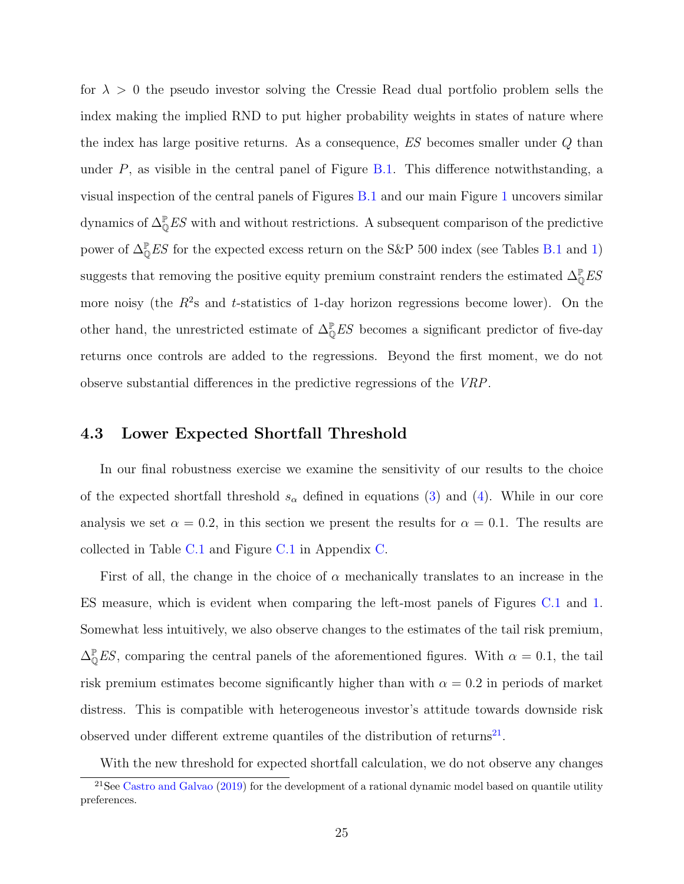for  $\lambda > 0$  the pseudo investor solving the Cressie Read dual portfolio problem sells the index making the implied RND to put higher probability weights in states of nature where the index has large positive returns. As a consequence, ES becomes smaller under Q than under  $P$ , as visible in the central panel of Figure [B.1.](#page-41-0) This difference notwithstanding, a visual inspection of the central panels of Figures [B.1](#page-41-0) and our main Figure [1](#page-31-0) uncovers similar dynamics of  $\Delta_{\mathbb{Q}}^{\mathbb{P}} E S$  with and without restrictions. A subsequent comparison of the predictive power of  $\Delta_{\mathbb{Q}}^{\mathbb{P}} ES$  for the expected excess return on the S&P 500 index (see Tables [B.1](#page-42-0) and [1\)](#page-34-0) suggests that removing the positive equity premium constraint renders the estimated  $\Delta_{\mathbb{Q}}^{\mathbb{P}} E S$ more noisy (the  $R^2$ s and t-statistics of 1-day horizon regressions become lower). On the other hand, the unrestricted estimate of  $\Delta_{\mathbb{Q}}^{\mathbb{P}} E S$  becomes a significant predictor of five-day returns once controls are added to the regressions. Beyond the first moment, we do not observe substantial differences in the predictive regressions of the VRP.

### 4.3 Lower Expected Shortfall Threshold

In our final robustness exercise we examine the sensitivity of our results to the choice of the expected shortfall threshold  $s_{\alpha}$  defined in equations [\(3\)](#page-8-1) and [\(4\)](#page-8-2). While in our core analysis we set  $\alpha = 0.2$ , in this section we present the results for  $\alpha = 0.1$ . The results are collected in Table [C.1](#page-44-0) and Figure [C.1](#page-43-0) in Appendix [C.](#page-43-1)

First of all, the change in the choice of  $\alpha$  mechanically translates to an increase in the ES measure, which is evident when comparing the left-most panels of Figures [C.1](#page-43-0) and [1.](#page-31-0) Somewhat less intuitively, we also observe changes to the estimates of the tail risk premium,  $\Delta_{\mathbb{Q}}^{\mathbb{P}} E S$ , comparing the central panels of the aforementioned figures. With  $\alpha = 0.1$ , the tail risk premium estimates become significantly higher than with  $\alpha = 0.2$  in periods of market distress. This is compatible with heterogeneous investor's attitude towards downside risk observed under different extreme quantiles of the distribution of returns<sup>[21](#page-25-0)</sup>.

<span id="page-25-0"></span>With the new threshold for expected shortfall calculation, we do not observe any changes

 $21$ See [Castro and Galvao](#page-29-14) [\(2019\)](#page-29-14) for the development of a rational dynamic model based on quantile utility preferences.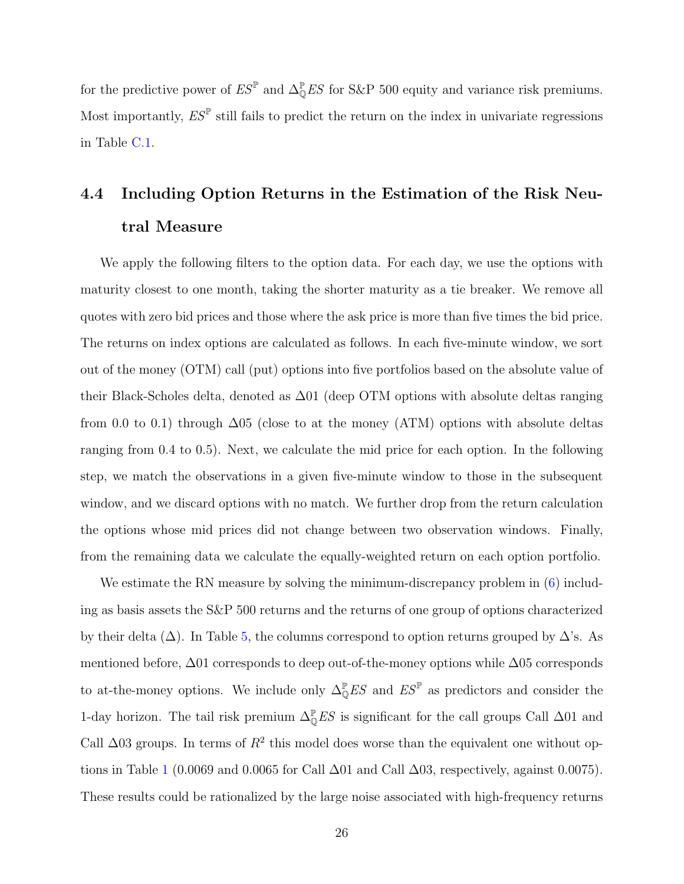for the predictive power of  $ES^{\mathbb{P}}$  and  $\Delta_{\mathbb{Q}}^{\mathbb{P}} ES$  for S&P 500 equity and variance risk premiums. Most importantly,  $ES^{\mathbb{P}}$  still fails to predict the return on the index in univariate regressions in Table [C.1.](#page-44-0)

## <span id="page-26-0"></span>4.4 Including Option Returns in the Estimation of the Risk Neutral Measure

We apply the following filters to the option data. For each day, we use the options with maturity closest to one month, taking the shorter maturity as a tie breaker. We remove all quotes with zero bid prices and those where the ask price is more than five times the bid price. The returns on index options are calculated as follows. In each five-minute window, we sort out of the money (OTM) call (put) options into five portfolios based on the absolute value of their Black-Scholes delta, denoted as ∆01 (deep OTM options with absolute deltas ranging from 0.0 to 0.1) through  $\Delta$ 05 (close to at the money (ATM) options with absolute deltas ranging from 0.4 to 0.5). Next, we calculate the mid price for each option. In the following step, we match the observations in a given five-minute window to those in the subsequent window, and we discard options with no match. We further drop from the return calculation the options whose mid prices did not change between two observation windows. Finally, from the remaining data we calculate the equally-weighted return on each option portfolio.

We estimate the RN measure by solving the minimum-discrepancy problem in  $(6)$  including as basis assets the S&P 500 returns and the returns of one group of options characterized by their delta  $(\Delta)$ . In Table [5,](#page-38-0) the columns correspond to option returns grouped by  $\Delta$ 's. As mentioned before, ∆01 corresponds to deep out-of-the-money options while ∆05 corresponds to at-the-money options. We include only  $\Delta_{\mathbb{Q}}^{\mathbb{P}} E S$  and  $E S^{\mathbb{P}}$  as predictors and consider the 1-day horizon. The tail risk premium  $\Delta_{\mathbb{Q}}^{\mathbb{P}} E S$  is significant for the call groups Call  $\Delta$ 01 and Call  $\Delta$ 03 groups. In terms of  $R^2$  this model does worse than the equivalent one without op-tions in Table [1](#page-34-0) (0.0069 and 0.0065 for Call  $\Delta$ 01 and Call  $\Delta$ 03, respectively, against 0.0075). These results could be rationalized by the large noise associated with high-frequency returns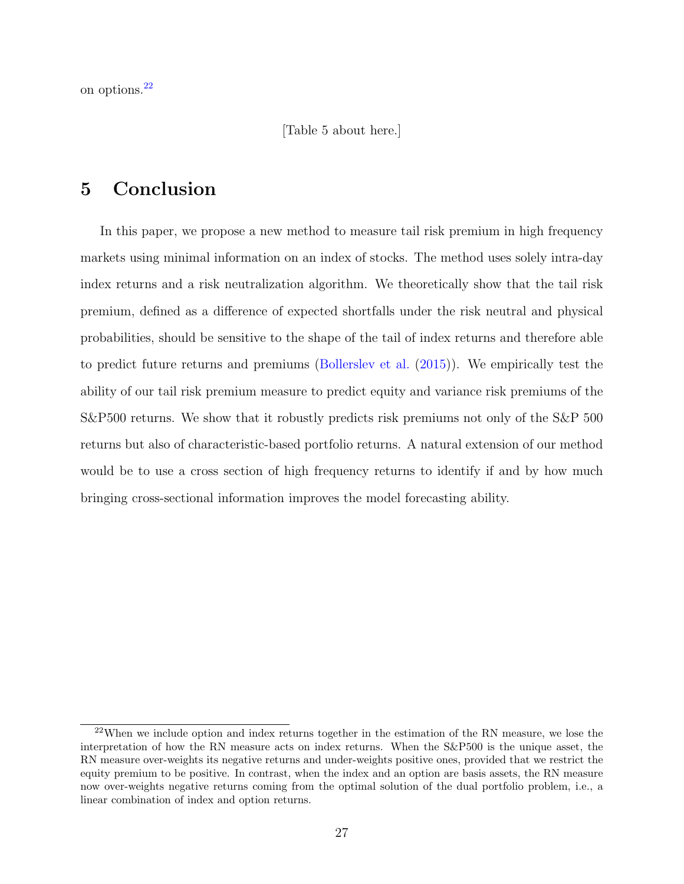on options.[22](#page-27-1)

[Table 5 about here.]

## <span id="page-27-0"></span>5 Conclusion

In this paper, we propose a new method to measure tail risk premium in high frequency markets using minimal information on an index of stocks. The method uses solely intra-day index returns and a risk neutralization algorithm. We theoretically show that the tail risk premium, defined as a difference of expected shortfalls under the risk neutral and physical probabilities, should be sensitive to the shape of the tail of index returns and therefore able to predict future returns and premiums [\(Bollerslev et al.](#page-29-0) [\(2015\)](#page-29-0)). We empirically test the ability of our tail risk premium measure to predict equity and variance risk premiums of the S&P500 returns. We show that it robustly predicts risk premiums not only of the S&P 500 returns but also of characteristic-based portfolio returns. A natural extension of our method would be to use a cross section of high frequency returns to identify if and by how much bringing cross-sectional information improves the model forecasting ability.

<span id="page-27-1"></span> $^{22}$ When we include option and index returns together in the estimation of the RN measure, we lose the interpretation of how the RN measure acts on index returns. When the S&P500 is the unique asset, the RN measure over-weights its negative returns and under-weights positive ones, provided that we restrict the equity premium to be positive. In contrast, when the index and an option are basis assets, the RN measure now over-weights negative returns coming from the optimal solution of the dual portfolio problem, i.e., a linear combination of index and option returns.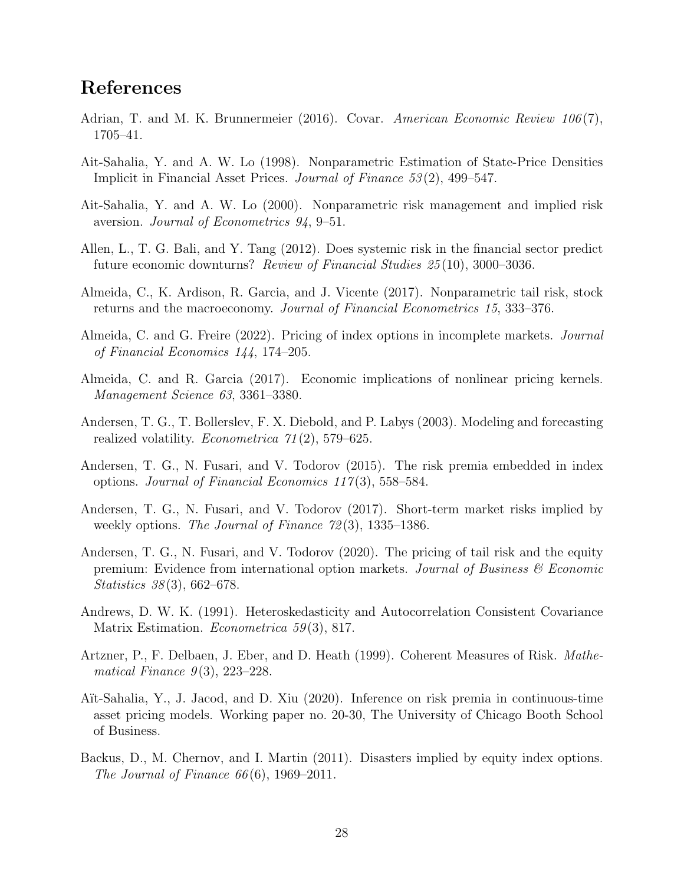### References

- <span id="page-28-5"></span>Adrian, T. and M. K. Brunnermeier (2016). Covar. American Economic Review  $106(7)$ , 1705–41.
- <span id="page-28-1"></span>Ait-Sahalia, Y. and A. W. Lo (1998). Nonparametric Estimation of State-Price Densities Implicit in Financial Asset Prices. Journal of Finance 53 (2), 499–547.
- <span id="page-28-2"></span>Ait-Sahalia, Y. and A. W. Lo (2000). Nonparametric risk management and implied risk aversion. Journal of Econometrics 94, 9–51.
- <span id="page-28-4"></span>Allen, L., T. G. Bali, and Y. Tang (2012). Does systemic risk in the financial sector predict future economic downturns? Review of Financial Studies 25 (10), 3000–3036.
- <span id="page-28-7"></span>Almeida, C., K. Ardison, R. Garcia, and J. Vicente (2017). Nonparametric tail risk, stock returns and the macroeconomy. Journal of Financial Econometrics 15, 333–376.
- <span id="page-28-11"></span>Almeida, C. and G. Freire (2022). Pricing of index options in incomplete markets. Journal of Financial Economics 144, 174–205.
- <span id="page-28-10"></span>Almeida, C. and R. Garcia (2017). Economic implications of nonlinear pricing kernels. Management Science 63, 3361–3380.
- <span id="page-28-13"></span>Andersen, T. G., T. Bollerslev, F. X. Diebold, and P. Labys (2003). Modeling and forecasting realized volatility. *Econometrica*  $71(2)$ , 579–625.
- <span id="page-28-3"></span>Andersen, T. G., N. Fusari, and V. Todorov (2015). The risk premia embedded in index options. Journal of Financial Economics 117 (3), 558–584.
- <span id="page-28-0"></span>Andersen, T. G., N. Fusari, and V. Todorov (2017). Short-term market risks implied by weekly options. The Journal of Finance  $72(3)$ , 1335–1386.
- <span id="page-28-6"></span>Andersen, T. G., N. Fusari, and V. Todorov (2020). The pricing of tail risk and the equity premium: Evidence from international option markets. Journal of Business  $\mathscr C$  Economic Statistics 38 (3), 662–678.
- <span id="page-28-14"></span>Andrews, D. W. K. (1991). Heteroskedasticity and Autocorrelation Consistent Covariance Matrix Estimation. *Econometrica* 59(3), 817.
- <span id="page-28-9"></span>Artzner, P., F. Delbaen, J. Eber, and D. Heath (1999). Coherent Measures of Risk. Mathematical Finance  $9(3)$ , 223–228.
- <span id="page-28-8"></span>Aït-Sahalia, Y., J. Jacod, and D. Xiu (2020). Inference on risk premia in continuous-time asset pricing models. Working paper no. 20-30, The University of Chicago Booth School of Business.
- <span id="page-28-12"></span>Backus, D., M. Chernov, and I. Martin (2011). Disasters implied by equity index options. The Journal of Finance  $66(6)$ , 1969–2011.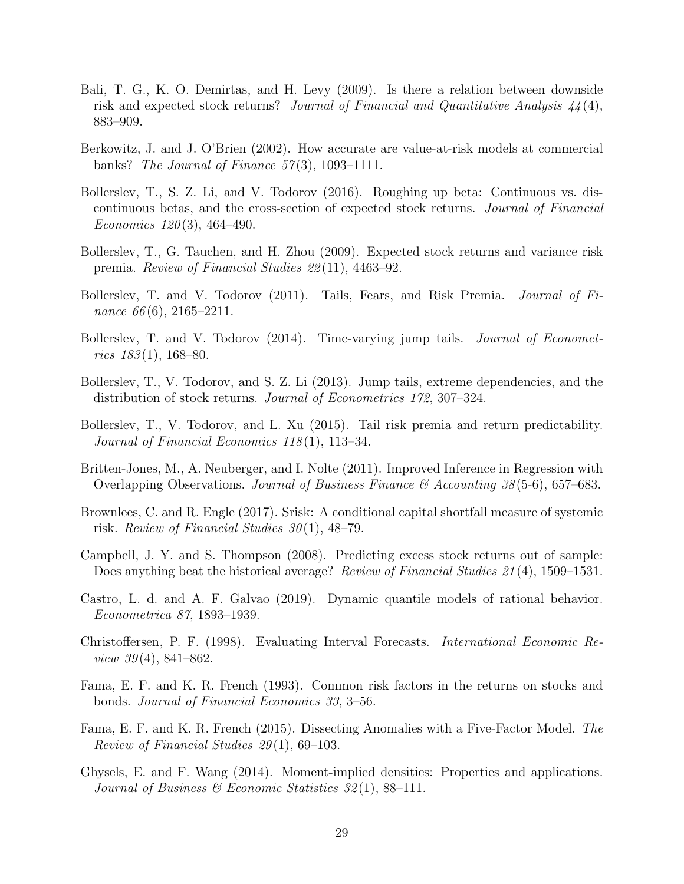- <span id="page-29-17"></span><span id="page-29-16"></span><span id="page-29-5"></span>Bali, T. G., K. O. Demirtas, and H. Levy (2009). Is there a relation between downside risk and expected stock returns? Journal of Financial and Quantitative Analysis  $44(4)$ , 883–909.
- <span id="page-29-11"></span>Berkowitz, J. and J. O'Brien (2002). How accurate are value-at-risk models at commercial banks? The Journal of Finance  $57(3)$ , 1093-1111.
- <span id="page-29-10"></span>Bollerslev, T., S. Z. Li, and V. Todorov (2016). Roughing up beta: Continuous vs. discontinuous betas, and the cross-section of expected stock returns. Journal of Financial Economics  $120(3)$ , 464-490.
- <span id="page-29-2"></span>Bollerslev, T., G. Tauchen, and H. Zhou (2009). Expected stock returns and variance risk premia. Review of Financial Studies 22 (11), 4463–92.
- <span id="page-29-3"></span>Bollerslev, T. and V. Todorov (2011). Tails, Fears, and Risk Premia. Journal of Finance  $66(6)$ , 2165–2211.
- <span id="page-29-1"></span>Bollerslev, T. and V. Todorov (2014). Time-varying jump tails. *Journal of Economet*rics  $183(1)$ , 168-80.
- <span id="page-29-9"></span>Bollerslev, T., V. Todorov, and S. Z. Li (2013). Jump tails, extreme dependencies, and the distribution of stock returns. Journal of Econometrics 172, 307–324.
- <span id="page-29-0"></span>Bollerslev, T., V. Todorov, and L. Xu (2015). Tail risk premia and return predictability. Journal of Financial Economics 118(1), 113–34.
- <span id="page-29-15"></span>Britten-Jones, M., A. Neuberger, and I. Nolte (2011). Improved Inference in Regression with Overlapping Observations. Journal of Business Finance & Accounting  $38(5-6)$ , 657–683.
- <span id="page-29-6"></span>Brownlees, C. and R. Engle (2017). Srisk: A conditional capital shortfall measure of systemic risk. Review of Financial Studies  $30(1)$ , 48–79.
- <span id="page-29-8"></span>Campbell, J. Y. and S. Thompson (2008). Predicting excess stock returns out of sample: Does anything beat the historical average? Review of Financial Studies 21(4), 1509–1531.
- <span id="page-29-14"></span>Castro, L. d. and A. F. Galvao (2019). Dynamic quantile models of rational behavior. Econometrica 87, 1893–1939.
- <span id="page-29-4"></span>Christoffersen, P. F. (1998). Evaluating Interval Forecasts. International Economic Re*view 39* $(4)$ , 841–862.
- <span id="page-29-12"></span>Fama, E. F. and K. R. French (1993). Common risk factors in the returns on stocks and bonds. Journal of Financial Economics 33, 3–56.
- <span id="page-29-13"></span>Fama, E. F. and K. R. French (2015). Dissecting Anomalies with a Five-Factor Model. The Review of Financial Studies 29 (1), 69–103.
- <span id="page-29-7"></span>Ghysels, E. and F. Wang (2014). Moment-implied densities: Properties and applications. Journal of Business  $\mathscr$  Economic Statistics 32(1), 88–111.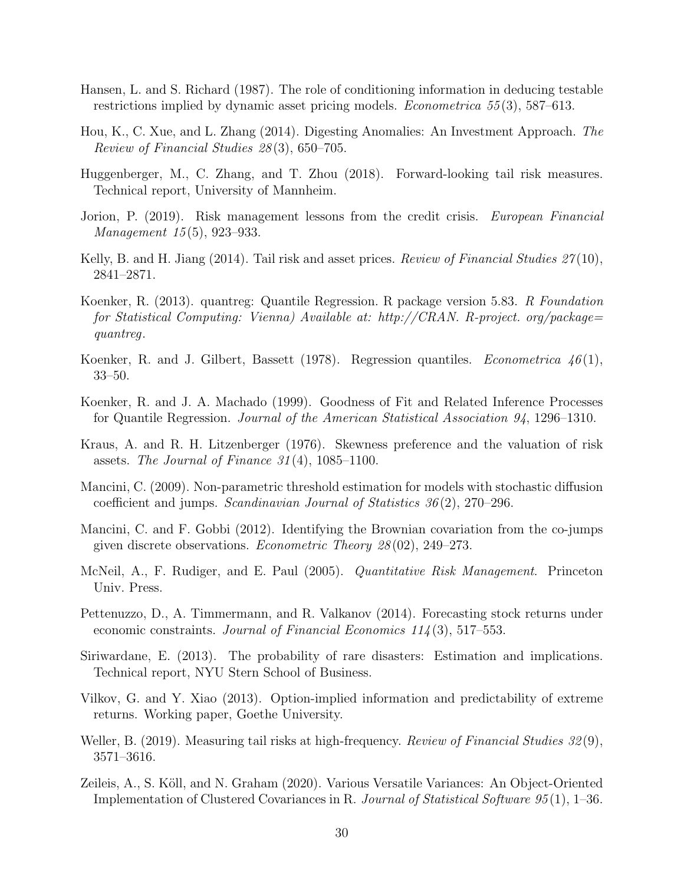- <span id="page-30-7"></span>Hansen, L. and S. Richard (1987). The role of conditioning information in deducing testable restrictions implied by dynamic asset pricing models. Econometrica 55 (3), 587–613.
- <span id="page-30-12"></span>Hou, K., C. Xue, and L. Zhang (2014). Digesting Anomalies: An Investment Approach. The Review of Financial Studies 28 (3), 650–705.
- <span id="page-30-4"></span>Huggenberger, M., C. Zhang, and T. Zhou (2018). Forward-looking tail risk measures. Technical report, University of Mannheim.
- <span id="page-30-8"></span>Jorion, P. (2019). Risk management lessons from the credit crisis. European Financial Management 15 (5), 923–933.
- <span id="page-30-2"></span>Kelly, B. and H. Jiang (2014). Tail risk and asset prices. *Review of Financial Studies 27*(10), 2841–2871.
- <span id="page-30-15"></span>Koenker, R. (2013). quantreg: Quantile Regression. R package version 5.83. R Foundation for Statistical Computing: Vienna) Available at: http://CRAN. R-project. org/package= quantreg.
- <span id="page-30-0"></span>Koenker, R. and J. Gilbert, Bassett (1978). Regression quantiles. *Econometrica*  $46(1)$ , 33–50.
- <span id="page-30-16"></span>Koenker, R. and J. A. Machado (1999). Goodness of Fit and Related Inference Processes for Quantile Regression. Journal of the American Statistical Association 94, 1296–1310.
- <span id="page-30-9"></span>Kraus, A. and R. H. Litzenberger (1976). Skewness preference and the valuation of risk assets. The Journal of Finance  $31(4)$ , 1085–1100.
- <span id="page-30-11"></span>Mancini, C. (2009). Non-parametric threshold estimation for models with stochastic diffusion coefficient and jumps. Scandinavian Journal of Statistics  $36(2)$ , 270–296.
- <span id="page-30-14"></span>Mancini, C. and F. Gobbi (2012). Identifying the Brownian covariation from the co-jumps given discrete observations. Econometric Theory 28 (02), 249–273.
- <span id="page-30-10"></span>McNeil, A., F. Rudiger, and E. Paul (2005). Quantitative Risk Management. Princeton Univ. Press.
- <span id="page-30-6"></span>Pettenuzzo, D., A. Timmermann, and R. Valkanov (2014). Forecasting stock returns under economic constraints. Journal of Financial Economics  $114(3)$ , 517–553.
- <span id="page-30-1"></span>Siriwardane, E. (2013). The probability of rare disasters: Estimation and implications. Technical report, NYU Stern School of Business.
- <span id="page-30-3"></span>Vilkov, G. and Y. Xiao (2013). Option-implied information and predictability of extreme returns. Working paper, Goethe University.
- <span id="page-30-5"></span>Weller, B. (2019). Measuring tail risks at high-frequency. *Review of Financial Studies 32*(9), 3571–3616.
- <span id="page-30-13"></span>Zeileis, A., S. Köll, and N. Graham (2020). Various Versatile Variances: An Object-Oriented Implementation of Clustered Covariances in R. Journal of Statistical Software 95 (1), 1–36.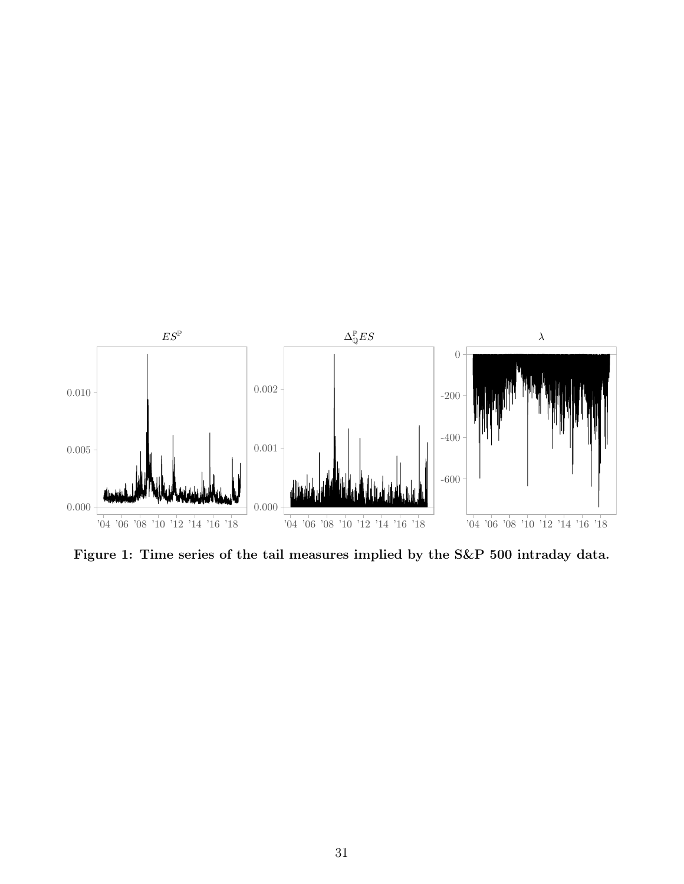<span id="page-31-0"></span>

Figure 1: Time series of the tail measures implied by the S&P 500 intraday data.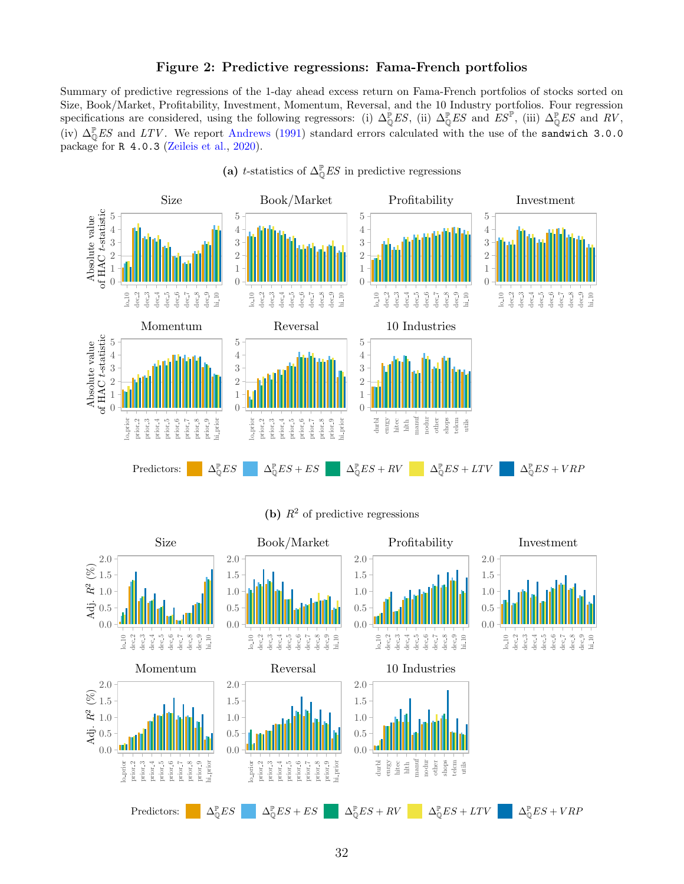### Figure 2: Predictive regressions: Fama-French portfolios

<span id="page-32-0"></span>Summary of predictive regressions of the 1-day ahead excess return on Fama-French portfolios of stocks sorted on Size, Book/Market, Profitability, Investment, Momentum, Reversal, and the 10 Industry portfolios. Four regression specifications are considered, using the following regressors: (i)  $\Delta_{\mathbb{Q}}^{\mathbb{P}}ES$ , (ii)  $\Delta_{\mathbb{Q}}^{\mathbb{P}}ES$  and  $ES^{\mathbb{P}}$ , (iii)  $\Delta_{\mathbb{Q}}^{\mathbb{P}}ES$  and  $RV$ , (iv)  $\Delta_{\mathbb{Q}}^{\mathbb{P}} E S$  and  $LTV$ . We report [Andrews](#page-28-14) [\(1991\)](#page-28-14) standard errors calculated with the use of the sandwich 3.0.0 package for R 4.0.3 [\(Zeileis et al.,](#page-30-13) [2020\)](#page-30-13).



(a) t-statistics of  $\Delta_{\mathbb{Q}}^{\mathbb{P}} E S$  in predictive regressions

(b)  $R^2$  of predictive regressions

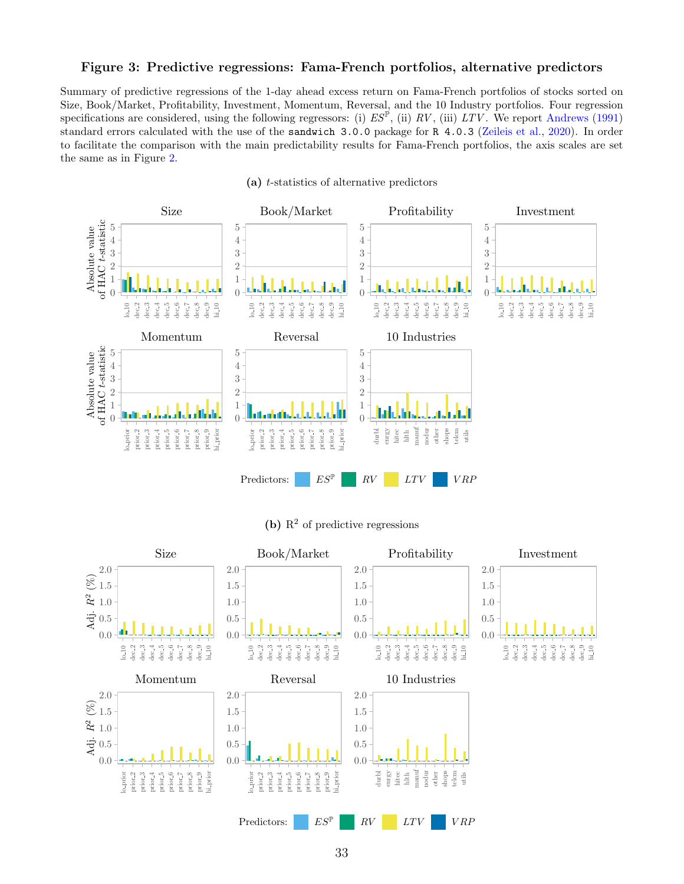### <span id="page-33-0"></span>Figure 3: Predictive regressions: Fama-French portfolios, alternative predictors

Summary of predictive regressions of the 1-day ahead excess return on Fama-French portfolios of stocks sorted on Size, Book/Market, Profitability, Investment, Momentum, Reversal, and the 10 Industry portfolios. Four regression specifications are considered, using the following regressors: (i)  $ES^{\mathbb{P}}$ , (ii)  $RV$ , (iii)  $LTV$ . We report [Andrews](#page-28-14) [\(1991\)](#page-28-14) standard errors calculated with the use of the sandwich 3.0.0 package for R 4.0.3 [\(Zeileis et al.,](#page-30-13) [2020\)](#page-30-13). In order to facilitate the comparison with the main predictability results for Fama-French portfolios, the axis scales are set the same as in Figure [2.](#page-32-0)



(a) t-statistics of alternative predictors



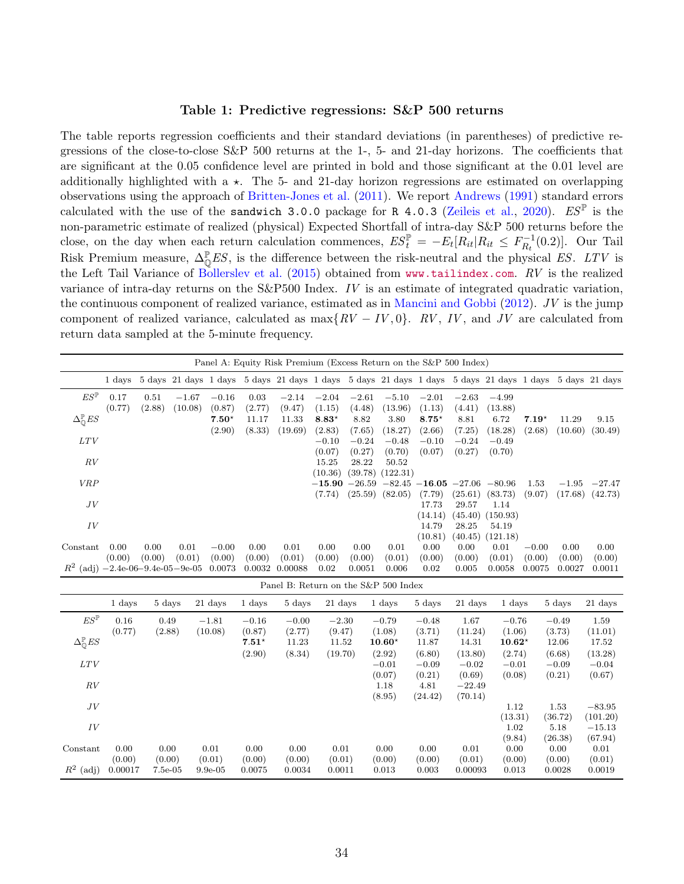#### Table 1: Predictive regressions: S&P 500 returns

<span id="page-34-0"></span>The table reports regression coefficients and their standard deviations (in parentheses) of predictive regressions of the close-to-close  $S\&P$  500 returns at the 1-, 5- and 21-day horizons. The coefficients that are significant at the 0.05 confidence level are printed in bold and those significant at the 0.01 level are additionally highlighted with  $a \star$ . The 5- and 21-day horizon regressions are estimated on overlapping observations using the approach of [Britten-Jones et al.](#page-29-15) [\(2011\)](#page-29-15). We report [Andrews](#page-28-14) [\(1991\)](#page-28-14) standard errors calculated with the use of the sandwich 3.0.0 package for R 4.0.3 [\(Zeileis et al.,](#page-30-13) [2020\)](#page-30-13).  $ES^{\mathbb{P}}$  is the non-parametric estimate of realized (physical) Expected Shortfall of intra-day S&P 500 returns before the close, on the day when each return calculation commences,  $ES_t^{\mathbb{P}} = -E_t[R_{it}|R_{it} \le F_{R_t}^{-1}]$  $\prod_{R_t}^{n-1}(0.2)]$ . Our Tail Risk Premium measure,  $\Delta_{\mathbb{Q}}^{\mathbb{P}} E S$ , is the difference between the risk-neutral and the physical ES. LTV is the Left Tail Variance of [Bollerslev et al.](#page-29-0) [\(2015\)](#page-29-0) obtained from <www.tailindex.com>.  $RV$  is the realized variance of intra-day returns on the S&P500 Index. IV is an estimate of integrated quadratic variation, the continuous component of realized variance, estimated as in [Mancini and Gobbi](#page-30-14) [\(2012\)](#page-30-14). JV is the jump component of realized variance, calculated as  $\max\{RV - IV, 0\}$ . RV, IV, and JV are calculated from return data sampled at the 5-minute frequency.

|                                        |        |        |         |                |        | Panel A: Equity Risk Premium (Excess Return on the S&P 500 Index)                      |                 |         |          |                         |         |                                                                                                        |         |         |                     |
|----------------------------------------|--------|--------|---------|----------------|--------|----------------------------------------------------------------------------------------|-----------------|---------|----------|-------------------------|---------|--------------------------------------------------------------------------------------------------------|---------|---------|---------------------|
|                                        | 1 days |        |         |                |        |                                                                                        |                 |         |          |                         |         | 5 days 21 days 1 days 5 days 21 days 1 days 5 days 21 days 1 days 5 days 21 days 1 days 5 days 21 days |         |         |                     |
| $ES^{\mathbb{P}}$                      | 0.17   | 0.51   | $-1.67$ | $-0.16$        | 0.03   | $-2.14$                                                                                | $-2.04$         | $-2.61$ | $-5.10$  | $-2.01$                 | $-2.63$ | $-4.99$                                                                                                |         |         |                     |
|                                        | (0.77) | (2.88) | (10.08) | (0.87)         | (2.77) | (9.47)                                                                                 | (1.15)          | (4.48)  | (13.96)  | (1.13)                  | (4.41)  | (13.88)                                                                                                |         |         |                     |
| $\Delta_{\mathbb{Q}}^{\mathbb{P}} E S$ |        |        |         | $7.50^{\star}$ | 11.17  | 11.33                                                                                  | $8.83*$         | 8.82    | 3.80     | $8.75*$                 | 8.81    | 6.72                                                                                                   | $7.19*$ | 11.29   | 9.15                |
|                                        |        |        |         | (2.90)         | (8.33) | (19.69)                                                                                | (2.83)          | (7.65)  | (18.27)  | (2.66)                  | (7.25)  | (18.28)                                                                                                | (2.68)  | (10.60) | (30.49)             |
| LTV                                    |        |        |         |                |        |                                                                                        | $-0.10$         | $-0.24$ | $-0.48$  | $-0.10$                 | $-0.24$ | $-0.49$                                                                                                |         |         |                     |
|                                        |        |        |         |                |        |                                                                                        | (0.07)          | (0.27)  | (0.70)   | (0.07)                  | (0.27)  | (0.70)                                                                                                 |         |         |                     |
| RV                                     |        |        |         |                |        |                                                                                        | 15.25           | 28.22   | 50.52    |                         |         |                                                                                                        |         |         |                     |
|                                        |        |        |         |                |        |                                                                                        | (10.36)         | (39.78) | (122.31) |                         |         |                                                                                                        |         |         |                     |
| <b>VRP</b>                             |        |        |         |                |        |                                                                                        | $-15.90 -26.59$ |         |          | $-82.45 - 16.05 -27.06$ |         | $-80.96$                                                                                               | 1.53    | $-1.95$ | $-27.47$            |
|                                        |        |        |         |                |        |                                                                                        | (7.74)          | (25.59) | (82.05)  | (7.79)                  | (25.61) | (83.73)                                                                                                | (9.07)  |         | $(17.68)$ $(42.73)$ |
| JV                                     |        |        |         |                |        |                                                                                        |                 |         |          | 17.73                   | 29.57   | 1.14                                                                                                   |         |         |                     |
|                                        |        |        |         |                |        |                                                                                        |                 |         |          | (14.14)                 | (45.40) | (150.93)                                                                                               |         |         |                     |
| IV                                     |        |        |         |                |        |                                                                                        |                 |         |          | 14.79                   | 28.25   | 54.19                                                                                                  |         |         |                     |
|                                        |        |        |         |                |        |                                                                                        |                 |         |          | (10.81)                 | (40.45) | (121.18)                                                                                               |         |         |                     |
| Constant                               | 0.00   | 0.00   | 0.01    | $-0.00$        | 0.00   | 0.01                                                                                   | 0.00            | 0.00    | 0.01     | 0.00                    | 0.00    | 0.01                                                                                                   | $-0.00$ | 0.00    | 0.00                |
|                                        | (0.00) | (0.00) | (0.01)  | (0.00)         | (0.00) | (0.01)                                                                                 | (0.00)          | (0.00)  | (0.01)   | (0.00)                  | (0.00)  | (0.01)                                                                                                 | (0.00)  | (0.00)  | (0.00)              |
| $R^2$ (adj) $-2.4e-06-9.4e-05-9e-05$   |        |        |         | 0.0073         | 0.0032 | 0.00088                                                                                | 0.02            | 0.0051  | 0.006    | 0.02                    | 0.005   | 0.0058                                                                                                 | 0.0075  | 0.0027  | 0.0011              |
|                                        |        |        |         |                |        | $Pand R1 R1 R2 R3 R4 R5 R6 R7 R1 R1 R1 R2 R3 R4 R5 R1 R1 R2 R3 R4 R5 R6 R7 R8 R1 R1 R$ |                 |         |          |                         |         |                                                                                                        |         |         |                     |

|                                        |         |           |            |         |         | I aller D. Return on the Soci | <b>OOO HIGEA</b> |         |          |          |         |          |
|----------------------------------------|---------|-----------|------------|---------|---------|-------------------------------|------------------|---------|----------|----------|---------|----------|
|                                        | 1 days  | 5 days    | 21 days    | 1 days  | 5 days  | 21 days                       | 1 days           | 5 days  | 21 days  | 1 days   | 5 days  | 21 days  |
| $ES^{\mathbb{P}}$                      | 0.16    | 0.49      | $-1.81$    | $-0.16$ | $-0.00$ | $-2.30$                       | $-0.79$          | $-0.48$ | 1.67     | $-0.76$  | $-0.49$ | 1.59     |
|                                        | (0.77)  | (2.88)    | (10.08)    | (0.87)  | (2.77)  | (9.47)                        | (1.08)           | (3.71)  | (11.24)  | (1.06)   | (3.73)  | (11.01)  |
| $\Delta^{\mathbb{P}}_{\mathbb{O}} E S$ |         |           |            | $7.51*$ | 11.23   | 11.52                         | $10.60*$         | 11.87   | 14.31    | $10.62*$ | 12.06   | 17.52    |
|                                        |         |           |            | (2.90)  | (8.34)  | (19.70)                       | (2.92)           | (6.80)  | (13.80)  | (2.74)   | (6.68)  | (13.28)  |
| LTV                                    |         |           |            |         |         |                               | $-0.01$          | $-0.09$ | $-0.02$  | $-0.01$  | $-0.09$ | $-0.04$  |
|                                        |         |           |            |         |         |                               | (0.07)           | (0.21)  | (0.69)   | (0.08)   | (0.21)  | (0.67)   |
| RV                                     |         |           |            |         |         |                               | 1.18             | 4.81    | $-22.49$ |          |         |          |
|                                        |         |           |            |         |         |                               | (8.95)           | (24.42) | (70.14)  |          |         |          |
| JV                                     |         |           |            |         |         |                               |                  |         |          | 1.12     | 1.53    | $-83.95$ |
|                                        |         |           |            |         |         |                               |                  |         |          | (13.31)  | (36.72) | (101.20) |
| IV                                     |         |           |            |         |         |                               |                  |         |          | 1.02     | 5.18    | $-15.13$ |
|                                        |         |           |            |         |         |                               |                  |         |          | (9.84)   | (26.38) | (67.94)  |
| Constant                               | 0.00    | 0.00      | 0.01       | 0.00    | 0.00    | 0.01                          | 0.00             | 0.00    | 0.01     | 0.00     | 0.00    | 0.01     |
|                                        | (0.00)  | (0.00)    | (0.01)     | (0.00)  | (0.00)  | (0.01)                        | (0.00)           | (0.00)  | (0.01)   | (0.00)   | (0.00)  | (0.01)   |
| $R^2$<br>$(\mathrm{adj})$              | 0.00017 | $7.5e-05$ | $9.9e-0.5$ | 0.0075  | 0.0034  | 0.0011                        | 0.013            | 0.003   | 0.00093  | 0.013    | 0.0028  | 0.0019   |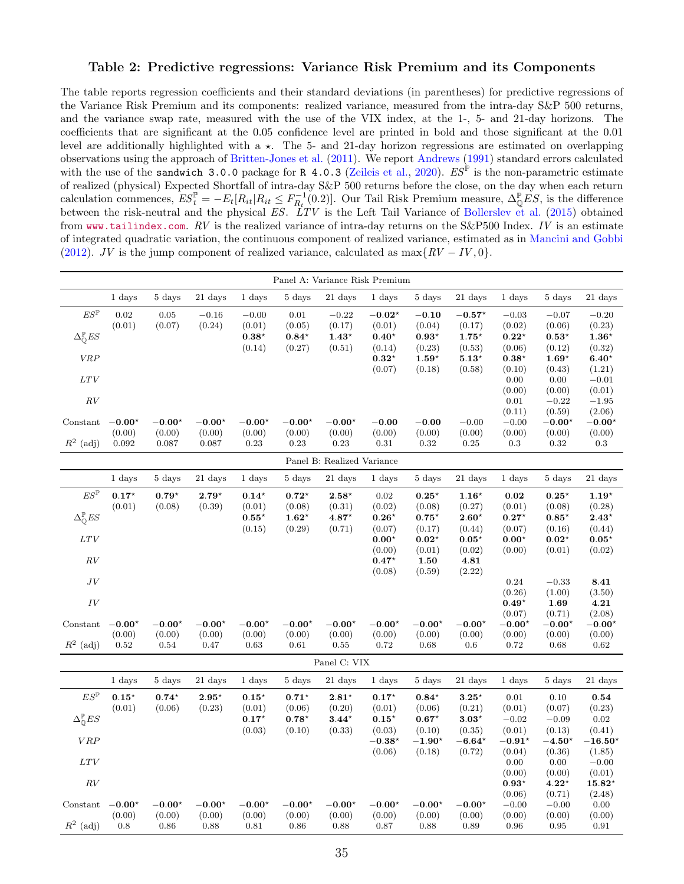### <span id="page-35-0"></span>Table 2: Predictive regressions: Variance Risk Premium and its Components

The table reports regression coefficients and their standard deviations (in parentheses) for predictive regressions of the Variance Risk Premium and its components: realized variance, measured from the intra-day S&P 500 returns, and the variance swap rate, measured with the use of the VIX index, at the 1-, 5- and 21-day horizons. The coefficients that are significant at the 0.05 confidence level are printed in bold and those significant at the 0.01 level are additionally highlighted with a  $\star$ . The 5- and 21-day horizon regressions are estimated on overlapping observations using the approach of [Britten-Jones et al.](#page-29-15) [\(2011\)](#page-29-15). We report [Andrews](#page-28-14) [\(1991\)](#page-28-14) standard errors calculated with the use of the sandwich 3.0.0 package for R 4.0.3 [\(Zeileis et al.,](#page-30-13) [2020\)](#page-30-13).  $ES^{\mathbb{P}}$  is the non-parametric estimate of realized (physical) Expected Shortfall of intra-day S&P 500 returns before the close, on the day when each return calculation commences,  $ES_t^{\mathbb{P}} = -E_t[R_{it}|R_{it} \le F_{R_t}^{-1}(0.2)]$ . Our Tail Risk Premium measure,  $\Delta_{\mathbb{Q}}^{\mathbb{P}} ES$ , is the difference between the risk-neutral and the physical ES. LTV is the Left Tail Variance of [Bollerslev et al.](#page-29-0) [\(2015\)](#page-29-0) obtained from <www.tailindex.com>.  $RV$  is the realized variance of intra-day returns on the S&P500 Index. IV is an estimate of integrated quadratic variation, the continuous component of realized variance, estimated as in [Mancini and Gobbi](#page-30-14) [\(2012\)](#page-30-14). JV is the jump component of realized variance, calculated as  $\max\{RV - IV, 0\}$ .

|                                       |                |                 |                 |                                 |                          | Panel A: Variance Risk Premium |                          |                    |                          |                          |                           |                            |
|---------------------------------------|----------------|-----------------|-----------------|---------------------------------|--------------------------|--------------------------------|--------------------------|--------------------|--------------------------|--------------------------|---------------------------|----------------------------|
|                                       | 1 days         | 5 days          | 21 days         | 1 days                          | 5 days                   | 21 days                        | 1 days                   | 5 days             | 21 days                  | 1 days                   | 5 days                    | 21 days                    |
| $ES^{\mathbb{P}}$                     | 0.02           | 0.05            | $-0.16$         | $-0.00$                         | 0.01                     | $-0.22$                        | $-0.02*$                 | $-0.10$            | $\bf-0.57^{\star}$       | $-0.03$                  | $-0.07$                   | $-0.20$                    |
|                                       | (0.01)         | (0.07)          | (0.24)          | (0.01)                          | (0.05)                   | (0.17)                         | (0.01)                   | (0.04)             | (0.17)                   | (0.02)                   | (0.06)                    | (0.23)                     |
| $\Delta^\mathbb{P}_{\mathbb{O}} E S$  |                |                 |                 | $\mathbf{0.38}^\star$<br>(0.14) | $0.84^{\star}$<br>(0.27) | $1.43^{\star}$<br>(0.51)       | $0.40^{\star}$<br>(0.14) | $0.93*$<br>(0.23)  | $1.75^{\star}$<br>(0.53) | $0.22^{\star}$<br>(0.06) | $0.53*$<br>(0.12)         | $1.36*$<br>(0.32)          |
| VRP                                   |                |                 |                 |                                 |                          |                                | $\mathbf{0.32}^\star$    | $1.59*$            | $5.13*$                  | $0.38*$                  | $1.69*$                   | $6.40*$                    |
|                                       |                |                 |                 |                                 |                          |                                | (0.07)                   | (0.18)             | (0.58)                   | (0.10)                   | (0.43)                    | (1.21)                     |
| $_{LTV}$                              |                |                 |                 |                                 |                          |                                |                          |                    |                          | 0.00                     | 0.00                      | $-0.01$                    |
| RV                                    |                |                 |                 |                                 |                          |                                |                          |                    |                          | (0.00)<br>0.01           | (0.00)<br>$-0.22$         | (0.01)                     |
|                                       |                |                 |                 |                                 |                          |                                |                          |                    |                          | (0.11)                   | (0.59)                    | $-1.95$<br>(2.06)          |
| Constant                              | $-0.00*$       | $-0.00^{\star}$ | $-0.00^{\star}$ | $-0.00*$                        | $-0.00^{\star}$          | $-0.00*$                       | $-0.00$                  | $-0.00$            | $-0.00$                  | $-0.00$                  | $-0.00*$                  | $-0.00*$                   |
|                                       | (0.00)         | (0.00)          | (0.00)          | (0.00)                          | (0.00)                   | (0.00)                         | (0.00)                   | (0.00)             | (0.00)                   | (0.00)                   | (0.00)                    | (0.00)                     |
| $R^2$ (adj)                           | 0.092          | 0.087           | 0.087           | 0.23                            | 0.23                     | 0.23                           | 0.31                     | 0.32               | 0.25                     | $\rm 0.3$                | 0.32                      | $\rm 0.3$                  |
|                                       |                |                 |                 |                                 |                          | Panel B: Realized Variance     |                          |                    |                          |                          |                           |                            |
|                                       | 1 days         | 5 days          | 21 days         | 1 days                          | 5 days                   | 21 days                        | 1 days                   | 5 days             | 21 days                  | 1 days                   | 5 days                    | 21 days                    |
| $ES^{\mathbb{P}}$                     | $0.17^{\star}$ | $0.79*$         | $2.79*$         | $0.14*$                         | $0.72^{\star}$           | $2.58*$                        | $\rm 0.02$               | $0.25*$            | $1.16*$                  | $0.02\,$                 | $\mathbf{0.25} \star$     | $1.19*$                    |
|                                       | (0.01)         | (0.08)          | (0.39)          | (0.01)                          | (0.08)                   | (0.31)                         | (0.02)                   | (0.08)             | (0.27)                   | (0.01)                   | (0.08)                    | (0.28)                     |
| $\Delta^\mathbb{P}_{\mathbb{O}} E S$  |                |                 |                 | $0.55^{\star}$                  | $\mathbf{1.62}^{\star}$  | $4.87*$                        | $0.26*$                  | $0.75*$            | $2.60*$                  | $0.27*$                  | $0.85*$                   | $2.43*$                    |
| LTV                                   |                |                 |                 | (0.15)                          | (0.29)                   | (0.71)                         | (0.07)<br>$0.00*$        | (0.17)<br>$0.02*$  | (0.44)<br>$0.05*$        | (0.07)<br>$0.00*$        | (0.16)<br>$0.02*$         | (0.44)<br>$0.05*$          |
|                                       |                |                 |                 |                                 |                          |                                | (0.00)                   | (0.01)             | (0.02)                   | (0.00)                   | (0.01)                    | (0.02)                     |
| RV                                    |                |                 |                 |                                 |                          |                                | $0.47*$                  | 1.50               | 4.81                     |                          |                           |                            |
|                                       |                |                 |                 |                                 |                          |                                | (0.08)                   | (0.59)             | (2.22)                   |                          |                           |                            |
| JV                                    |                |                 |                 |                                 |                          |                                |                          |                    |                          | 0.24                     | $-0.33$                   | 8.41                       |
| $\cal{IV}$                            |                |                 |                 |                                 |                          |                                |                          |                    |                          | (0.26)<br>$0.49*$        | (1.00)<br>1.69            | (3.50)<br>4.21             |
|                                       |                |                 |                 |                                 |                          |                                |                          |                    |                          | (0.07)                   | (0.71)                    | (2.08)                     |
| Constant                              | $-0.00*$       | $-0.00*$        | $-0.00*$        | $-0.00*$                        | $-0.00*$                 | $-0.00*$                       | $-0.00*$                 | $-0.00*$           | $-0.00*$                 | $-0.00*$                 | $-0.00*$                  | $-0.00*$                   |
|                                       | (0.00)         | (0.00)          | (0.00)          | (0.00)                          | (0.00)                   | (0.00)                         | (0.00)                   | (0.00)             | (0.00)                   | (0.00)                   | (0.00)                    | (0.00)                     |
| $R^2$ (adj)                           | $\rm 0.52$     | 0.54            | 0.47            | 0.63                            | 0.61                     | $0.55\,$                       | 0.72                     | 0.68               | 0.6                      | 0.72                     | 0.68                      | $\,0.62\,$                 |
|                                       |                |                 |                 |                                 |                          | Panel C: $VIX$                 |                          |                    |                          |                          |                           |                            |
|                                       | 1 days         | 5 days          | 21 days         | 1 days                          | 5 days                   | 21 days                        | 1 days                   | 5 days             | 21 days                  | 1 days                   | 5 days                    | 21 days                    |
| $ES^{\mathbb{P}}$                     | $0.15*$        | $0.74*$         | $2.95*$         | $0.15*$                         | $0.71*$                  | $\mathbf{2.81}^\star$          | $0.17*$                  | $0.84*$            | $3.25*$                  | $0.01\,$                 | 0.10                      | 0.54                       |
|                                       | (0.01)         | (0.06)          | (0.23)          | (0.01)                          | (0.06)                   | (0.20)                         | (0.01)                   | (0.06)             | (0.21)                   | (0.01)                   | (0.07)                    | (0.23)                     |
| $\Delta_{\mathbb{O}}^{\mathbb{P}} ES$ |                |                 |                 | $0.17*$                         | $0.78*$                  | $3.44*$                        | $0.15^{\star}$           | $0.67*$            | $3.03*$                  | $-0.02$                  | $-0.09$                   | $\sqrt{0.02}$              |
| VRP                                   |                |                 |                 | (0.03)                          | (0.10)                   | (0.33)                         | (0.03)<br>$-0.38*$       | (0.10)<br>$-1.90*$ | (0.35)<br>$-6.64*$       | (0.01)<br>$-0.91*$       | (0.13)<br>$-4.50^{\star}$ | (0.41)<br>$-16.50^{\star}$ |
|                                       |                |                 |                 |                                 |                          |                                | (0.06)                   | (0.18)             | (0.72)                   | (0.04)                   | (0.36)                    | (1.85)                     |
| $_{LTV}$                              |                |                 |                 |                                 |                          |                                |                          |                    |                          | 0.00                     | 0.00                      | $-0.00$                    |
|                                       |                |                 |                 |                                 |                          |                                |                          |                    |                          | (0.00)                   | (0.00)                    | (0.01)                     |
| $\cal RV$                             |                |                 |                 |                                 |                          |                                |                          |                    |                          | $0.93*$                  | $4.22*$                   | $15.82*$                   |
| Constant                              | $-0.00*$       | $-0.00^{\star}$ | $-0.00^{\star}$ | $-0.00^{\star}$                 | $-0.00*$                 | $-0.00^{\star}$                | $-0.00*$                 | $-0.00*$           | $-0.00^{\star}$          | (0.06)<br>$-0.00$        | (0.71)<br>$-0.00$         | (2.48)<br>0.00             |
|                                       | (0.00)         | (0.00)          | (0.00)          | (0.00)                          | (0.00)                   | (0.00)                         | (0.00)                   | (0.00)             | (0.00)                   | (0.00)                   | (0.00)                    | (0.00)                     |
| $R^2$ (adj)                           | 0.8            | 0.86            | 0.88            | 0.81                            | 0.86                     | 0.88                           | 0.87                     | 0.88               | 0.89                     | 0.96                     | 0.95                      | 0.91                       |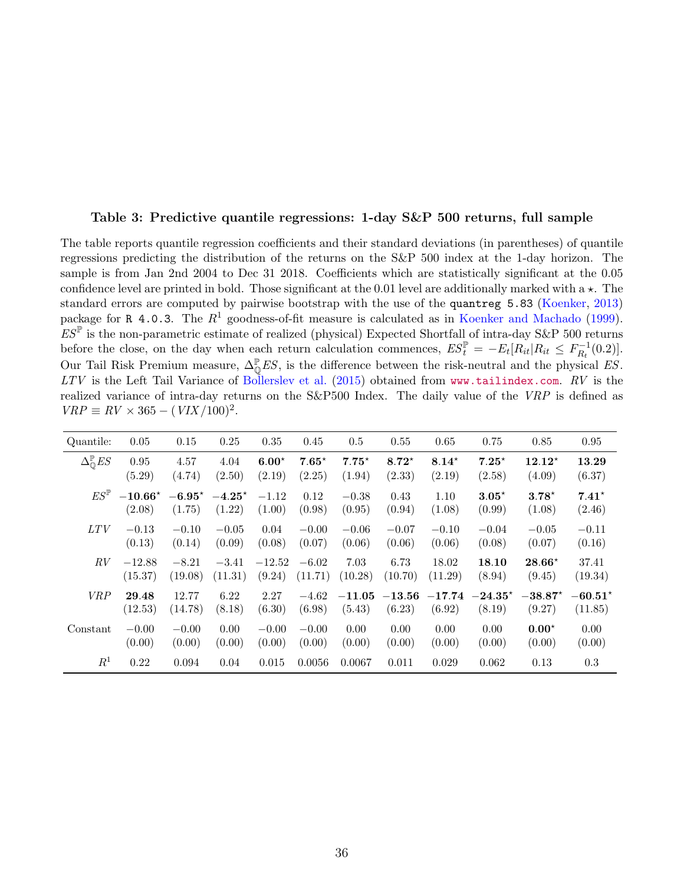### <span id="page-36-0"></span>Table 3: Predictive quantile regressions: 1-day S&P 500 returns, full sample

The table reports quantile regression coefficients and their standard deviations (in parentheses) of quantile regressions predicting the distribution of the returns on the S&P 500 index at the 1-day horizon. The sample is from Jan 2nd 2004 to Dec 31 2018. Coefficients which are statistically significant at the 0.05 confidence level are printed in bold. Those significant at the 0.01 level are additionally marked with a  $\star$ . The standard errors are computed by pairwise bootstrap with the use of the quantreg 5.83 [\(Koenker,](#page-30-15) [2013\)](#page-30-15) package for R 4.0.3. The  $R^1$  goodness-of-fit measure is calculated as in [Koenker and Machado](#page-30-16) [\(1999\)](#page-30-16).  $ES^{\mathbb{P}}$  is the non-parametric estimate of realized (physical) Expected Shortfall of intra-day S&P 500 returns before the close, on the day when each return calculation commences,  $ES_t^{\mathbb{P}} = -E_t[R_{it}|R_{it} \leq F_{R_t}^{-1}]$  $\binom{r-1}{R_t}(0.2)].$ Our Tail Risk Premium measure,  $\Delta_0^{\mathbb{P}} E S$ , is the difference between the risk-neutral and the physical ES.  $LTV$  is the Left Tail Variance of [Bollerslev et al.](#page-29-0) [\(2015\)](#page-29-0) obtained from <www.tailindex.com>.  $RV$  is the realized variance of intra-day returns on the S&P500 Index. The daily value of the VRP is defined as  $VRP \equiv RV \times 365 - (VIX/100)^2$ .

| Quantile:                              | 0.05      | 0.15     | 0.25     | 0.35     | 0.45    | $0.5\,$  | 0.55     | 0.65     | 0.75             | 0.85      | 0.95      |
|----------------------------------------|-----------|----------|----------|----------|---------|----------|----------|----------|------------------|-----------|-----------|
| $\Delta_{\mathbb{O}}^{\mathbb{P}} E S$ | 0.95      | 4.57     | 4.04     | $6.00*$  | $7.65*$ | $7.75*$  | $8.72*$  | $8.14*$  | $7.25^{\star}$   | $12.12*$  | 13.29     |
|                                        | (5.29)    | (4.74)   | (2.50)   | (2.19)   | (2.25)  | (1.94)   | (2.33)   | (2.19)   | (2.58)           | (4.09)    | (6.37)    |
| $ES^{\mathbb{P}}$                      | $-10.66*$ | $-6.95*$ | $-4.25*$ | $-1.12$  | 0.12    | $-0.38$  | 0.43     | 1.10     | $3.05*$          | $3.78*$   | $7.41*$   |
|                                        | (2.08)    | (1.75)   | (1.22)   | (1.00)   | (0.98)  | (0.95)   | (0.94)   | (1.08)   | (0.99)           | (1.08)    | (2.46)    |
| <i>LTV</i>                             | $-0.13$   | $-0.10$  | $-0.05$  | 0.04     | $-0.00$ | $-0.06$  | $-0.07$  | $-0.10$  | $-0.04$          | $-0.05$   | $-0.11$   |
|                                        | (0.13)    | (0.14)   | (0.09)   | (0.08)   | (0.07)  | (0.06)   | (0.06)   | (0.06)   | (0.08)           | (0.07)    | (0.16)    |
| RV                                     | $-12.88$  | $-8.21$  | $-3.41$  | $-12.52$ | $-6.02$ | 7.03     | 6.73     | 18.02    | 18.10            | $28.66*$  | 37.41     |
|                                        | (15.37)   | (19.08)  | (11.31)  | (9.24)   | (11.71) | (10.28)  | (10.70)  | (11.29)  | (8.94)           | (9.45)    | (19.34)   |
| <b>VRP</b>                             | 29.48     | 12.77    | 6.22     | 2.27     | $-4.62$ | $-11.05$ | $-13.56$ | $-17.74$ | $-24.35^{\star}$ | $-38.87*$ | $-60.51*$ |
|                                        | (12.53)   | (14.78)  | (8.18)   | (6.30)   | (6.98)  | (5.43)   | (6.23)   | (6.92)   | (8.19)           | (9.27)    | (11.85)   |
| Constant                               | $-0.00$   | $-0.00$  | 0.00     | $-0.00$  | $-0.00$ | 0.00     | 0.00     | 0.00     | 0.00             | $0.00^*$  | 0.00      |
|                                        | (0.00)    | (0.00)   | (0.00)   | (0.00)   | (0.00)  | (0.00)   | (0.00)   | (0.00)   | (0.00)           | (0.00)    | (0.00)    |
| $R^1$                                  | 0.22      | 0.094    | 0.04     | 0.015    | 0.0056  | 0.0067   | 0.011    | 0.029    | 0.062            | 0.13      | 0.3       |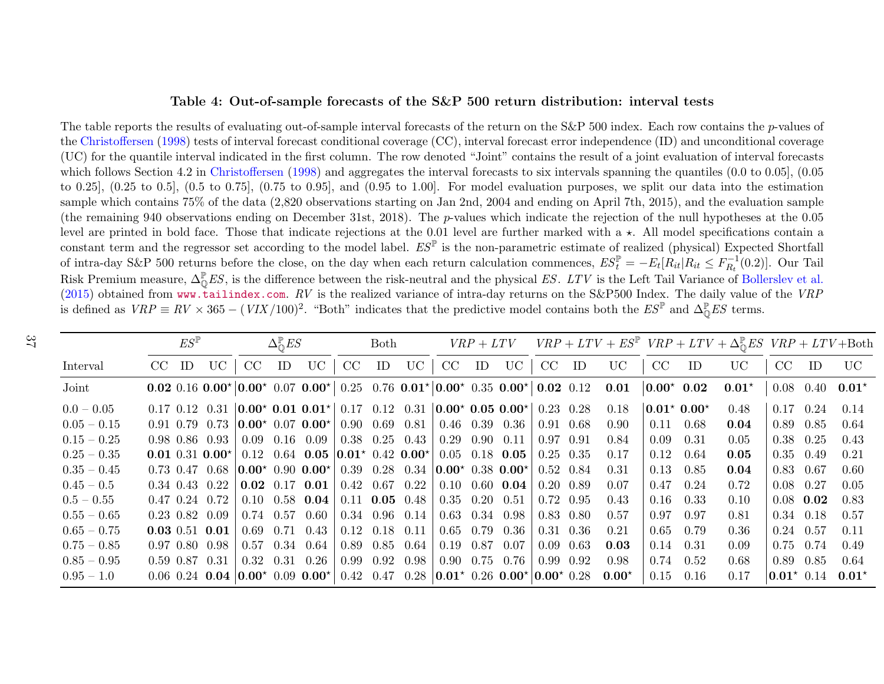### Table 4: Out-of-sample forecasts of the S&P 500 return distribution: interval tests

The table reports the results of evaluating out-of-sample interval forecasts of the return on the S&P 500 index. Each row contains the p-values of the [Christoffersen](#page-29-16) [\(1998\)](#page-29-16) tests of interval forecast conditional coverage (CC), interval forecast error independence (ID) and unconditional coverage (UC) for the quantile interval indicated in the first column. The row denoted "Joint" contains the result of <sup>a</sup> joint evaluation of interval forecastswhich follows Section 4.2 in [Christoffersen](#page-29-16) ([1998\)](#page-29-16) and aggregates the interval forecasts to six intervals spanning the quantiles (0.0 to 0.05], (0.05) to 0.25], (0.25 to 0.5], (0.5 to 0.75], (0.75 to 0.95], and (0.95 to 1.00]. For model evaluation purposes, we split our data into the estimation sample which contains 75% of the data (2,820 observations starting on Jan 2nd, <sup>2004</sup> and ending on April 7th, 2015), and the evaluation sample(the remaining 940 observations ending on December 31st, 2018). The p-values which indicate the rejection of the null hypotheses at the  $0.05$ level are printed in bold face. Those that indicate rejections at the 0.01 level are further marked with a  $\star$ . All model specifications contain a constant term and the regressor set according to the model label.  $ES^{\mathbb{P}}$  is the non-parametric estimate of realized (physical) Expected Shortfall of intra-day S&P 500 returns before the close, on the day when each return calculation commences,  $ES_t^{\mathbb{P}} = -E_t[R_{it}|R_{it} \le F_{R_t}^{-1}(0.2)].$  Our Tail Risk Premium measure,  $\Delta_{\mathbb{Q}}^{\mathbb{P}} E S$ , is the difference between the risk-neutral and the physical ES. LTV is the Left Tail Variance of [Bollerslev](#page-29-17) et al.<br>  $\mathbb{E}[S] = \mathbb{E}[S] = \mathbb{E}[S] = \mathbb{E}[S] = \mathbb{E}[S] = \mathbb{E}[S] = \mathbb{E}[$ [\(2015\)](#page-29-17) obtained from <www.tailindex.com>.  $RV$  is the realized variance of intra-day returns on the S&P500 Index. The daily value of the VRP is defined as  $VRP \equiv RV \times 365 - (VIX/100)^2$ . "Both" indicates that the predictive model contains both the  $ES^{\mathbb{P}}$  and  $\Delta^{\mathbb{P}}_{\mathbb{Q}} ES$  terms.

<span id="page-37-0"></span>

|               |         | $ES^{\mathbb{P}}$ |                        |                  | $\Delta_{\mathcal{O}}^{\mathbb{P}} ES$ |                                                                                                                                                           |                                          | Both |                      |                                                                     |    |                                                          |                 |                                                                                  |                      |                   | $VRP + LTV$ $VRP + LTV + ES^{\mathbb{P}}$ $VRP + LTV + \Delta_{\mathbb{O}}^{\mathbb{P}} ES$ $VRP + LTV + \text{Both}$ |               |                   |                |
|---------------|---------|-------------------|------------------------|------------------|----------------------------------------|-----------------------------------------------------------------------------------------------------------------------------------------------------------|------------------------------------------|------|----------------------|---------------------------------------------------------------------|----|----------------------------------------------------------|-----------------|----------------------------------------------------------------------------------|----------------------|-------------------|-----------------------------------------------------------------------------------------------------------------------|---------------|-------------------|----------------|
| Interval      | $CC$ ID |                   | UC                     | CC               | ID                                     | UC                                                                                                                                                        | CC                                       | ID   | UC                   | CC                                                                  | ID |                                                          | $UC$ $CC$ $ID$  | <b>UC</b>                                                                        | CC                   | ID                | <b>UC</b>                                                                                                             | CC            | ID                | <b>UC</b>      |
| Joint         |         |                   |                        |                  |                                        |                                                                                                                                                           |                                          |      |                      |                                                                     |    |                                                          |                 | 0.02 0.16 0.00* 0.00* 0.07 0.00* 0.25 0.76 0.01* 0.00* 0.35 0.00* 0.02 0.12 0.01 | $ 0.00^{\star} 0.02$ |                   | $0.01^*$                                                                                                              |               | $0.08 \quad 0.40$ | $0.01^{\star}$ |
| $0.0 - 0.05$  |         |                   |                        |                  |                                        | $0.17$ $0.12$ $0.31$ $\vert 0.00^{\star}$ $0.01$ $0.01^{\star}$ $\vert 0.17$ $0.12$ $0.31$ $\vert 0.00^{\star}$ $0.05$ $0.00^{\star}$ $\vert 0.23$ $0.28$ |                                          |      |                      |                                                                     |    |                                                          |                 | 0.18                                                                             |                      | $ 0.01* 0.00*$    | 0.48                                                                                                                  |               | $0.17 \quad 0.24$ | 0.14           |
| $0.05 - 0.15$ |         |                   |                        |                  |                                        | $0.91$ 0.79 0.73 $\vert 0.00 \star 0.07 \vert 0.00 \star \vert 0.90 \vert 0.69 \vert 0.81$                                                                |                                          |      |                      | $0.46$ $0.39$ $0.36$                                                |    |                                                          | $\pm 0.91$ 0.68 | 0.90                                                                             |                      | $0.11 \quad 0.68$ | 0.04                                                                                                                  | 0.89          | 0.85              | 0.64           |
| $0.15 - 0.25$ |         |                   | $0.98$ $0.86$ $0.93$   |                  |                                        | $0.09$ 0.16 0.09                                                                                                                                          |                                          |      |                      | $\vert 0.38 \quad 0.25 \quad 0.43 \vert 0.29 \quad 0.90 \quad 0.11$ |    |                                                          | $0.97$ 0.91     | 0.84                                                                             | 0.09                 | 0.31              | 0.05                                                                                                                  |               | $0.38 \quad 0.25$ | 0.43           |
| $0.25 - 0.35$ |         |                   |                        |                  |                                        | 0.01 0.31 0.00* 0.12 0.64 0.05 0.01* 0.42 0.00* 0.05 0.18 0.05 0.25 0.35                                                                                  |                                          |      |                      |                                                                     |    |                                                          |                 | 0.17                                                                             | 0.12                 | 0.64              | 0.05                                                                                                                  |               | $0.35$ 0.49       | 0.21           |
| $0.35 - 0.45$ |         |                   | $0.73$ $0.47$ $0.68$   |                  |                                        |                                                                                                                                                           |                                          |      |                      |                                                                     |    |                                                          |                 | 0.31                                                                             | 0.13                 | 0.85              | 0.04                                                                                                                  |               | $0.83$ 0.67       | 0.60           |
| $0.45-0.5$    |         |                   | $0.34$ $0.43$ $0.22$   |                  |                                        | $\vert$ 0.02 0.17 0.01 $\vert$ 0.42 0.67 0.22                                                                                                             |                                          |      |                      |                                                                     |    | $\vert 0.10 \vert 0.60 \vert 0.04 \vert 0.20 \vert 0.89$ |                 | 0.07                                                                             |                      | $0.47$ 0.24       | 0.72                                                                                                                  | $0.08$ 0.27   |                   | 0.05           |
| $0.5-0.55$    |         |                   | $0.47$ $0.24$ $0.72$   |                  |                                        | $0.10$ $0.58$ $0.04$ 0.11 $0.05$ $0.48$ 0.35 0.20 0.51                                                                                                    |                                          |      |                      |                                                                     |    |                                                          | $0.72\ 0.95$    | 0.43                                                                             |                      | $0.16$ 0.33       | 0.10                                                                                                                  |               | $0.08$ 0.02       | 0.83           |
| $0.55 - 0.65$ |         |                   | $0.23$ $0.82$ $0.09$   | $0.74$ 0.57 0.60 |                                        |                                                                                                                                                           | $\vert 0.34 \vert 0.96 \vert 0.14 \vert$ |      |                      | $0.63$ $0.34$ $0.98$                                                |    |                                                          | 0.83 0.80       | 0.57                                                                             | 0.97                 | 0.97              | 0.81                                                                                                                  |               | $0.34$ 0.18       | 0.57           |
| $0.65 - 0.75$ |         |                   | $0.03 \; 0.51 \; 0.01$ |                  |                                        | $0.69$ $0.71$ $0.43$                                                                                                                                      | $0.12$ $0.18$ $0.11$                     |      |                      |                                                                     |    | $0.65$ 0.79 0.36                                         | $0.31\ 0.36$    | 0.21                                                                             | 0.65                 | 0.79              | 0.36                                                                                                                  |               | $0.24$ 0.57       | 0.11           |
| $0.75-0.85$   |         |                   | $0.97$ $0.80$ $0.98$   | 0.57             |                                        | $0.34$ 0.64                                                                                                                                               |                                          |      | $0.89$ $0.85$ $0.64$ | $0.19$ $0.87$ $0.07$                                                |    |                                                          | $0.09$ 0.63     | 0.03                                                                             | 0.14                 | 0.31              | 0.09                                                                                                                  |               | $0.75$ 0.74       | 0.49           |
| $0.85-0.95$   |         |                   | $0.59$ $0.87$ $0.31$   |                  |                                        | $0.32 \quad 0.31 \quad 0.26$                                                                                                                              |                                          |      | $0.99$ $0.92$ $0.98$ |                                                                     |    | $0.90 \quad 0.75 \quad 0.76$                             | 0.99 0.92       | 0.98                                                                             | 0.74                 | 0.52              | 0.68                                                                                                                  | 0.89          | 0.85              | 0.64           |
| $0.95 - 1.0$  |         |                   |                        |                  |                                        | $0.06$ $0.24$ $0.04$ $0.00*$ $0.09$ $0.00*$ $0.42$ $0.47$ $0.28$ $0.01*$ $0.26$ $0.00*$ $0.00*$ $0.28$                                                    |                                          |      |                      |                                                                     |    |                                                          |                 | $0.00*$                                                                          | 0.15                 | 0.16              | 0.17                                                                                                                  | $0.01^*$ 0.14 |                   | $0.01*$        |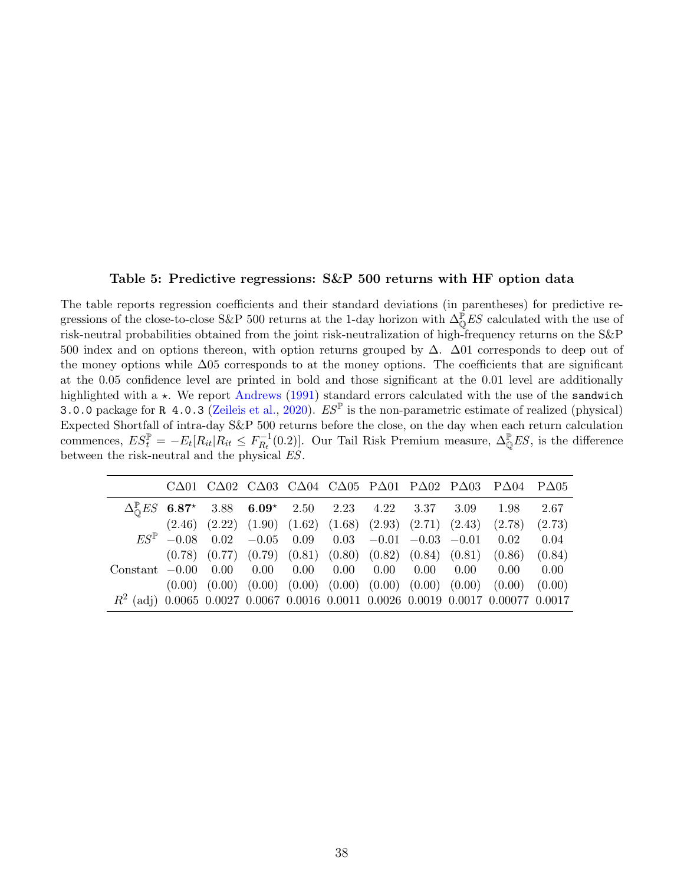### Table 5: Predictive regressions: S&P 500 returns with HF option data

<span id="page-38-0"></span>The table reports regression coefficients and their standard deviations (in parentheses) for predictive regressions of the close-to-close S&P 500 returns at the 1-day horizon with  $\Delta_0^{\mathbb{P}} E S$  calculated with the use of risk-neutral probabilities obtained from the joint risk-neutralization of high-frequency returns on the S&P 500 index and on options thereon, with option returns grouped by ∆. ∆01 corresponds to deep out of the money options while ∆05 corresponds to at the money options. The coefficients that are significant at the 0.05 confidence level are printed in bold and those significant at the 0.01 level are additionally highlighted with a  $\star$ . We report [Andrews](#page-28-14) [\(1991\)](#page-28-14) standard errors calculated with the use of the sandwich 3.0.0 package for R 4.0.3 [\(Zeileis et al.,](#page-30-13) [2020\)](#page-30-13).  $ES^{\mathbb{P}}$  is the non-parametric estimate of realized (physical) Expected Shortfall of intra-day S&P 500 returns before the close, on the day when each return calculation commences,  $ES_t^{\mathbb{P}} = -E_t[R_{it} | R_{it} \leq F_{R_t}^{-1}]$  $E_{R_t}^{-1}(0.2)$ . Our Tail Risk Premium measure,  $\Delta_{\mathbb{Q}}^{\mathbb{P}} ES$ , is the difference between the risk-neutral and the physical ES.

|                                                                                          |  |  |  |  | CA01 CA02 CA03 CA04 CA05 PA01 PA02 PA03 PA04 PA05                                         |      |
|------------------------------------------------------------------------------------------|--|--|--|--|-------------------------------------------------------------------------------------------|------|
|                                                                                          |  |  |  |  | $\Delta_{\odot}^{\mathbb{P}} ES$ 6.87* 3.88 6.09* 2.50 2.23 4.22 3.37 3.09 1.98           | 2.67 |
|                                                                                          |  |  |  |  | $(2.46)$ $(2.22)$ $(1.90)$ $(1.62)$ $(1.68)$ $(2.93)$ $(2.71)$ $(2.43)$ $(2.78)$ $(2.73)$ |      |
|                                                                                          |  |  |  |  | $ES^{\mathbb{P}}$ -0.08 0.02 -0.05 0.09 0.03 -0.01 -0.03 -0.01 0.02                       | 0.04 |
|                                                                                          |  |  |  |  | $(0.78)$ $(0.77)$ $(0.79)$ $(0.81)$ $(0.80)$ $(0.82)$ $(0.84)$ $(0.81)$ $(0.86)$ $(0.84)$ |      |
| $Constant$ $-0.00$ $0.00$ $0.00$ $0.00$ $0.00$ $0.00$ $0.00$ $0.00$ $0.00$ $0.00$ $0.00$ |  |  |  |  |                                                                                           |      |
|                                                                                          |  |  |  |  | $(0.00)$ $(0.00)$ $(0.00)$ $(0.00)$ $(0.00)$ $(0.00)$ $(0.00)$ $(0.00)$ $(0.00)$ $(0.00)$ |      |
| $R^2$ (adj) 0.0065 0.0027 0.0067 0.0016 0.0011 0.0026 0.0019 0.0017 0.00077 0.0017       |  |  |  |  |                                                                                           |      |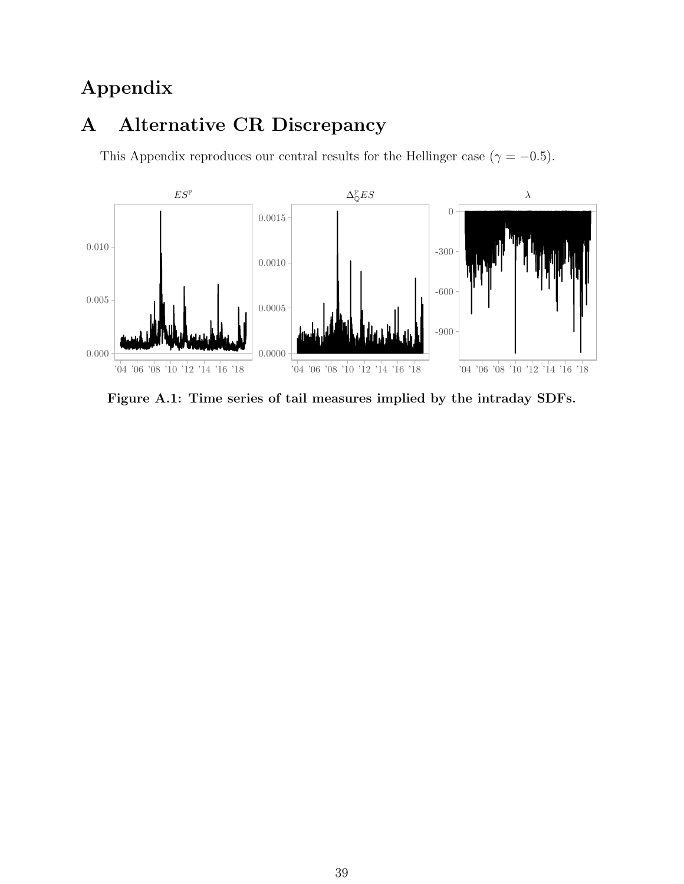## Appendix

## <span id="page-39-0"></span>A Alternative CR Discrepancy

This Appendix reproduces our central results for the Hellinger case ( $\gamma = -0.5$ ).

<span id="page-39-1"></span>

Figure A.1: Time series of tail measures implied by the intraday SDFs.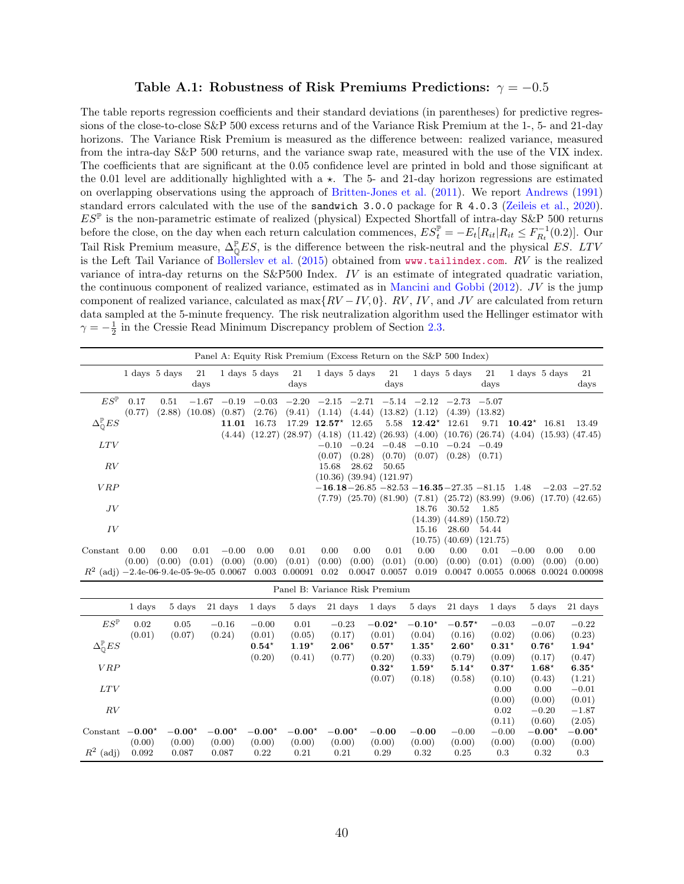### Table A.1: Robustness of Risk Premiums Predictions:  $\gamma = -0.5$

<span id="page-40-0"></span>The table reports regression coefficients and their standard deviations (in parentheses) for predictive regressions of the close-to-close S&P 500 excess returns and of the Variance Risk Premium at the 1-, 5- and 21-day horizons. The Variance Risk Premium is measured as the difference between: realized variance, measured from the intra-day S&P 500 returns, and the variance swap rate, measured with the use of the VIX index. The coefficients that are significant at the 0.05 confidence level are printed in bold and those significant at the 0.01 level are additionally highlighted with a  $\star$ . The 5- and 21-day horizon regressions are estimated on overlapping observations using the approach of [Britten-Jones et al.](#page-29-15) [\(2011\)](#page-29-15). We report [Andrews](#page-28-14) [\(1991\)](#page-28-14) standard errors calculated with the use of the sandwich 3.0.0 package for R 4.0.3 [\(Zeileis et al.,](#page-30-13) [2020\)](#page-30-13).  $ES^{\mathbb{P}}$  is the non-parametric estimate of realized (physical) Expected Shortfall of intra-day S&P 500 returns before the close, on the day when each return calculation commences,  $ES_t^{\mathbb{P}} = -E_t[R_{it}|R_{it} \le F_{R_t}^{-1}(0.2)].$  Our Tail Risk Premium measure,  $\Delta_{\mathbb{Q}}^{\mathbb{P}} E S$ , is the difference between the risk-neutral and the physical ES. LTV is the Left Tail Variance of [Bollerslev et al.](#page-29-0) [\(2015\)](#page-29-0) obtained from <www.tailindex.com>. RV is the realized variance of intra-day returns on the S&P500 Index. IV is an estimate of integrated quadratic variation, the continuous component of realized variance, estimated as in [Mancini and Gobbi](#page-30-14)  $(2012)$ . JV is the jump component of realized variance, calculated as max $\{RV - IV, 0\}$ . RV, IV, and JV are calculated from return data sampled at the 5-minute frequency. The risk neutralization algorithm used the Hellinger estimator with  $\gamma = -\frac{1}{2}$  in the Cressie Read Minimum Discrepancy problem of Section [2.3.](#page-9-1)

|                                             |                |                                   |                    |                   |                                   |                     |                 |                                   | Panel A: Equity Risk Premium (Excess Return on the S&P 500 Index) |                 |                                   |                                                                                                                                            |                  |                                 |                          |
|---------------------------------------------|----------------|-----------------------------------|--------------------|-------------------|-----------------------------------|---------------------|-----------------|-----------------------------------|-------------------------------------------------------------------|-----------------|-----------------------------------|--------------------------------------------------------------------------------------------------------------------------------------------|------------------|---------------------------------|--------------------------|
|                                             |                | $1 \mathrm{days} 5 \mathrm{days}$ | 21<br>days         |                   | $1 \mathrm{days} 5 \mathrm{days}$ | 21<br>$_{\rm days}$ |                 | $1 \mathrm{days} 5 \mathrm{days}$ | 21<br>days                                                        |                 | $1 \mathrm{days} 5 \mathrm{days}$ | 21<br>days                                                                                                                                 |                  | $1 \text{ days} 5 \text{ days}$ | 21<br>days               |
| $ES^{\mathbb{P}}$                           | 0.17<br>(0.77) | 0.51<br>(2.88)                    | $-1.67$<br>(10.08) | $-0.19$<br>(0.87) | $-0.03$<br>(2.76)                 | $-2.20$<br>(9.41)   | (1.14)          | $-2.15$ $-2.71$<br>(4.44)         | $(13.82)$ $(1.12)$                                                | $-5.14$ $-2.12$ | (4.39)                            | $-2.73 -5.07$<br>(13.82)                                                                                                                   |                  |                                 |                          |
| $\Delta_{\mathbb{Q}}^{\mathbb{P}} ES$       |                |                                   |                    | 11.01             | 16.73                             | 17.29               | $12.57^{\star}$ | 12.65                             | 5.58                                                              | $12.42*$        | 12.61                             | 9.71                                                                                                                                       | $10.42^{\star}$  | 16.81                           | 13.49                    |
| LTV                                         |                |                                   |                    | (4.44)            | (12.27)                           |                     | $-0.10$         | $-0.24$                           | $-0.48$                                                           |                 | $-0.10$ $-0.24$ $-0.49$           | $(28.97)$ $(4.18)$ $(11.42)$ $(26.93)$ $(4.00)$ $(10.76)$ $(26.74)$ $(4.04)$ $(15.93)$ $(47.45)$                                           |                  |                                 |                          |
| RV                                          |                |                                   |                    |                   |                                   |                     | (0.07)<br>15.68 | (0.28)<br>28.62                   | (0.70)<br>50.65                                                   | (0.07)          | (0.28)                            | (0.71)                                                                                                                                     |                  |                                 |                          |
|                                             |                |                                   |                    |                   |                                   |                     |                 |                                   | $(10.36)$ $(39.94)$ $(121.97)$                                    |                 |                                   |                                                                                                                                            |                  |                                 |                          |
| VRP                                         |                |                                   |                    |                   |                                   |                     |                 |                                   |                                                                   |                 |                                   | $-16.18 - 26.85 - 82.53 - 16.35 - 27.35 - 81.15$<br>$(7.79)$ $(25.70)$ $(81.90)$ $(7.81)$ $(25.72)$ $(83.99)$ $(9.06)$ $(17.70)$ $(42.65)$ | 1.48             |                                 | $-2.03 -27.52$           |
| JV                                          |                |                                   |                    |                   |                                   |                     |                 |                                   |                                                                   | 18.76           | 30.52                             | 1.85                                                                                                                                       |                  |                                 |                          |
| IV                                          |                |                                   |                    |                   |                                   |                     |                 |                                   |                                                                   | 15.16           | 28.60                             | $(14.39)$ $(44.89)$ $(150.72)$<br>54.44                                                                                                    |                  |                                 |                          |
| Constant                                    | 0.00           | 0.00                              | 0.01               | $-0.00$           | 0.00                              | 0.01                | 0.00            | 0.00                              | 0.01                                                              | 0.00            | 0.00                              | $(10.75)$ $(40.69)$ $(121.75)$<br>0.01                                                                                                     | $-0.00$          | 0.00                            | 0.00                     |
| $R^2$ (adj) $-2.4e-06-9.4e-05-9e-05$ 0.0067 | (0.00)         | (0.00)                            | (0.01)             | (0.00)            | (0.00)<br>0.003                   | (0.01)<br>0.00091   | (0.00)<br>0.02  | (0.00)<br>0.0047                  | (0.01)<br>0.0057                                                  | (0.00)<br>0.019 | (0.00)<br>0.0047                  | (0.01)<br>0.0055                                                                                                                           | (0.00)<br>0.0068 | (0.00)                          | (0.00)<br>0.0024 0.00098 |

|                                       |                |                |                   |                   |                | Panel B: Variance Risk Premium |                    |                    |                    |                   |                   |                   |
|---------------------------------------|----------------|----------------|-------------------|-------------------|----------------|--------------------------------|--------------------|--------------------|--------------------|-------------------|-------------------|-------------------|
|                                       | 1 days         | 5 days         | 21 days           | 1 days            | 5 days         | 21 days                        | 1 days             | 5 days             | 21 days            | 1 days            | 5 days            | 21 days           |
| $ES^{\mathbb{P}}$                     | 0.02<br>(0.01) | 0.05<br>(0.07) | $-0.16$<br>(0.24) | $-0.00$<br>(0.01) | 0.01<br>(0.05) | $-0.23$<br>(0.17)              | $-0.02*$<br>(0.01) | $-0.10*$<br>(0.04) | $-0.57*$<br>(0.16) | $-0.03$<br>(0.02) | $-0.07$<br>(0.06) | $-0.22$<br>(0.23) |
| $\Delta_{\mathbb{O}}^{\mathbb{P}} ES$ |                |                |                   | $0.54*$           | $1.19*$        | $2.06*$                        | $0.57*$            | $1.35*$            | $2.60*$            | $0.31*$           | $0.76*$           | $1.94*$           |
|                                       |                |                |                   | (0.20)            | (0.41)         | (0.77)                         | (0.20)             | (0.33)             | (0.79)             | (0.09)            | (0.17)            | (0.47)            |
| VRP                                   |                |                |                   |                   |                |                                | $0.32*$            | $1.59*$            | $5.14*$            | $0.37*$           | $1.68*$           | $6.35*$           |
|                                       |                |                |                   |                   |                |                                | (0.07)             | (0.18)             | (0.58)             | (0.10)            | (0.43)            | (1.21)            |
| LTV                                   |                |                |                   |                   |                |                                |                    |                    |                    | 0.00              | 0.00              | $-0.01$           |
|                                       |                |                |                   |                   |                |                                |                    |                    |                    | (0.00)            | (0.00)            | (0.01)            |
| RV                                    |                |                |                   |                   |                |                                |                    |                    |                    | 0.02              | $-0.20$           | $-1.87$           |
|                                       |                |                |                   |                   |                |                                |                    |                    |                    | (0.11)            | (0.60)            | (2.05)            |
| Constant                              | $-0.00*$       | $-0.00*$       | $-0.00*$          | $-0.00*$          | $-0.00*$       | $-0.00^*$                      | $-0.00$            | $-0.00$            | $-0.00$            | $-0.00$           | $-0.00*$          | $-0.00^*$         |
|                                       | (0.00)         | (0.00)         | (0.00)            | (0.00)            | (0.00)         | (0.00)                         | (0.00)             | (0.00)             | (0.00)             | (0.00)            | (0.00)            | (0.00)            |
| $\,R^2$<br>(adj)                      | 0.092          | 0.087          | 0.087             | 0.22              | 0.21           | 0.21                           | 0.29               | 0.32               | 0.25               | 0.3               | 0.32              | 0.3               |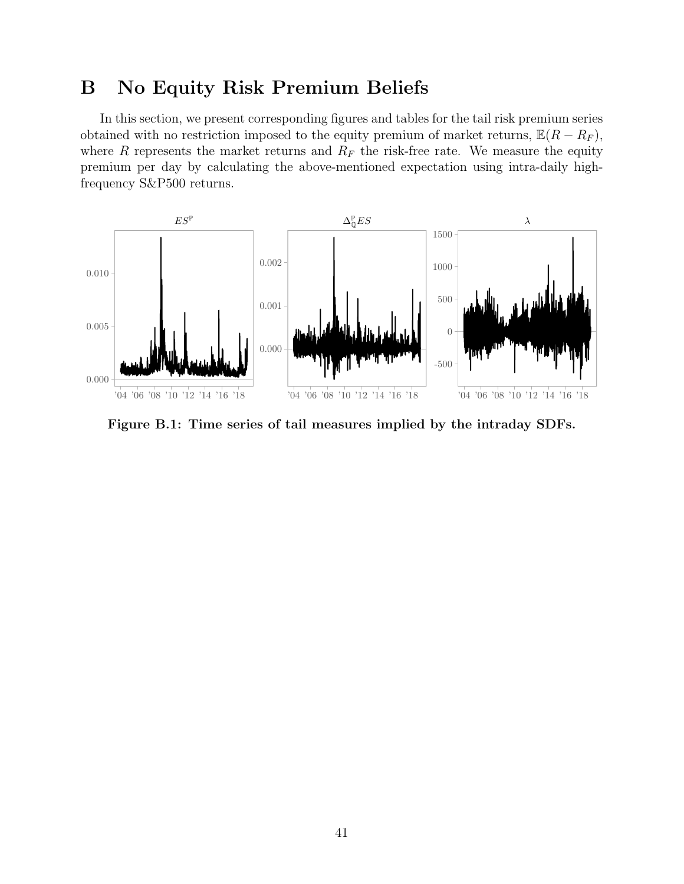### <span id="page-41-1"></span>B No Equity Risk Premium Beliefs

In this section, we present corresponding figures and tables for the tail risk premium series obtained with no restriction imposed to the equity premium of market returns,  $\mathbb{E}(R - R_F)$ , where R represents the market returns and  $R_F$  the risk-free rate. We measure the equity premium per day by calculating the above-mentioned expectation using intra-daily highfrequency S&P500 returns.

<span id="page-41-0"></span>

Figure B.1: Time series of tail measures implied by the intraday SDFs.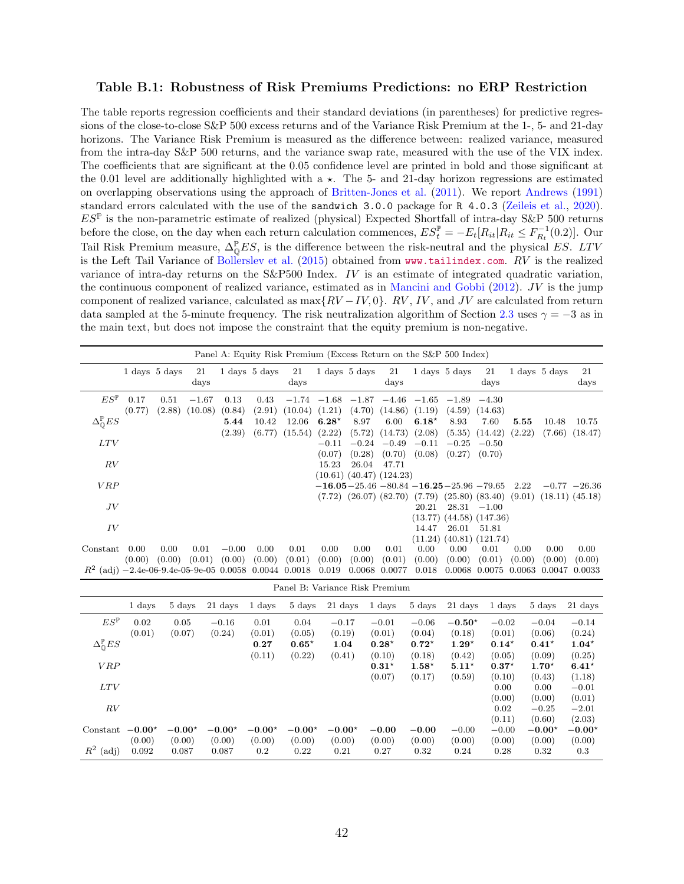### <span id="page-42-0"></span>Table B.1: Robustness of Risk Premiums Predictions: no ERP Restriction

The table reports regression coefficients and their standard deviations (in parentheses) for predictive regressions of the close-to-close S&P 500 excess returns and of the Variance Risk Premium at the 1-, 5- and 21-day horizons. The Variance Risk Premium is measured as the difference between: realized variance, measured from the intra-day S&P 500 returns, and the variance swap rate, measured with the use of the VIX index. The coefficients that are significant at the 0.05 confidence level are printed in bold and those significant at the 0.01 level are additionally highlighted with a  $\star$ . The 5- and 21-day horizon regressions are estimated on overlapping observations using the approach of [Britten-Jones et al.](#page-29-15) [\(2011\)](#page-29-15). We report [Andrews](#page-28-14) [\(1991\)](#page-28-14) standard errors calculated with the use of the sandwich 3.0.0 package for R 4.0.3 [\(Zeileis et al.,](#page-30-13) [2020\)](#page-30-13).  $ES^{\mathbb{P}}$  is the non-parametric estimate of realized (physical) Expected Shortfall of intra-day S&P 500 returns before the close, on the day when each return calculation commences,  $ES_t^{\mathbb{P}} = -E_t[R_{it}|R_{it} \le F_{R_t}^{-1}(0.2)].$  Our Tail Risk Premium measure,  $\Delta_{\mathbb{Q}}^{\mathbb{P}} E S$ , is the difference between the risk-neutral and the physical ES. LTV is the Left Tail Variance of [Bollerslev et al.](#page-29-0) [\(2015\)](#page-29-0) obtained from <www.tailindex.com>. RV is the realized variance of intra-day returns on the S&P500 Index. IV is an estimate of integrated quadratic variation, the continuous component of realized variance, estimated as in [Mancini and Gobbi](#page-30-14)  $(2012)$ . JV is the jump component of realized variance, calculated as max $\{RV - IV, 0\}$ . RV, IV, and JV are calculated from return data sampled at the 5-minute frequency. The risk neutralization algorithm of Section [2.3](#page-9-1) uses  $\gamma = -3$  as in the main text, but does not impose the constraint that the equity premium is non-negative.

|                                                           |                |                                   |                      |                   |                                   |                  |                           |                                   | Panel A: Equity Risk Premium (Excess Return on the S&P 500 Index) |                   |                                   |                                                                                                                                            |                |                                 |                      |
|-----------------------------------------------------------|----------------|-----------------------------------|----------------------|-------------------|-----------------------------------|------------------|---------------------------|-----------------------------------|-------------------------------------------------------------------|-------------------|-----------------------------------|--------------------------------------------------------------------------------------------------------------------------------------------|----------------|---------------------------------|----------------------|
|                                                           |                | $1 \mathrm{days} 5 \mathrm{days}$ | 21<br>days           |                   | $1 \mathrm{days} 5 \mathrm{days}$ | 21<br>days       |                           | $1 \mathrm{days} 5 \mathrm{days}$ | 21<br>days                                                        |                   | $1 \mathrm{days} 5 \mathrm{days}$ | 21<br>days                                                                                                                                 |                | $1 \text{ days} 5 \text{ days}$ | 21<br>days           |
| $ES^{\mathbb{P}}$                                         | 0.17<br>(0.77) | 0.51<br>(2.88)                    | $-1.67$<br>(10.08)   | 0.13<br>(0.84)    | 0.43<br>(2.91)                    | (10.04)          | $-1.74$ $-1.68$<br>(1.21) | (4.70)                            | $-1.87 -4.46$<br>(14.86)                                          | $-1.65$<br>(1.19) | $-1.89$<br>(4.59)                 | $-4.30$<br>(14.63)                                                                                                                         |                |                                 |                      |
| $\Delta_{\mathbb{Q}}^{\mathbb{P}} ES$                     |                |                                   |                      | 5.44<br>(2.39)    | 10.42<br>(6.77)                   | 12.06<br>(15.54) | $6.28*$<br>(2.22)         | 8.97<br>(5.72)                    | 6.00<br>$(14.73)$ $(2.08)$                                        | $6.18*$           | 8.93<br>(5.35)                    | 7.60<br>(14.42)                                                                                                                            | 5.55<br>(2.22) | 10.48<br>(7.66)                 | 10.75<br>(18.47)     |
| LTV                                                       |                |                                   |                      |                   |                                   |                  | $-0.11$<br>(0.07)         | $-0.24\,$<br>(0.28)               | $-0.49$<br>(0.70)                                                 | $-0.11$           | $-0.25$<br>$(0.08)$ $(0.27)$      | $-0.50$<br>(0.70)                                                                                                                          |                |                                 |                      |
| RV                                                        |                |                                   |                      |                   |                                   |                  | 15.23                     | 26.04                             | 47.71<br>$(10.61)$ $(40.47)$ $(124.23)$                           |                   |                                   |                                                                                                                                            |                |                                 |                      |
| VRP                                                       |                |                                   |                      |                   |                                   |                  |                           |                                   |                                                                   |                   |                                   | $-16.05 - 25.46 - 80.84 - 16.25 - 25.96 - 79.65$<br>$(7.72)$ $(26.07)$ $(82.70)$ $(7.79)$ $(25.80)$ $(83.40)$ $(9.01)$ $(18.11)$ $(45.18)$ | 2.22           |                                 | $-0.77 -26.36$       |
| JV                                                        |                |                                   |                      |                   |                                   |                  |                           |                                   |                                                                   | 20.21<br>(13.77)  |                                   | $28.31 -1.00$<br>$(44.58)$ $(147.36)$                                                                                                      |                |                                 |                      |
| IV                                                        |                |                                   |                      |                   |                                   |                  |                           |                                   |                                                                   | 14.47<br>(11.24)  | 26.01<br>(40.81)                  | 51.81<br>(121.74)                                                                                                                          |                |                                 |                      |
| Constant                                                  | 0.00<br>(0.00) | 0.00<br>(0.00)                    | 0.01<br>(0.01)       | $-0.00$<br>(0.00) | 0.00<br>(0.00)                    | 0.01<br>(0.01)   | 0.00<br>(0.00)            | 0.00<br>(0.00)                    | 0.01<br>(0.01)                                                    | 0.00<br>(0.00)    | 0.00<br>(0.00)                    | 0.01<br>(0.01)                                                                                                                             | 0.00<br>(0.00) | 0.00<br>(0.00)                  | 0.00<br>(0.00)       |
| $R^2$ (adj) $-2.4e-06-9.4e-05-9e-05$ 0.0058 0.0044 0.0018 |                |                                   |                      |                   |                                   |                  | 0.019                     |                                   | 0.0068 0.0077                                                     | 0.018             | 0.0068                            | 0.0075                                                                                                                                     | 0.0063 0.0047  |                                 | 0.0033               |
|                                                           | $\sim$ $\sim$  | $\sim$ $\sim$                     | $\sim$ $\sim$ $\sim$ |                   |                                   | - 1              | $\sim$ $\sim$ $\sim$      | .                                 | Panel B: Variance Risk Premium                                    | $ -$              | $\sim$ $\sim$ $\sim$              | . .                                                                                                                                        | $-1$           |                                 | $\sim$ $\sim$ $\sim$ |

|                                       | 1 days   | 5 days   | 21 days  | 1 days   | 5 days   | 21 days  | 1 days  | 5 days  | 21 days  | 1 days  | 5 days   | 21 days  |
|---------------------------------------|----------|----------|----------|----------|----------|----------|---------|---------|----------|---------|----------|----------|
| $ES^{\mathbb{P}}$                     | 0.02     | 0.05     | $-0.16$  | 0.01     | 0.04     | $-0.17$  | $-0.01$ | $-0.06$ | $-0.50*$ | $-0.02$ | $-0.04$  | $-0.14$  |
|                                       | (0.01)   | (0.07)   | (0.24)   | (0.01)   | (0.05)   | (0.19)   | (0.01)  | (0.04)  | (0.18)   | (0.01)  | (0.06)   | (0.24)   |
| $\Delta_{\mathbb{O}}^{\mathbb{P}} ES$ |          |          |          | 0.27     | $0.65*$  | 1.04     | $0.28*$ | $0.72*$ | $1.29*$  | $0.14*$ | $0.41*$  | $1.04*$  |
|                                       |          |          |          | (0.11)   | (0.22)   | (0.41)   | (0.10)  | (0.18)  | (0.42)   | (0.05)  | (0.09)   | (0.25)   |
| <b>VRP</b>                            |          |          |          |          |          |          | $0.31*$ | $1.58*$ | $5.11*$  | $0.37*$ | $1.70*$  | $6.41*$  |
|                                       |          |          |          |          |          |          | (0.07)  | (0.17)  | (0.59)   | (0.10)  | (0.43)   | (1.18)   |
| LTV                                   |          |          |          |          |          |          |         |         |          | 0.00    | 0.00     | $-0.01$  |
|                                       |          |          |          |          |          |          |         |         |          | (0.00)  | (0.00)   | (0.01)   |
| RV                                    |          |          |          |          |          |          |         |         |          | 0.02    | $-0.25$  | $-2.01$  |
|                                       |          |          |          |          |          |          |         |         |          | (0.11)  | (0.60)   | (2.03)   |
| Constant                              | $-0.00*$ | $-0.00*$ | $-0.00*$ | $-0.00*$ | $-0.00*$ | $-0.00*$ | $-0.00$ | $-0.00$ | $-0.00$  | $-0.00$ | $-0.00*$ | $-0.00*$ |
|                                       | (0.00)   | (0.00)   | (0.00)   | (0.00)   | (0.00)   | (0.00)   | (0.00)  | (0.00)  | (0.00)   | (0.00)  | (0.00)   | (0.00)   |
| $\,R^2$<br>(adj)                      | 0.092    | 0.087    | 0.087    | $0.2\,$  | 0.22     | 0.21     | 0.27    | 0.32    | 0.24     | 0.28    | 0.32     | 0.3      |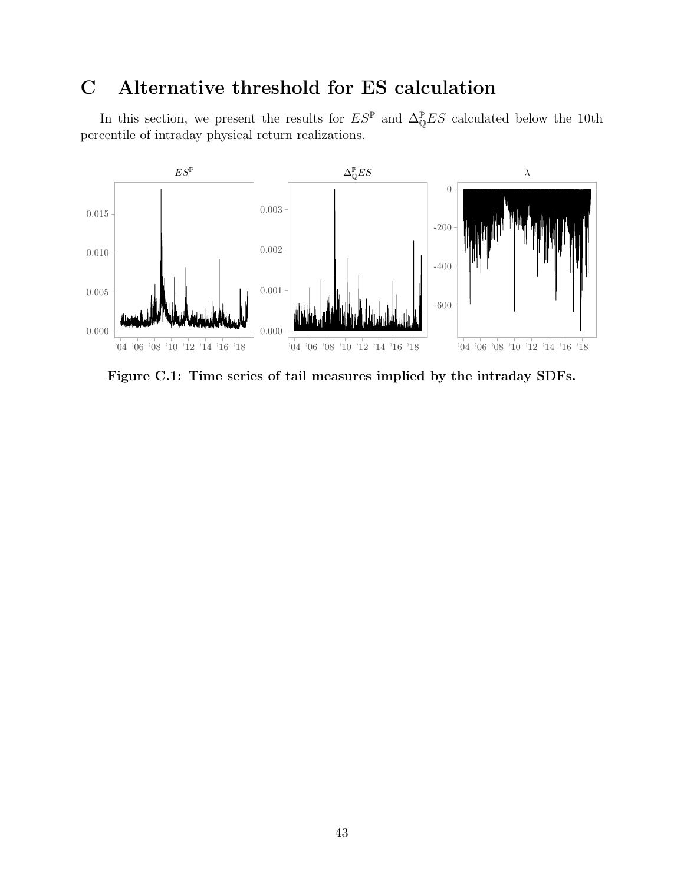## <span id="page-43-1"></span>C Alternative threshold for ES calculation

In this section, we present the results for  $ES^{\mathbb{P}}$  and  $\Delta_{\mathbb{Q}}^{\mathbb{P}}ES$  calculated below the 10th percentile of intraday physical return realizations.

<span id="page-43-0"></span>

Figure C.1: Time series of tail measures implied by the intraday SDFs.